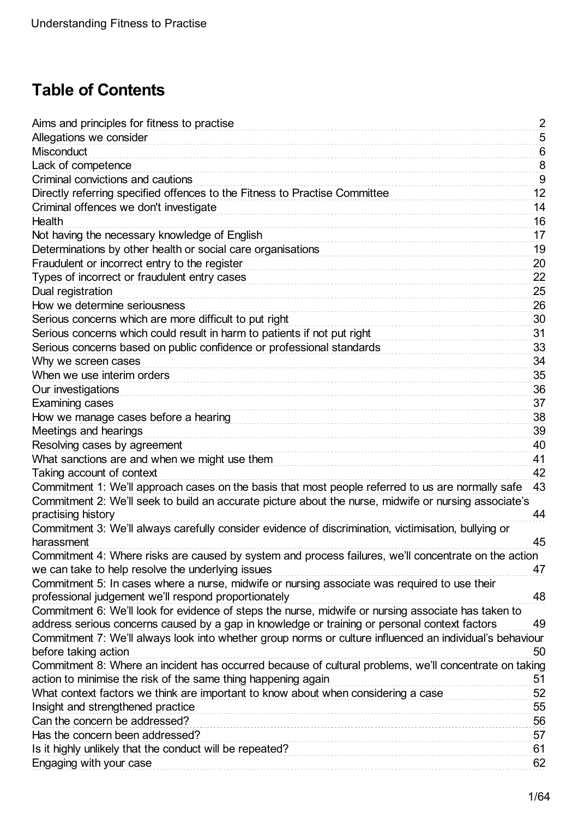# **Table of Contents**

| Aims and principles for fitness to practise                                                              | $\overline{2}$ |
|----------------------------------------------------------------------------------------------------------|----------------|
| Allegations we consider                                                                                  | $\sqrt{5}$     |
| Misconduct                                                                                               | 6              |
| Lack of competence                                                                                       | 8              |
| Criminal convictions and cautions                                                                        | 9              |
| Directly referring specified offences to the Fitness to Practise Committee                               | 12             |
| Criminal offences we don't investigate                                                                   | 14             |
| Health                                                                                                   | 16             |
| Not having the necessary knowledge of English                                                            | 17             |
| Determinations by other health or social care organisations                                              | 19             |
| Fraudulent or incorrect entry to the register                                                            | 20             |
| Types of incorrect or fraudulent entry cases                                                             | 22             |
| Dual registration                                                                                        | 25             |
| How we determine seriousness                                                                             | 26             |
| Serious concerns which are more difficult to put right                                                   | 30             |
| Serious concerns which could result in harm to patients if not put right                                 | 31             |
| Serious concerns based on public confidence or professional standards                                    | 33             |
| Why we screen cases                                                                                      | 34             |
| When we use interim orders                                                                               | 35             |
| Our investigations                                                                                       | 36             |
| Examining cases                                                                                          | 37             |
| How we manage cases before a hearing                                                                     | 38             |
| Meetings and hearings                                                                                    | 39             |
| Resolving cases by agreement                                                                             | 40             |
| What sanctions are and when we might use them                                                            | 41             |
| Taking account of context                                                                                | 42             |
| Commitment 1: We'll approach cases on the basis that most people referred to us are normally safe        | 43             |
| Commitment 2: We'll seek to build an accurate picture about the nurse, midwife or nursing associate's    |                |
| practising history                                                                                       | 44             |
| Commitment 3: We'll always carefully consider evidence of discrimination, victimisation, bullying or     |                |
| harassment                                                                                               | 45             |
| Commitment 4: Where risks are caused by system and process failures, we'll concentrate on the action     |                |
| we can take to help resolve the underlying issues                                                        | 47             |
| Commitment 5: In cases where a nurse, midwife or nursing associate was required to use their             |                |
| professional judgement we'll respond proportionately                                                     | 48             |
| Commitment 6: We'll look for evidence of steps the nurse, midwife or nursing associate has taken to      |                |
| address serious concerns caused by a gap in knowledge or training or personal context factors            | 49             |
| Commitment 7: We'll always look into whether group norms or culture influenced an individual's behaviour |                |
| before taking action                                                                                     | 50             |
| Commitment 8: Where an incident has occurred because of cultural problems, we'll concentrate on taking   |                |
| action to minimise the risk of the same thing happening again                                            | 51             |
| What context factors we think are important to know about when considering a case                        | 52             |
| Insight and strengthened practice                                                                        | 55             |
| Can the concern be addressed?<br>Has the concern been addressed?                                         | 56             |
|                                                                                                          | 57<br>61       |
| Is it highly unlikely that the conduct will be repeated?                                                 |                |
| Engaging with your case                                                                                  | 62             |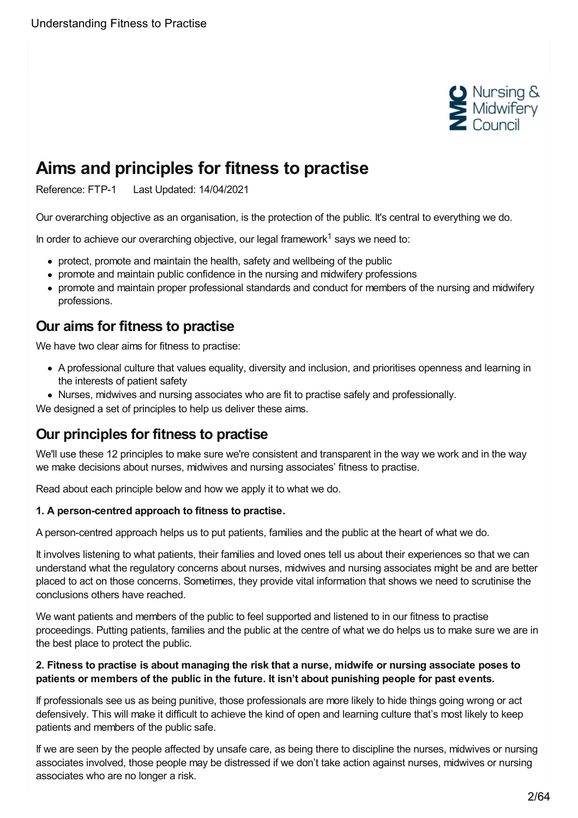

# <span id="page-1-0"></span>**Aims and principles for fitness to practise**

Reference: FTP-1 Last Updated: 14/04/2021

Our overarching objective as an organisation, is the protection of the public. It's central to everything we do.

In order to achieve our overarching objective, our legal framework<sup>1</sup> says we need to:

- protect, promote and maintain the health, safety and wellbeing of the public
- promote and maintain public confidence in the nursing and midwifery professions
- promote and maintain proper professional standards and conduct for members of the nursing and midwifery professions.

## **Our aims for fitness to practise**

We have two clear aims for fitness to practise:

- A professional culture that values equality, diversity and inclusion, and prioritises openness and learning in the interests of patient safety
- Nurses, midwives and nursing associates who are fit to practise safely and professionally.

We designed a set of principles to help us deliver these aims.

# **Our principles for fitness to practise**

We'll use these 12 principles to make sure we're consistent and transparent in the way we work and in the way we make decisions about nurses, midwives and nursing associates' fitness to practise.

Read about each principle below and how we apply it to what we do.

#### **1. A person-centred approach to fitness to practise.**

A person-centred approach helps us to put patients, families and the public at the heart of what we do.

It involves listening to what patients, their families and loved ones tell us about their experiences so that we can understand what the regulatory concerns about nurses, midwives and nursing associates might be and are better placed to act on those concerns. Sometimes, they provide vital information that shows we need to scrutinise the conclusions others have reached.

We want patients and members of the public to feel supported and listened to in our fitness to practise proceedings. Putting patients, families and the public at the centre of what we do helps us to make sure we are in the best place to protect the public.

#### 2. Fitness to practise is about managing the risk that a nurse, midwife or nursing associate poses to **patients or members of the public in the future. It isn't about punishing people for past events.**

If professionals see us as being punitive, those professionals are more likely to hide things going wrong or act defensively. This will make it difficult to achieve the kind of open and learning culture that's most likely to keep patients and members of the public safe.

If we are seen by the people affected by unsafe care, as being there to discipline the nurses, midwives or nursing associates involved, those people may be distressed if we don't take action against nurses, midwives or nursing associates who are no longer a risk.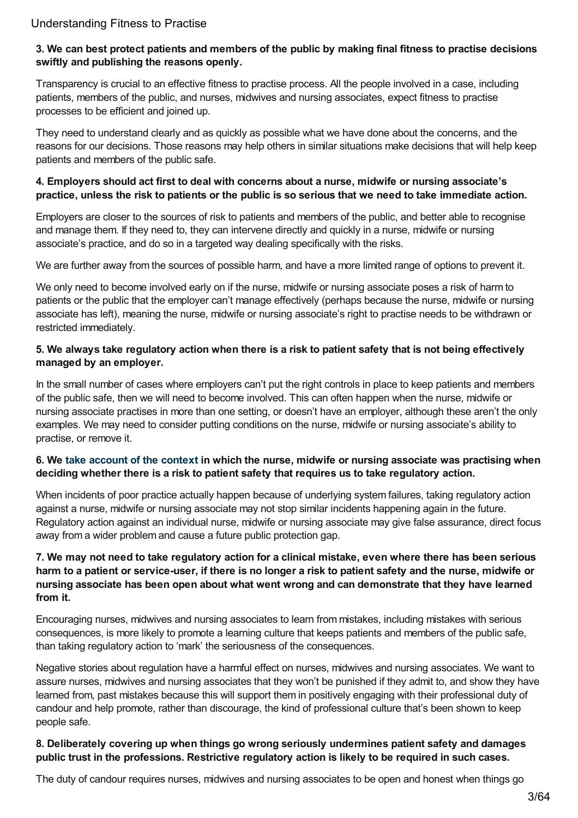#### 3. We can best protect patients and members of the public by making final fitness to practise decisions **swiftly and publishing the reasons openly.**

Transparency is crucial to an effective fitness to practise process. All the people involved in a case, including patients, members of the public, and nurses, midwives and nursing associates, expect fitness to practise processes to be efficient and joined up.

They need to understand clearly and as quickly as possible what we have done about the concerns, and the reasons for our decisions. Those reasons may help others in similar situations make decisions that will help keep patients and members of the public safe.

#### **4. Employers should act first to deal with concerns about a nurse, midwife or nursing associate's** practice, unless the risk to patients or the public is so serious that we need to take immediate action.

Employers are closer to the sources of risk to patients and members of the public, and better able to recognise and manage them. If they need to, they can intervene directly and quickly in a nurse, midwife or nursing associate's practice, and do so in a targeted way dealing specifically with the risks.

We are further away from the sources of possible harm, and have a more limited range of options to prevent it.

We only need to become involved early on if the nurse, midwife or nursing associate poses a risk of harm to patients or the public that the employer can't manage effectively (perhaps because the nurse, midwife or nursing associate has left), meaning the nurse, midwife or nursing associate's right to practise needs to be withdrawn or restricted immediately.

#### 5. We always take regulatory action when there is a risk to patient safety that is not being effectively **managed by an employer.**

In the small number of cases where employers can't put the right controls in place to keep patients and members of the public safe, then we will need to become involved. This can often happen when the nurse, midwife or nursing associate practises in more than one setting, or doesn't have an employer, although these aren't the only examples. We may need to consider putting conditions on the nurse, midwife or nursing associate's ability to practise, or remove it.

#### 6. We take [account](https://www.nmc.org.uk/ftp-library/understanding-fitness-to-practise/taking-account-of-context/) of the context in which the nurse, midwife or nursing associate was practising when **deciding whether there is a risk to patient safety that requires us to take regulatory action.**

When incidents of poor practice actually happen because of underlying system failures, taking regulatory action against a nurse, midwife or nursing associate may not stop similar incidents happening again in the future. Regulatory action against an individual nurse, midwife or nursing associate may give false assurance, direct focus away from a wider problem and cause a future public protection gap.

#### 7. We may not need to take regulatory action for a clinical mistake, even where there has been serious harm to a patient or service-user, if there is no longer a risk to patient safety and the nurse, midwife or **nursing associate has been open about what went wrong and can demonstrate that they have learned from it.**

Encouraging nurses, midwives and nursing associates to learn from mistakes, including mistakes with serious consequences, is more likely to promote a learning culture that keeps patients and members of the public safe, than taking regulatory action to 'mark' the seriousness of the consequences.

Negative stories about regulation have a harmful effect on nurses, midwives and nursing associates. We want to assure nurses, midwives and nursing associates that they won't be punished if they admit to, and show they have learned from, past mistakes because this will support them in positively engaging with their professional duty of candour and help promote, rather than discourage, the kind of professional culture that's been shown to keep people safe.

#### **8. Deliberately covering up when things go wrong seriously undermines patient safety and damages public trust in the professions. Restrictive regulatory action is likely to be required in such cases.**

The duty of candour requires nurses, midwives and nursing associates to be open and honest when things go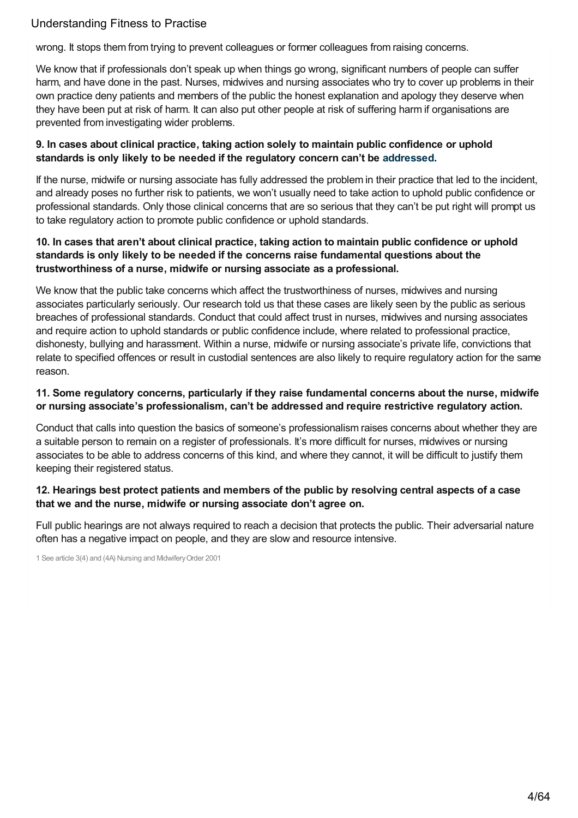wrong. It stops them from trying to prevent colleagues or former colleagues from raising concerns.

We know that if professionals don't speak up when things go wrong, significant numbers of people can suffer harm, and have done in the past. Nurses, midwives and nursing associates who try to cover up problems in their own practice deny patients and members of the public the honest explanation and apology they deserve when they have been put at risk of harm. It can also put other people at risk of suffering harm if organisations are prevented from investigating wider problems.

#### **9. In cases about clinical practice, taking action solely to maintain public confidence or uphold standards is only likely to be needed if the regulatory concern can't be [addressed](https://www.nmc.org.uk/ftp-library/understanding-fitness-to-practise/insight-and-strengthened-practice/).**

If the nurse, midwife or nursing associate has fully addressed the problem in their practice that led to the incident, and already poses no further risk to patients, we won't usually need to take action to uphold public confidence or professional standards. Only those clinical concerns that are so serious that they can't be put right will prompt us to take regulatory action to promote public confidence or uphold standards.

#### **10. In cases that aren't about clinical practice, taking action to maintain public confidence or uphold standards is only likely to be needed if the concerns raise fundamental questions about the trustworthiness of a nurse, midwife or nursing associate as a professional.**

We know that the public take concerns which affect the trustworthiness of nurses, midwives and nursing associates particularly seriously. Our research told us that these cases are likely seen by the public as serious breaches of professional standards. Conduct that could affect trust in nurses, midwives and nursing associates and require action to uphold standards or public confidence include, where related to professional practice, dishonesty, bullying and harassment. Within a nurse, midwife or nursing associate's private life, convictions that relate to specified offences or result in custodial sentences are also likely to require regulatory action for the same reason.

#### **11. Some regulatory concerns, particularly if they raise fundamental concerns about the nurse, midwife or nursing associate's professionalism, can't be addressed and require restrictive regulatory action.**

Conduct that calls into question the basics of someone's professionalism raises concerns about whether they are a suitable person to remain on a register of professionals. It's more difficult for nurses, midwives or nursing associates to be able to address concerns of this kind, and where they cannot, it will be difficult to justify them keeping their registered status.

#### **12. Hearings best protect patients and members of the public by resolving central aspects of a case that we and the nurse, midwife or nursing associate don't agree on.**

Full public hearings are not always required to reach a decision that protects the public. Their adversarial nature often has a negative impact on people, and they are slow and resource intensive.

1 See article 3(4) and (4A) Nursing and MidwiferyOrder 2001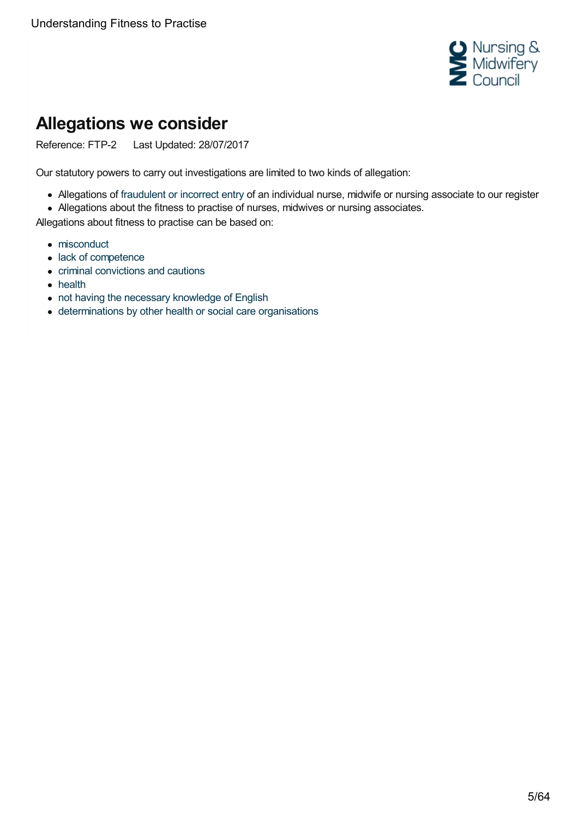

# <span id="page-4-0"></span>**Allegations we consider**

Reference: FTP-2 Last Updated: 28/07/2017

Our statutory powers to carry out investigations are limited to two kinds of allegation:

- Allegations of [fraudulent](https://www.nmc.org.uk/ftp-library/understanding-fitness-to-practise/fitness-to-practise-allegations/fraudulent-or-incorrect-entry-to-the-register/) or incorrect entry of an individual nurse, midwife or nursing associate to our register
- Allegations about the fitness to practise of nurses, midwives or nursing associates.

Allegations about fitness to practise can be based on:

- [misconduct](https://www.nmc.org.uk/ftp-library/understanding-fitness-to-practise/fitness-to-practise-allegations/misconduct/)
- lack of [competence](https://www.nmc.org.uk/ftp-library/understanding-fitness-to-practise/fitness-to-practise-allegations/lack-of-competence/)
- criminal [convictions](https://www.nmc.org.uk/ftp-library/understanding-fitness-to-practise/fitness-to-practise-allegations/criminal-convictions-and-cautions/) and cautions
- [health](https://www.nmc.org.uk/ftp-library/understanding-fitness-to-practise/fitness-to-practise-allegations/health/)
- not having the necessary [knowledge](https://www.nmc.org.uk/ftp-library/understanding-fitness-to-practise/fitness-to-practise-allegations/not-having-the-necessary-knowledge-of-english/) of English
- [determinations](https://www.nmc.org.uk/ftp-library/understanding-fitness-to-practise/fitness-to-practise-allegations/determinations-by-other-health-or-social-care-organisations/) by other health or social care organisations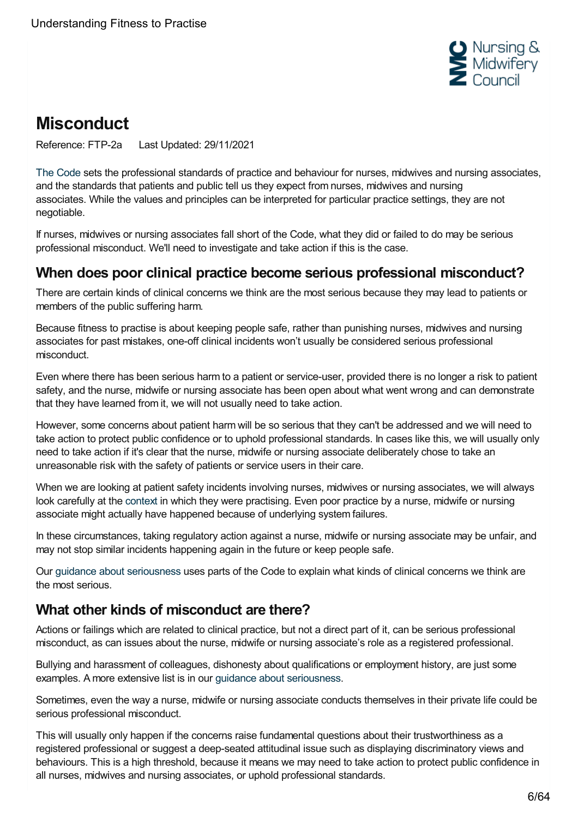

# <span id="page-5-0"></span>**Misconduct**

Reference: FTP-2a Last Updated: 29/11/2021

The [Code](https://www.nmc.org.uk/standards/code/) sets the professional standards of practice and behaviour for nurses, midwives and nursing associates, and the standards that patients and public tell us they expect from nurses, midwives and nursing associates. While the values and principles can be interpreted for particular practice settings, they are not negotiable.

If nurses, midwives or nursing associates fall short of the Code, what they did or failed to do may be serious professional misconduct. We'll need to investigate and take action if this is the case.

## **When does poor clinical practice become serious professional misconduct?**

There are certain kinds of clinical concerns we think are the most serious because they may lead to patients or members of the public suffering harm.

Because fitness to practise is about keeping people safe, rather than punishing nurses, midwives and nursing associates for past mistakes, one-off clinical incidents won't usually be considered serious professional misconduct.

Even where there has been serious harm to a patient or service-user, provided there is no longer a risk to patient safety, and the nurse, midwife or nursing associate has been open about what went wrong and can demonstrate that they have learned from it, we will not usually need to take action.

However, some concerns about patient harm will be so serious that they can't be addressed and we will need to take action to protect public confidence or to uphold professional standards. In cases like this, we will usually only need to take action if it's clear that the nurse, midwife or nursing associate deliberately chose to take an unreasonable risk with the safety of patients or service users in their care.

When we are looking at patient safety incidents involving nurses, midwives or nursing associates, we will always look carefully at the [context](https://www.nmc.org.uk/ftp-library/understanding-fitness-to-practise/taking-account-of-context/) in which they were practising. Even poor practice by a nurse, midwife or nursing associate might actually have happened because of underlying system failures.

In these circumstances, taking regulatory action against a nurse, midwife or nursing associate may be unfair, and may not stop similar incidents happening again in the future or keep people safe.

Our guidance about [seriousness](https://www.nmc.org.uk/ftp-library/understanding-fitness-to-practise/how-we-determine-seriousness/) uses parts of the Code to explain what kinds of clinical concerns we think are the most serious.

# **What other kinds of misconduct are there?**

Actions or failings which are related to clinical practice, but not a direct part of it, can be serious professional misconduct, as can issues about the nurse, midwife or nursing associate's role as a registered professional.

Bullying and harassment of colleagues, dishonesty about qualifications or employment history, are just some examples. A more extensive list is in our guidance about [seriousness](https://www.nmc.org.uk/ftp-library/understanding-fitness-to-practise/how-we-determine-seriousness/).

Sometimes, even the way a nurse, midwife or nursing associate conducts themselves in their private life could be serious professional misconduct.

This will usually only happen if the concerns raise fundamental questions about their trustworthiness as a registered professional or suggest a deep-seated attitudinal issue such as displaying discriminatory views and behaviours. This is a high threshold, because it means we may need to take action to protect public confidence in all nurses, midwives and nursing associates, or uphold professional standards.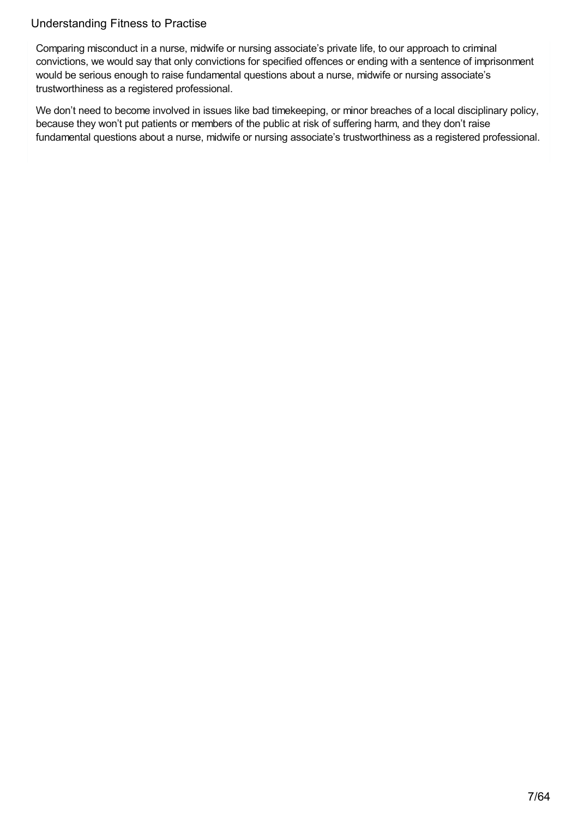Comparing misconduct in a nurse, midwife or nursing associate's private life, to our approach to criminal convictions, we would say that only convictions for specified offences or ending with a sentence of imprisonment would be serious enough to raise fundamental questions about a nurse, midwife or nursing associate's trustworthiness as a registered professional.

We don't need to become involved in issues like bad timekeeping, or minor breaches of a local disciplinary policy, because they won't put patients or members of the public at risk of suffering harm, and they don't raise fundamental questions about a nurse, midwife or nursing associate's trustworthiness as a registered professional.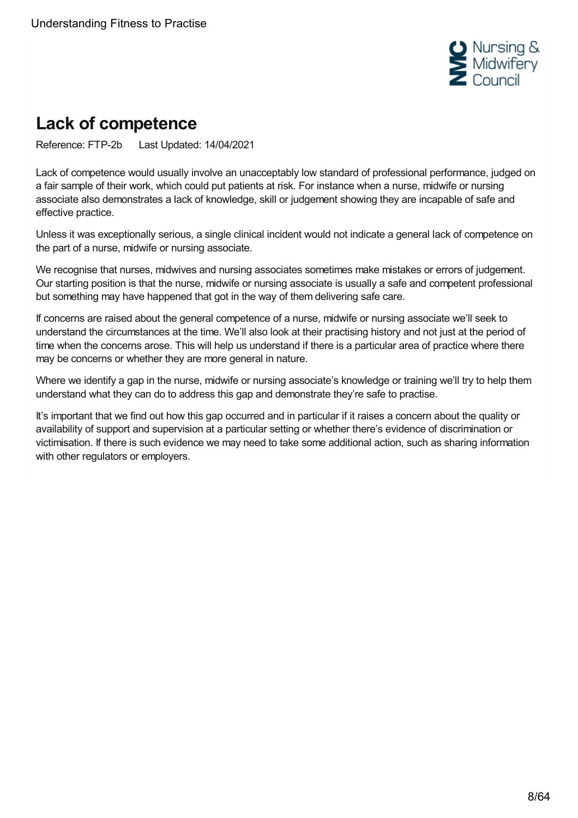

# <span id="page-7-0"></span>**Lack of competence**

Reference: FTP-2b Last Updated: 14/04/2021

Lack of competence would usually involve an unacceptably low standard of professional performance, judged on a fair sample of their work, which could put patients at risk. For instance when a nurse, midwife or nursing associate also demonstrates a lack of knowledge, skill or judgement showing they are incapable of safe and effective practice.

Unless it was exceptionally serious, a single clinical incident would not indicate a general lack of competence on the part of a nurse, midwife or nursing associate.

We recognise that nurses, midwives and nursing associates sometimes make mistakes or errors of judgement. Our starting position is that the nurse, midwife or nursing associate is usually a safe and competent professional but something may have happened that got in the way of them delivering safe care.

If concerns are raised about the general competence of a nurse, midwife or nursing associate we'll seek to understand the circumstances at the time. We'll also look at their practising history and not just at the period of time when the concerns arose. This will help us understand if there is a particular area of practice where there may be concerns or whether they are more general in nature.

Where we identify a gap in the nurse, midwife or nursing associate's knowledge or training we'll try to help them understand what they can do to address this gap and demonstrate they're safe to practise.

It's important that we find out how this gap occurred and in particular if it raises a concern about the quality or availability of support and supervision at a particular setting or whether there's evidence of discrimination or victimisation. If there is such evidence we may need to take some additional action, such as sharing information with other regulators or employers.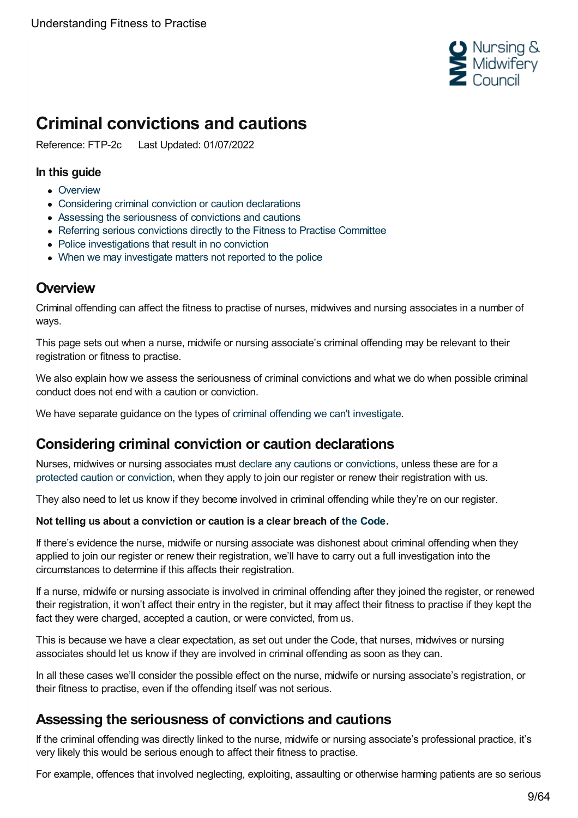

# <span id="page-8-0"></span>**Criminal convictions and cautions**

Reference: FTP-2c Last Updated: 01/07/2022

#### **In this guide**

- [Overview](#page-8-1)
- [Considering](#page-8-2) criminal conviction or caution declarations
- Assessing the [seriousness](#page-8-3) of convictions and cautions
- Referring serious [convictions](#page-9-0) directly to the Fitness to Practise Committee
- Police [investigations](#page-9-1) that result in no conviction
- When we may [investigate](#page-10-0) matters not reported to the police

## <span id="page-8-1"></span>**Overview**

Criminal offending can affect the fitness to practise of nurses, midwives and nursing associates in a number of ways.

This page sets out when a nurse, midwife or nursing associate's criminal offending may be relevant to their registration or fitness to practise.

We also explain how we assess the seriousness of criminal convictions and what we do when possible criminal conduct does not end with a caution or conviction.

We have separate guidance on the types of criminal offending we can't [investigate](https://www.nmc.org.uk/ftp-library/understanding-fitness-to-practise/fitness-to-practise-allegations/criminal-convictions-and-cautions/criminal-offences-we-dont-investigate/).

# <span id="page-8-2"></span>**Considering criminal conviction or caution declarations**

Nurses, midwives or nursing associates must declare any cautions or [convictions](https://www.nmc.org.uk/registration/joining-the-register/health-and-character/), unless these are for a protected caution or [conviction](https://www.nmc.org.uk/ftp-library/understanding-fitness-to-practise/fitness-to-practise-allegations/criminal-convictions-and-cautions/criminal-offences-we-dont-investigate/), when they apply to join our register or renew their registration with us.

They also need to let us know if they become involved in criminal offending while they're on our register.

#### **Not telling us about a conviction or caution is a clear breach of the [Code](https://www.nmc.org.uk/standards/code/).**

If there's evidence the nurse, midwife or nursing associate was dishonest about criminal offending when they applied to join our register or renew their registration, we'll have to carry out a full investigation into the circumstances to determine if this affects their registration.

If a nurse, midwife or nursing associate is involved in criminal offending after they joined the register, or renewed their registration, it won't affect their entry in the register, but it may affect their fitness to practise if they kept the fact they were charged, accepted a caution, or were convicted, from us.

This is because we have a clear expectation, as set out under the Code, that nurses, midwives or nursing associates should let us know if they are involved in criminal offending as soon as they can.

In all these cases we'll consider the possible effect on the nurse, midwife or nursing associate's registration, or their fitness to practise, even if the offending itself was not serious.

## <span id="page-8-3"></span>**Assessing the seriousness of convictions and cautions**

If the criminal offending was directly linked to the nurse, midwife or nursing associate's professional practice, it's very likely this would be serious enough to affect their fitness to practise.

For example, offences that involved neglecting, exploiting, assaulting or otherwise harming patients are so serious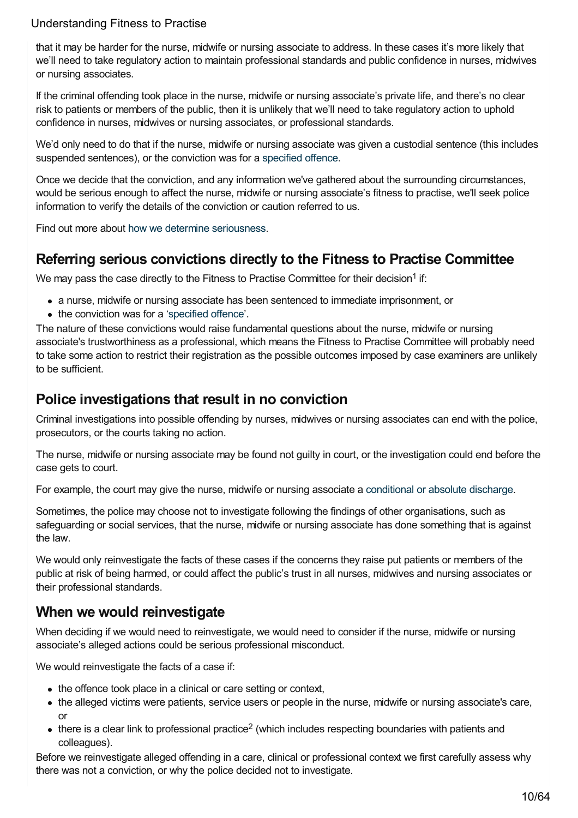that it may be harder for the nurse, midwife or nursing associate to address. In these cases it's more likely that we'll need to take regulatory action to maintain professional standards and public confidence in nurses, midwives or nursing associates.

If the criminal offending took place in the nurse, midwife or nursing associate's private life, and there's no clear risk to patients or members of the public, then it is unlikely that we'll need to take regulatory action to uphold confidence in nurses, midwives or nursing associates, or professional standards.

We'd only need to do that if the nurse, midwife or nursing associate was given a custodial sentence (this includes suspended sentences), or the conviction was for a [specified](https://www.nmc.org.uk/ftp-library/understanding-fitness-to-practise/fitness-to-practise-allegations/criminal-convictions-and-cautions/directly-referring-specified-offences-to-the-fitness-to-practise-committee/) offence.

Once we decide that the conviction, and any information we've gathered about the surrounding circumstances, would be serious enough to affect the nurse, midwife or nursing associate's fitness to practise, we'll seek police information to verify the details of the conviction or caution referred to us.

Find out more about how we determine [seriousness](https://www.nmc.org.uk/ftp-library/understanding-fitness-to-practise/how-we-determine-seriousness/).

## <span id="page-9-0"></span>**Referring serious convictions directly to the Fitness to Practise Committee**

We may pass the case directly to the Fitness to Practise Committee for their decision<sup>1</sup> if:

- a nurse, midwife or nursing associate has been sentenced to immediate imprisonment, or
- the conviction was for a ['specified](https://www.nmc.org.uk/ftp-library/understanding-fitness-to-practise/fitness-to-practise-allegations/criminal-convictions-and-cautions/directly-referring-specified-offences-to-the-fitness-to-practise-committee/) offence'.

The nature of these convictions would raise fundamental questions about the nurse, midwife or nursing associate's trustworthiness as a professional, which means the Fitness to Practise Committee will probably need to take some action to restrict their registration as the possible outcomes imposed by case examiners are unlikely to be sufficient.

## <span id="page-9-1"></span>**Police investigations that result in no conviction**

Criminal investigations into possible offending by nurses, midwives or nursing associates can end with the police, prosecutors, or the courts taking no action.

The nurse, midwife or nursing associate may be found not guilty in court, or the investigation could end before the case gets to court.

For example, the court may give the nurse, midwife or nursing associate a [conditional](https://www.nmc.org.uk/ftp-library/understanding-fitness-to-practise/fitness-to-practise-allegations/criminal-convictions-and-cautions/criminal-offences-we-dont-investigate/) or absolute discharge.

Sometimes, the police may choose not to investigate following the findings of other organisations, such as safeguarding or social services, that the nurse, midwife or nursing associate has done something that is against the law.

We would only reinvestigate the facts of these cases if the concerns they raise put patients or members of the public at risk of being harmed, or could affect the public's trust in all nurses, midwives and nursing associates or their professional standards.

## **When we would reinvestigate**

When deciding if we would need to reinvestigate, we would need to consider if the nurse, midwife or nursing associate's alleged actions could be serious professional misconduct.

We would reinvestigate the facts of a case if:

- the offence took place in a clinical or care setting or context,
- the alleged victims were patients, service users or people in the nurse, midwife or nursing associate's care, or
- there is a clear link to professional practice<sup>2</sup> (which includes respecting boundaries with patients and colleagues).

Before we reinvestigate alleged offending in a care, clinical or professional context we first carefully assess why there was not a conviction, or why the police decided not to investigate.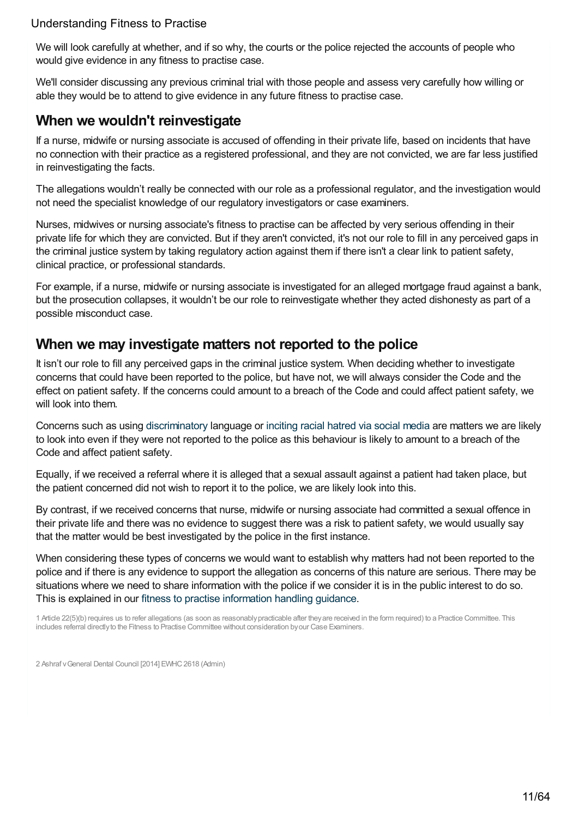We will look carefully at whether, and if so why, the courts or the police rejected the accounts of people who would give evidence in any fitness to practise case.

We'll consider discussing any previous criminal trial with those people and assess very carefully how willing or able they would be to attend to give evidence in any future fitness to practise case.

## **When we wouldn't reinvestigate**

If a nurse, midwife or nursing associate is accused of offending in their private life, based on incidents that have no connection with their practice as a registered professional, and they are not convicted, we are far less justified in reinvestigating the facts.

The allegations wouldn't really be connected with our role as a professional regulator, and the investigation would not need the specialist knowledge of our regulatory investigators or case examiners.

Nurses, midwives or nursing associate's fitness to practise can be affected by very serious offending in their private life for which they are convicted. But if they aren't convicted, it's not our role to fill in any perceived gaps in the criminal justice system by taking regulatory action against them if there isn't a clear link to patient safety, clinical practice, or professional standards.

For example, if a nurse, midwife or nursing associate is investigated for an alleged mortgage fraud against a bank, but the prosecution collapses, it wouldn't be our role to reinvestigate whether they acted dishonesty as part of a possible misconduct case.

## <span id="page-10-0"></span>**When we may investigate matters not reported to the police**

It isn't our role to fill any perceived gaps in the criminal justice system. When deciding whether to investigate concerns that could have been reported to the police, but have not, we will always consider the Code and the effect on patient safety. If the concerns could amount to a breach of the Code and could affect patient safety, we will look into them.

Concerns such as using [discriminatory](https://www.nmc.org.uk/ftp-library/understanding-fitness-to-practise/how-we-determine-seriousness/) language or [inciting](https://www.nmc.org.uk/standards/guidance/social-media-guidance/) racial hatred via social media are matters we are likely to look into even if they were not reported to the police as this behaviour is likely to amount to a breach of the Code and affect patient safety.

Equally, if we received a referral where it is alleged that a sexual assault against a patient had taken place, but the patient concerned did not wish to report it to the police, we are likely look into this.

By contrast, if we received concerns that nurse, midwife or nursing associate had committed a sexual offence in their private life and there was no evidence to suggest there was a risk to patient safety, we would usually say that the matter would be best investigated by the police in the first instance.

When considering these types of concerns we would want to establish why matters had not been reported to the police and if there is any evidence to support the allegation as concerns of this nature are serious. There may be situations where we need to share information with the police if we consider it is in the public interest to do so. This is explained in our fitness to practise [information](https://www.nmc.org.uk/globalassets/sitedocuments/ftp_information/ftp-information-handling-guidance.pdf) handling guidance.

1 Article 22(5)(b) requires us to refer allegations (as soon as reasonablypracticable after theyare received in the form required) to a Practice Committee. This includes referral directlyto the Fitness to Practise Committee without consideration byour Case Examiners.

2 Ashraf vGeneral Dental Council [2014] EWHC2618 (Admin)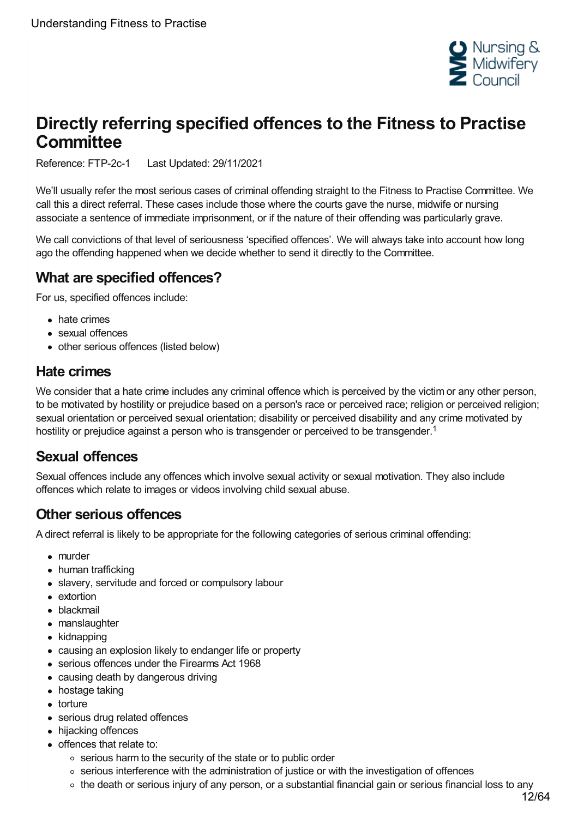

# <span id="page-11-0"></span>**Directly referring specified offences to the Fitness to Practise Committee**

Reference: FTP-2c-1 Last Updated: 29/11/2021

We'll usually refer the most serious cases of criminal offending straight to the Fitness to Practise Committee. We call this a direct referral. These cases include those where the courts gave the nurse, midwife or nursing associate a sentence of immediate imprisonment, or if the nature of their offending was particularly grave.

We call convictions of that level of seriousness 'specified offences'. We will always take into account how long ago the offending happened when we decide whether to send it directly to the Committee.

## **What are specified offences?**

For us, specified offences include:

- hate crimes
- sexual offences
- other serious offences (listed below)

## **Hate crimes**

We consider that a hate crime includes any criminal offence which is perceived by the victim or any other person, to be motivated by hostility or prejudice based on a person's race or perceived race; religion or perceived religion; sexual orientation or perceived sexual orientation; disability or perceived disability and any crime motivated by hostility or prejudice against a person who is transgender or perceived to be transgender.<sup>1</sup>

# **Sexual offences**

Sexual offences include any offences which involve sexual activity or sexual motivation. They also include offences which relate to images or videos involving child sexual abuse.

## **Other serious offences**

A direct referral is likely to be appropriate for the following categories of serious criminal offending:

- murder
- human trafficking
- slavery, servitude and forced or compulsory labour
- extortion
- blackmail
- manslaughter
- kidnapping
- causing an explosion likely to endanger life or property
- serious offences under the Firearms Act 1968
- causing death by dangerous driving
- hostage taking
- torture
- serious drug related offences
- hijacking offences
- offences that relate to:
	- serious harm to the security of the state or to public order
	- $\circ$  serious interference with the administration of justice or with the investigation of offences
	- the death or serious injury of any person, or a substantial financial gain or serious financial loss to any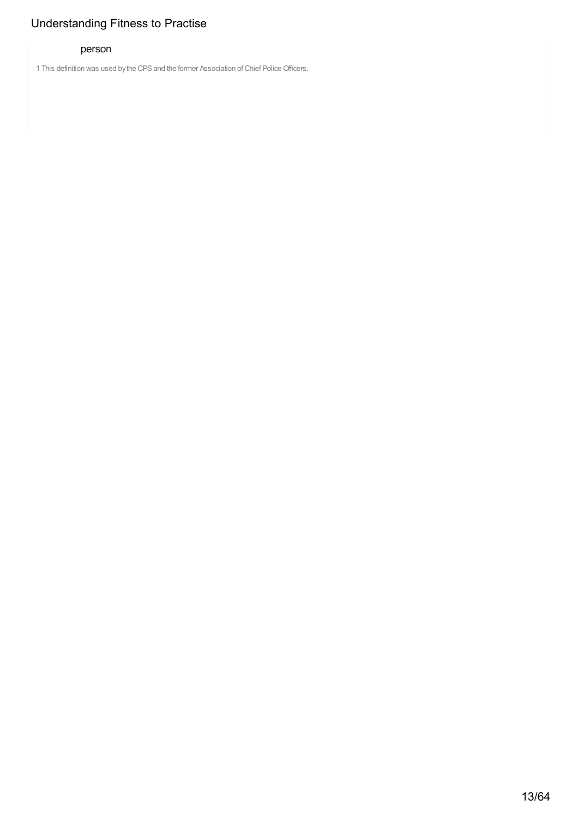# 1 This definition was used by the CPS and the former Association of Chief Police Officers.

#### person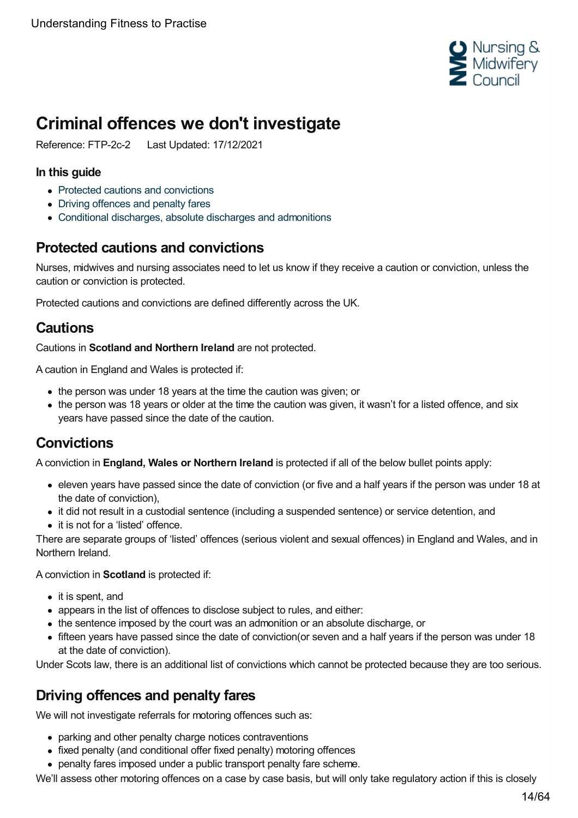

# <span id="page-13-0"></span>**Criminal offences we don't investigate**

Reference: FTP-2c-2 Last Updated: 17/12/2021

#### **In this guide**

- Protected cautions and [convictions](#page-13-1)
- Driving [offences](#page-13-2) and penalty fares
- Conditional discharges, absolute discharges and [admonitions](#page-14-0)

# <span id="page-13-1"></span>**Protected cautions and convictions**

Nurses, midwives and nursing associates need to let us know if they receive a caution or conviction, unless the caution or conviction is protected.

Protected cautions and convictions are defined differently across the UK.

# **Cautions**

Cautions in **Scotland and Northern Ireland** are not protected.

A caution in England and Wales is protected if:

- the person was under 18 years at the time the caution was given; or
- the person was 18 years or older at the time the caution was given, it wasn't for a listed offence, and six years have passed since the date of the caution.

# **Convictions**

A conviction in **England, Wales or Northern Ireland** is protected if all of the below bullet points apply:

- eleven years have passed since the date of conviction (or five and a half years if the person was under 18 at the date of conviction),
- it did not result in a custodial sentence (including a suspended sentence) or service detention, and
- it is not for a 'listed' offence.

There are separate groups of 'listed' offences (serious violent and sexual offences) in England and Wales, and in Northern Ireland.

A conviction in **Scotland** is protected if:

- it is spent, and
- appears in the list of offences to disclose subject to rules, and either:
- the sentence imposed by the court was an admonition or an absolute discharge, or
- fifteen years have passed since the date of conviction(or seven and a half years if the person was under 18 at the date of conviction).

Under Scots law, there is an additional list of convictions which cannot be protected because they are too serious.

# <span id="page-13-2"></span>**Driving offences and penalty fares**

We will not investigate referrals for motoring offences such as:

- parking and other penalty charge notices contraventions
- fixed penalty (and conditional offer fixed penalty) motoring offences
- penalty fares imposed under a public transport penalty fare scheme.

We'll assess other motoring offences on a case by case basis, but will only take regulatory action if this is closely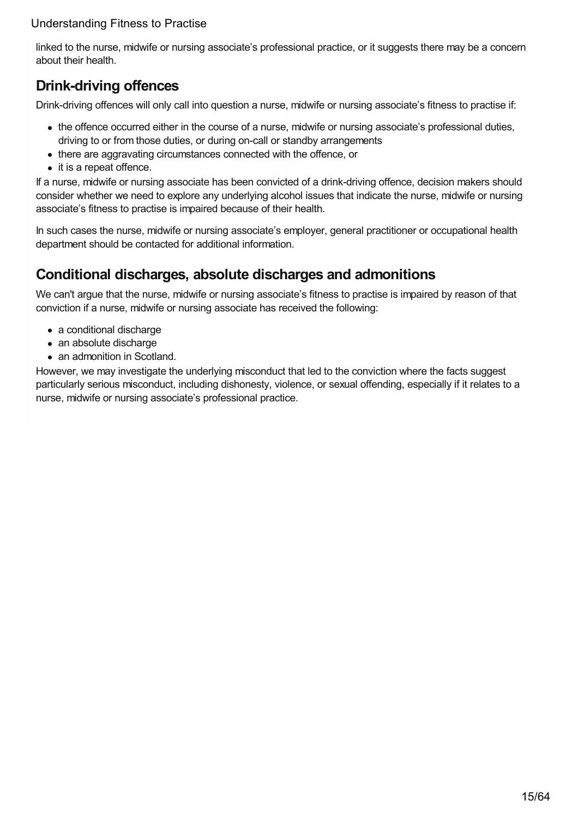linked to the nurse, midwife or nursing associate's professional practice, or it suggests there may be a concern about their health.

# **Drink-driving offences**

Drink-driving offences will only call into question a nurse, midwife or nursing associate's fitness to practise if:

- the offence occurred either in the course of a nurse, midwife or nursing associate's professional duties, driving to or from those duties, or during on-call or standby arrangements
- there are aggravating circumstances connected with the offence, or
- it is a repeat offence.

If a nurse, midwife or nursing associate has been convicted of a drink-driving offence, decision makers should consider whether we need to explore any underlying alcohol issues that indicate the nurse, midwife or nursing associate's fitness to practise is impaired because of their health.

In such cases the nurse, midwife or nursing associate's employer, general practitioner or occupational health department should be contacted for additional information.

## <span id="page-14-0"></span>**Conditional discharges, absolute discharges and admonitions**

We can't argue that the nurse, midwife or nursing associate's fitness to practise is impaired by reason of that conviction if a nurse, midwife or nursing associate has received the following:

- a conditional discharge
- an absolute discharge
- an admonition in Scotland.

However, we may investigate the underlying misconduct that led to the conviction where the facts suggest particularly serious misconduct, including dishonesty, violence, or sexual offending, especially if it relates to a nurse, midwife or nursing associate's professional practice.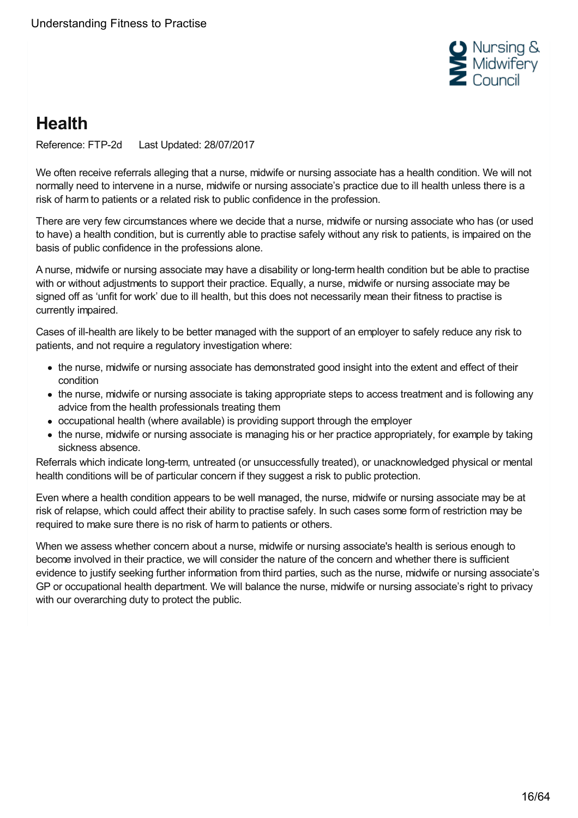

# <span id="page-15-0"></span>**Health**

Reference: FTP-2d Last Updated: 28/07/2017

We often receive referrals alleging that a nurse, midwife or nursing associate has a health condition. We will not normally need to intervene in a nurse, midwife or nursing associate's practice due to ill health unless there is a risk of harm to patients or a related risk to public confidence in the profession.

There are very few circumstances where we decide that a nurse, midwife or nursing associate who has (or used to have) a health condition, but is currently able to practise safely without any risk to patients, is impaired on the basis of public confidence in the professions alone.

A nurse, midwife or nursing associate may have a disability or long-term health condition but be able to practise with or without adjustments to support their practice. Equally, a nurse, midwife or nursing associate may be signed off as 'unfit for work' due to ill health, but this does not necessarily mean their fitness to practise is currently impaired.

Cases of ill-health are likely to be better managed with the support of an employer to safely reduce any risk to patients, and not require a regulatory investigation where:

- the nurse, midwife or nursing associate has demonstrated good insight into the extent and effect of their condition
- the nurse, midwife or nursing associate is taking appropriate steps to access treatment and is following any advice from the health professionals treating them
- occupational health (where available) is providing support through the employer
- the nurse, midwife or nursing associate is managing his or her practice appropriately, for example by taking sickness absence.

Referrals which indicate long-term, untreated (or unsuccessfully treated), or unacknowledged physical or mental health conditions will be of particular concern if they suggest a risk to public protection.

Even where a health condition appears to be well managed, the nurse, midwife or nursing associate may be at risk of relapse, which could affect their ability to practise safely. In such cases some form of restriction may be required to make sure there is no risk of harm to patients or others.

When we assess whether concern about a nurse, midwife or nursing associate's health is serious enough to become involved in their practice, we will consider the nature of the concern and whether there is sufficient evidence to justify seeking further information from third parties, such as the nurse, midwife or nursing associate's GP or occupational health department. We will balance the nurse, midwife or nursing associate's right to privacy with our overarching duty to protect the public.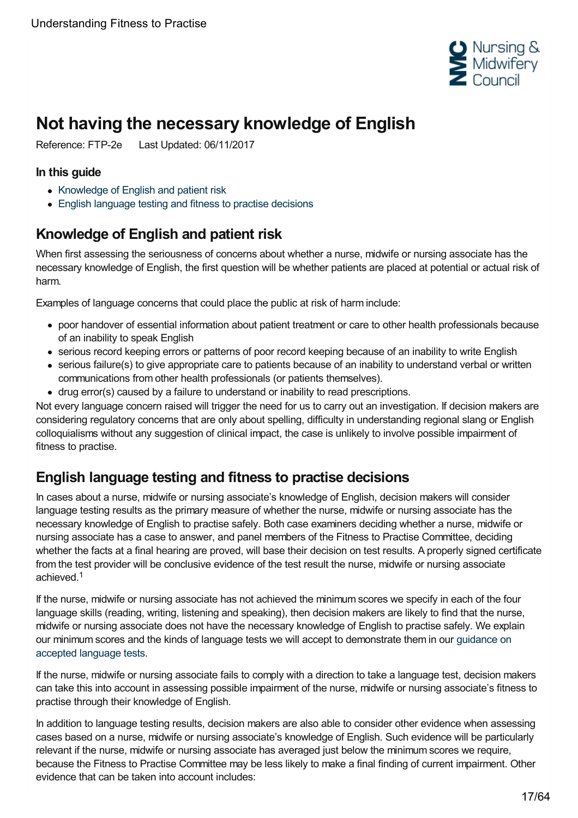

# <span id="page-16-0"></span>**Not having the necessary knowledge of English**

Reference: FTP-2e Last Updated: 06/11/2017

#### **In this guide**

- [Knowledge](#page-16-1) of English and patient risk
- English [language](#page-16-2) testing and fitness to practise decisions

# <span id="page-16-1"></span>**Knowledge of English and patient risk**

When first assessing the seriousness of concerns about whether a nurse, midwife or nursing associate has the necessary knowledge of English, the first question will be whether patients are placed at potential or actual risk of harm.

Examples of language concerns that could place the public at risk of harm include:

- poor handover of essential information about patient treatment or care to other health professionals because of an inability to speak English
- serious record keeping errors or patterns of poor record keeping because of an inability to write English
- serious failure(s) to give appropriate care to patients because of an inability to understand verbal or written communications from other health professionals (or patients themselves).
- drug error(s) caused by a failure to understand or inability to read prescriptions.

Not every language concern raised will trigger the need for us to carry out an investigation. If decision makers are considering regulatory concerns that are only about spelling, difficulty in understanding regional slang or English colloquialisms without any suggestion of clinical impact, the case is unlikely to involve possible impairment of fitness to practise.

# <span id="page-16-2"></span>**English language testing and fitness to practise decisions**

In cases about a nurse, midwife or nursing associate's knowledge of English, decision makers will consider language testing results as the primary measure of whether the nurse, midwife or nursing associate has the necessary knowledge of English to practise safely. Both case examiners deciding whether a nurse, midwife or nursing associate has a case to answer, and panel members of the Fitness to Practise Committee, deciding whether the facts at a final hearing are proved, will base their decision on test results. A properly signed certificate from the test provider will be conclusive evidence of the test result the nurse, midwife or nursing associate achieved. 1

If the nurse, midwife or nursing associate has not achieved the minimum scores we specify in each of the four language skills (reading, writing, listening and speaking), then decision makers are likely to find that the nurse, midwife or nursing associate does not have the necessary knowledge of English to practise safely. We explain our minimum scores and the kinds of language tests we will accept to [demonstrate](https://www.nmc.org.uk/registration/joining-the-register/english-language-requirements/accepted-tests/) them in our guidance on accepted language tests.

If the nurse, midwife or nursing associate fails to comply with a direction to take a language test, decision makers can take this into account in assessing possible impairment of the nurse, midwife or nursing associate's fitness to practise through their knowledge of English.

In addition to language testing results, decision makers are also able to consider other evidence when assessing cases based on a nurse, midwife or nursing associate's knowledge of English. Such evidence will be particularly relevant if the nurse, midwife or nursing associate has averaged just below the minimum scores we require, because the Fitness to Practise Committee may be less likely to make a final finding of current impairment. Other evidence that can be taken into account includes: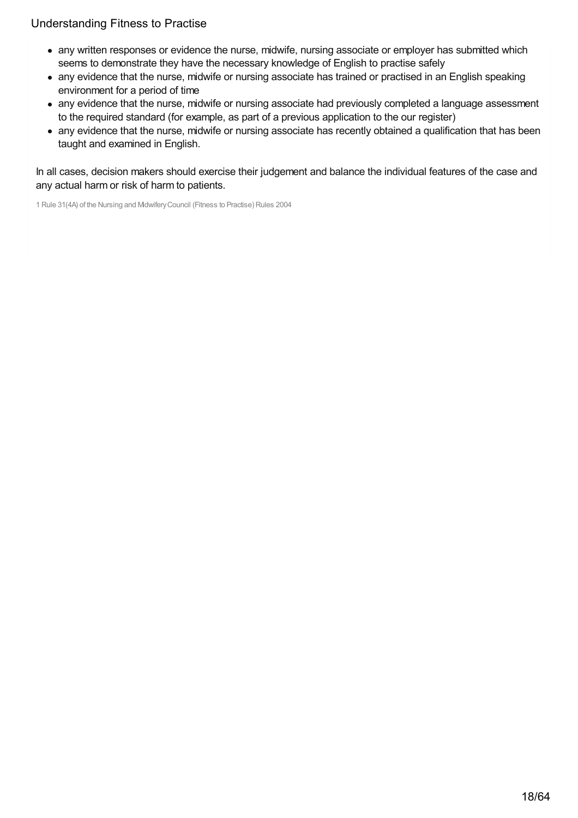- any written responses or evidence the nurse, midwife, nursing associate or employer has submitted which seems to demonstrate they have the necessary knowledge of English to practise safely
- any evidence that the nurse, midwife or nursing associate has trained or practised in an English speaking environment for a period of time
- any evidence that the nurse, midwife or nursing associate had previously completed a language assessment to the required standard (for example, as part of a previous application to the our register)
- any evidence that the nurse, midwife or nursing associate has recently obtained a qualification that has been taught and examined in English.

In all cases, decision makers should exercise their judgement and balance the individual features of the case and any actual harm or risk of harm to patients.

1 Rule 31(4A) of the Nursing and MidwiferyCouncil (Fitness to Practise) Rules 2004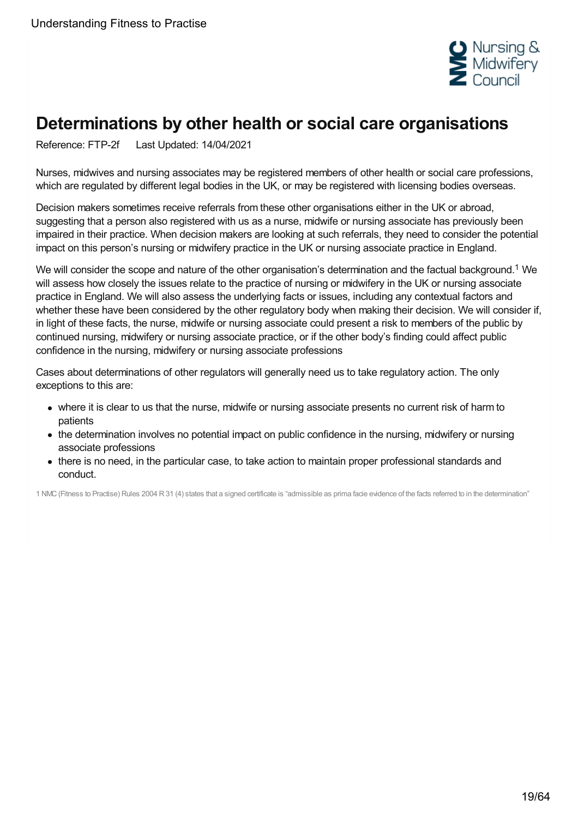

# <span id="page-18-0"></span>**Determinations by other health or social care organisations**

Reference: FTP-2f Last Updated: 14/04/2021

Nurses, midwives and nursing associates may be registered members of other health or social care professions, which are regulated by different legal bodies in the UK, or may be registered with licensing bodies overseas.

Decision makers sometimes receive referrals from these other organisations either in the UK or abroad, suggesting that a person also registered with us as a nurse, midwife or nursing associate has previously been impaired in their practice. When decision makers are looking at such referrals, they need to consider the potential impact on this person's nursing or midwifery practice in the UK or nursing associate practice in England.

We will consider the scope and nature of the other organisation's determination and the factual background.<sup>1</sup> We will assess how closely the issues relate to the practice of nursing or midwifery in the UK or nursing associate practice in England. We will also assess the underlying facts or issues, including any contextual factors and whether these have been considered by the other regulatory body when making their decision. We will consider if, in light of these facts, the nurse, midwife or nursing associate could present a risk to members of the public by continued nursing, midwifery or nursing associate practice, or if the other body's finding could affect public confidence in the nursing, midwifery or nursing associate professions

Cases about determinations of other regulators will generally need us to take regulatory action. The only exceptions to this are:

- where it is clear to us that the nurse, midwife or nursing associate presents no current risk of harm to patients
- the determination involves no potential impact on public confidence in the nursing, midwifery or nursing associate professions
- there is no need, in the particular case, to take action to maintain proper professional standards and conduct.

1 NMC(Fitness to Practise) Rules 2004 R31 (4) states that a signed certificate is "admissible as prima facie evidence of the facts referred to in the determination"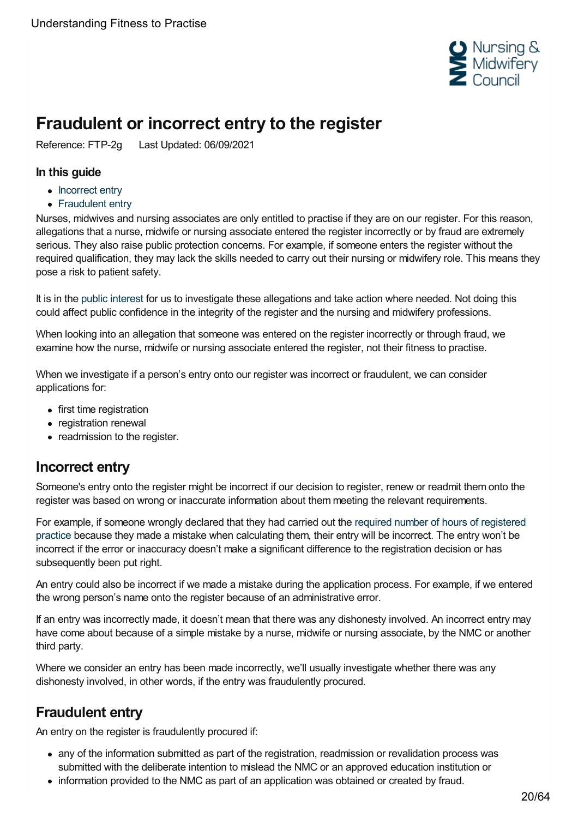

# <span id="page-19-0"></span>**Fraudulent or incorrect entry to the register**

Reference: FTP-2g Last Updated: 06/09/2021

#### **In this guide**

- [Incorrect](#page-19-1) entry
- [Fraudulent](#page-19-2) entry

Nurses, midwives and nursing associates are only entitled to practise if they are on our register. For this reason, allegations that a nurse, midwife or nursing associate entered the register incorrectly or by fraud are extremely serious. They also raise public protection concerns. For example, if someone enters the register without the required qualification, they may lack the skills needed to carry out their nursing or midwifery role. This means they pose a risk to patient safety.

It is in the public [interest](https://www.nmc.org.uk/ftp-library/understanding-fitness-to-practise/using-fitness-to-practise/) for us to investigate these allegations and take action where needed. Not doing this could affect public confidence in the integrity of the register and the nursing and midwifery professions.

When looking into an allegation that someone was entered on the register incorrectly or through fraud, we examine how the nurse, midwife or nursing associate entered the register, not their fitness to practise.

When we investigate if a person's entry onto our register was incorrect or fraudulent, we can consider applications for:

- first time registration
- registration renewal
- readmission to the register.

## <span id="page-19-1"></span>**Incorrect entry**

Someone's entry onto the register might be incorrect if our decision to register, renew or readmit them onto the register was based on wrong or inaccurate information about them meeting the relevant requirements.

For example, if someone wrongly declared that they had carried out the required number of hours of registered practice because they made a mistake when [calculating](https://www.nmc.org.uk/revalidation/) them, their entry will be incorrect. The entry won't be incorrect if the error or inaccuracy doesn't make a significant difference to the registration decision or has subsequently been put right.

An entry could also be incorrect if we made a mistake during the application process. For example, if we entered the wrong person's name onto the register because of an administrative error.

If an entry was incorrectly made, it doesn't mean that there was any dishonesty involved. An incorrect entry may have come about because of a simple mistake by a nurse, midwife or nursing associate, by the NMC or another third party.

Where we consider an entry has been made incorrectly, we'll usually investigate whether there was any dishonesty involved, in other words, if the entry was fraudulently procured.

# <span id="page-19-2"></span>**Fraudulent entry**

An entry on the register is fraudulently procured if:

- any of the information submitted as part of the registration, readmission or revalidation process was submitted with the deliberate intention to mislead the NMC or an approved education institution or
- information provided to the NMC as part of an application was obtained or created by fraud.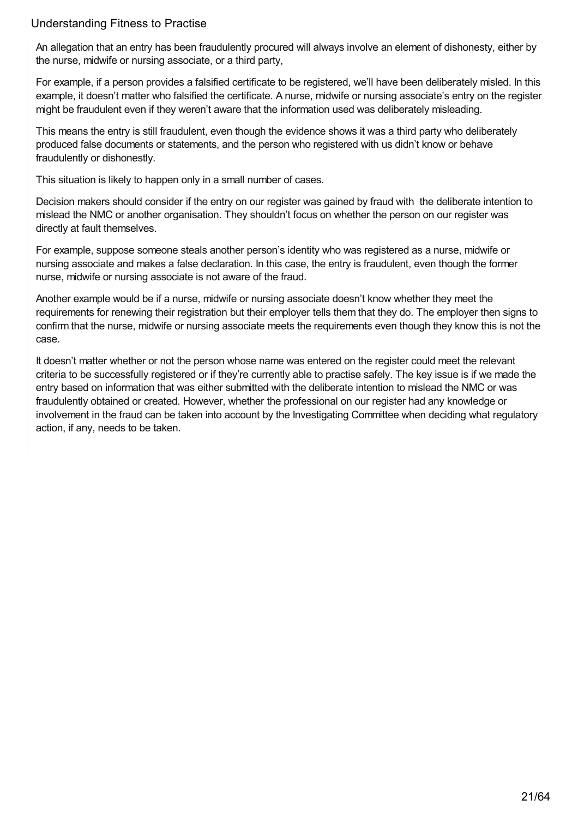An allegation that an entry has been fraudulently procured will always involve an element of dishonesty, either by the nurse, midwife or nursing associate, or a third party,

For example, if a person provides a falsified certificate to be registered, we'll have been deliberately misled. In this example, it doesn't matter who falsified the certificate. A nurse, midwife or nursing associate's entry on the register might be fraudulent even if they weren't aware that the information used was deliberately misleading.

This means the entry is still fraudulent, even though the evidence shows it was a third party who deliberately produced false documents or statements, and the person who registered with us didn't know or behave fraudulently or dishonestly.

This situation is likely to happen only in a small number of cases.

Decision makers should consider if the entry on our register was gained by fraud with the deliberate intention to mislead the NMC or another organisation. They shouldn't focus on whether the person on our register was directly at fault themselves.

For example, suppose someone steals another person's identity who was registered as a nurse, midwife or nursing associate and makes a false declaration. In this case, the entry is fraudulent, even though the former nurse, midwife or nursing associate is not aware of the fraud.

Another example would be if a nurse, midwife or nursing associate doesn't know whether they meet the requirements for renewing their registration but their employer tells them that they do. The employer then signs to confirm that the nurse, midwife or nursing associate meets the requirements even though they know this is not the case.

It doesn't matter whether or not the person whose name was entered on the register could meet the relevant criteria to be successfully registered or if they're currently able to practise safely. The key issue is if we made the entry based on information that was either submitted with the deliberate intention to mislead the NMC or was fraudulently obtained or created. However, whether the professional on our register had any knowledge or involvement in the fraud can be taken into account by the Investigating Committee when deciding what regulatory action, if any, needs to be taken.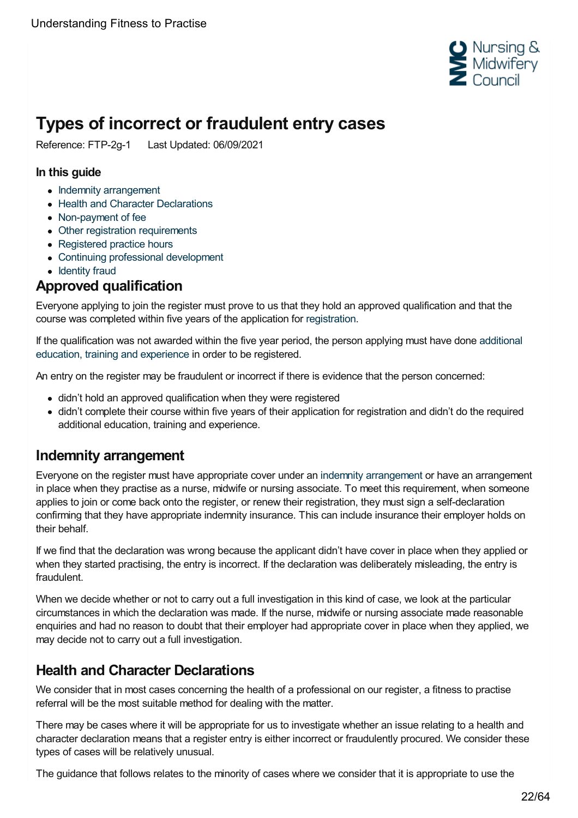

# <span id="page-21-0"></span>**Types of incorrect or fraudulent entry cases**

Reference: FTP-2g-1 Last Updated: 06/09/2021

#### **In this guide**

- Indemnity [arrangement](#page-21-1)
- Health and Character [Declarations](#page-21-2)
- [Non-payment](#page-22-0) of fee
- Other registration [requirements](#page-22-1)
- [Registered](#page-22-2) practice hours
- Continuing professional [development](#page-22-3)
- [Identity](#page-22-4) fraud

## **Approved qualification**

Everyone applying to join the register must prove to us that they hold an approved qualification and that the course was completed within five years of the application for [registration](https://www.nmc.org.uk/secure/ui/CMS/~/link/8c394ff497584157b118c34950ed5e02.aspx).

If the [qualification](https://www.nmc.org.uk/globalassets/sitedocuments/registration/registering-more-than-five-years-after-qualifying.pdf) was not awarded within the five year period, the person applying must have done additional education, training and experience in order to be registered.

An entry on the register may be fraudulent or incorrect if there is evidence that the person concerned:

- didn't hold an approved qualification when they were registered
- didn't complete their course within five years of their application for registration and didn't do the required additional education, training and experience.

## <span id="page-21-1"></span>**Indemnity arrangement**

Everyone on the register must have appropriate cover under an indemnity [arrangement](https://www.nmc.org.uk/registration/joining-the-register/professional-indemnity-arrangement/) or have an arrangement in place when they practise as a nurse, midwife or nursing associate. To meet this requirement, when someone applies to join or come back onto the register, or renew their registration, they must sign a self-declaration confirming that they have appropriate indemnity insurance. This can include insurance their employer holds on their behalf.

If we find that the declaration was wrong because the applicant didn't have cover in place when they applied or when they started practising, the entry is incorrect. If the declaration was deliberately misleading, the entry is fraudulent.

When we decide whether or not to carry out a full investigation in this kind of case, we look at the particular circumstances in which the declaration was made. If the nurse, midwife or nursing associate made reasonable enquiries and had no reason to doubt that their employer had appropriate cover in place when they applied, we may decide not to carry out a full investigation.

## <span id="page-21-2"></span>**Health and Character Declarations**

We consider that in most cases concerning the health of a professional on our register, a fitness to practise referral will be the most suitable method for dealing with the matter.

There may be cases where it will be appropriate for us to investigate whether an issue relating to a health and character declaration means that a register entry is either incorrect or fraudulently procured. We consider these types of cases will be relatively unusual.

The guidance that follows relates to the minority of cases where we consider that it is appropriate to use the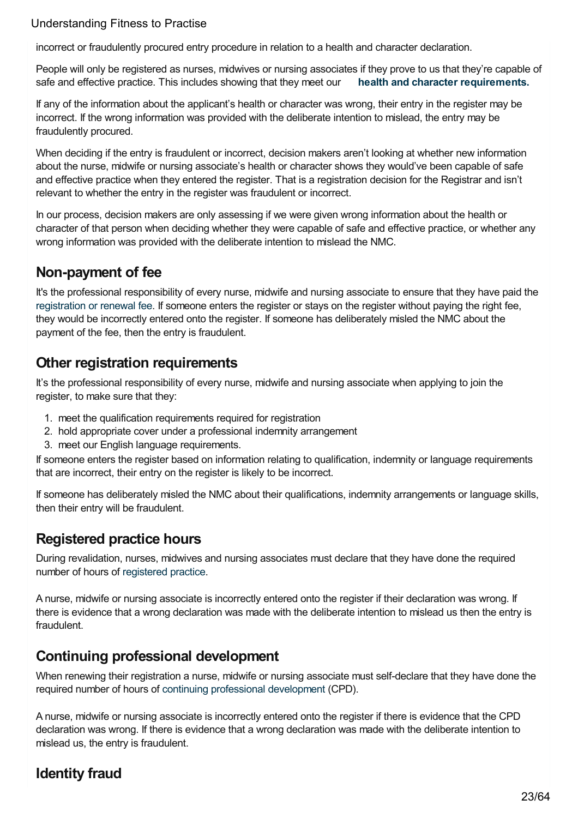incorrect or fraudulently procured entry procedure in relation to a health and character declaration.

People will only be registered as nurses, midwives or nursing associates if they prove to us that they're capable of safe and effective practice. This includes showing that they meet our **health and character [requirements.](https://www.nmc.org.uk/globalassets/sitedocuments/registration/character-and-health-decision-making-guidance.pdf)**

If any of the information about the applicant's health or character was wrong, their entry in the register may be incorrect. If the wrong information was provided with the deliberate intention to mislead, the entry may be fraudulently procured.

When deciding if the entry is fraudulent or incorrect, decision makers aren't looking at whether new information about the nurse, midwife or nursing associate's health or character shows they would've been capable of safe and effective practice when they entered the register. That is a registration decision for the Registrar and isn't relevant to whether the entry in the register was fraudulent or incorrect.

In our process, decision makers are only assessing if we were given wrong information about the health or character of that person when deciding whether they were capable of safe and effective practice, or whether any wrong information was provided with the deliberate intention to mislead the NMC.

## <span id="page-22-0"></span>**Non-payment of fee**

It's the professional responsibility of every nurse, midwife and nursing associate to ensure that they have paid the [registration](https://www.nmc.org.uk/registration/your-registration/paying-your-fee/) or renewal fee. If someone enters the register or stays on the register without paying the right fee, they would be incorrectly entered onto the register. If someone has deliberately misled the NMC about the payment of the fee, then the entry is fraudulent.

## <span id="page-22-1"></span>**Other registration requirements**

It's the professional responsibility of every nurse, midwife and nursing associate when applying to join the register, to make sure that they:

- 1. meet the qualification requirements required for registration
- 2. hold appropriate cover under a professional indemnity arrangement
- 3. meet our English language requirements.

If someone enters the register based on information relating to qualification, indemnity or language requirements that are incorrect, their entry on the register is likely to be incorrect.

If someone has deliberately misled the NMC about their qualifications, indemnity arrangements or language skills, then their entry will be fraudulent.

## <span id="page-22-2"></span>**Registered practice hours**

During revalidation, nurses, midwives and nursing associates must declare that they have done the required number of hours of [registered](http://revalidation.nmc.org.uk/what-you-need-to-do/practice-hours) practice.

A nurse, midwife or nursing associate is incorrectly entered onto the register if their declaration was wrong. If there is evidence that a wrong declaration was made with the deliberate intention to mislead us then the entry is fraudulent.

## <span id="page-22-3"></span>**Continuing professional development**

When renewing their registration a nurse, midwife or nursing associate must self-declare that they have done the required number of hours of continuing professional [development](http://revalidation.nmc.org.uk/what-you-need-to-do/continuing-professional-development/) (CPD).

A nurse, midwife or nursing associate is incorrectly entered onto the register if there is evidence that the CPD declaration was wrong. If there is evidence that a wrong declaration was made with the deliberate intention to mislead us, the entry is fraudulent.

# <span id="page-22-4"></span>**Identity fraud**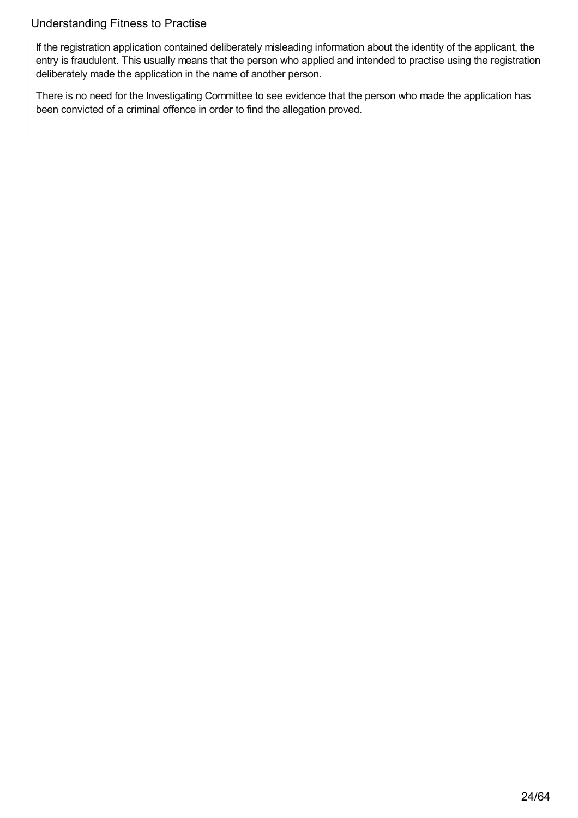If the registration application contained deliberately misleading information about the identity of the applicant, the entry is fraudulent. This usually means that the person who applied and intended to practise using the registration deliberately made the application in the name of another person.

There is no need for the Investigating Committee to see evidence that the person who made the application has been convicted of a criminal offence in order to find the allegation proved.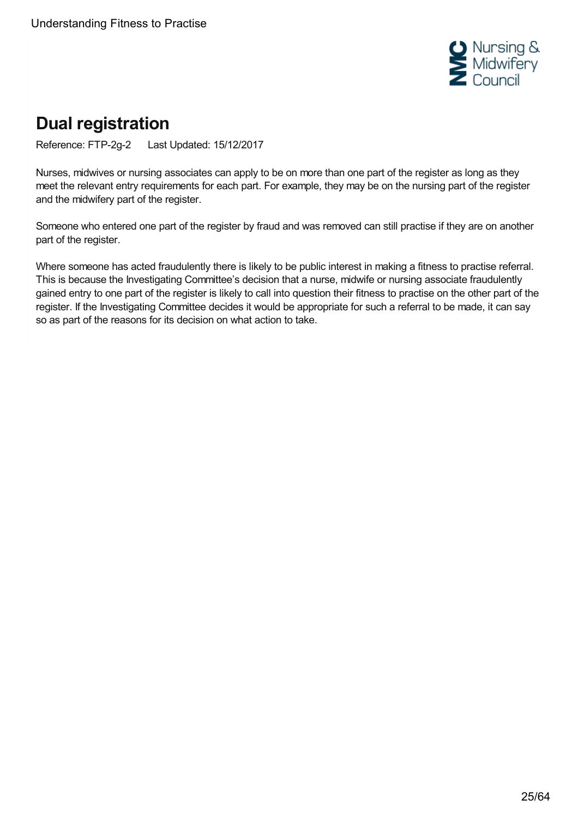

# <span id="page-24-0"></span>**Dual registration**

Reference: FTP-2g-2 Last Updated: 15/12/2017

Nurses, midwives or nursing associates can apply to be on more than one part of the register as long as they meet the relevant entry requirements for each part. For example, they may be on the nursing part of the register and the midwifery part of the register.

Someone who entered one part of the register by fraud and was removed can still practise if they are on another part of the register.

Where someone has acted fraudulently there is likely to be public interest in making a fitness to practise referral. This is because the Investigating Committee's decision that a nurse, midwife or nursing associate fraudulently gained entry to one part of the register is likely to call into question their fitness to practise on the other part of the register. If the Investigating Committee decides it would be appropriate for such a referral to be made, it can say so as part of the reasons for its decision on what action to take.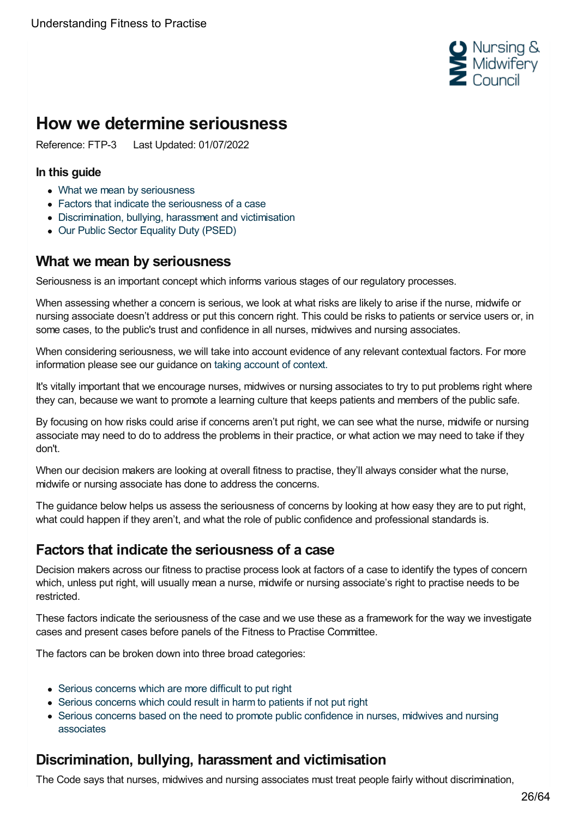

# <span id="page-25-0"></span>**How we determine seriousness**

Reference: FTP-3 Last Updated: 01/07/2022

#### **In this guide**

- What we mean by [seriousness](#page-25-1)
- Factors that indicate the [seriousness](#page-25-2) of a case
- [Discrimination,](#page-25-3) bullying, harassment and victimisation
- Our Public Sector [Equality](#page-28-0) Duty (PSED)

## <span id="page-25-1"></span>**What we mean by seriousness**

Seriousness is an important concept which informs various stages of our regulatory processes.

When assessing whether a concern is serious, we look at what risks are likely to arise if the nurse, midwife or nursing associate doesn't address or put this concern right. This could be risks to patients or service users or, in some cases, to the public's trust and confidence in all nurses, midwives and nursing associates.

When considering seriousness, we will take into account evidence of any relevant contextual factors. For more information please see our guidance on taking [account](https://www.nmc.org.uk/ftp-library/understanding-fitness-to-practise/taking-account-of-context/) of context.

It's vitally important that we encourage nurses, midwives or nursing associates to try to put problems right where they can, because we want to promote a learning culture that keeps patients and members of the public safe.

By focusing on how risks could arise if concerns aren't put right, we can see what the nurse, midwife or nursing associate may need to do to address the problems in their practice, or what action we may need to take if they don't.

When our decision makers are looking at overall fitness to practise, they'll always consider what the nurse, midwife or nursing associate has done to address the concerns.

The guidance below helps us assess the seriousness of concerns by looking at how easy they are to put right, what could happen if they aren't, and what the role of public confidence and professional standards is.

# <span id="page-25-2"></span>**Factors that indicate the seriousness of a case**

Decision makers across our fitness to practise process look at factors of a case to identify the types of concern which, unless put right, will usually mean a nurse, midwife or nursing associate's right to practise needs to be restricted.

These factors indicate the seriousness of the case and we use these as a framework for the way we investigate cases and present cases before panels of the Fitness to Practise Committee.

The factors can be broken down into three broad categories:

- Serious [concerns](https://www.nmc.org.uk/ftp-library/understanding-fitness-to-practise/how-we-determine-seriousness/serious-concerns-which-are-more-difficult-to-put-right/) which are more difficult to put right
- Serious [concerns](https://www.nmc.org.uk/ftp-library/understanding-fitness-to-practise/how-we-determine-seriousness/serious-concerns-harm/) which could result in harm to patients if not put right
- Serious concerns based on the need to promote public [confidence](https://www.nmc.org.uk/ftp-library/understanding-fitness-to-practise/how-we-determine-seriousness/serious-concerns-based-on-the-need-to-promote-public-confidence-in-nurses-and-midwives/) in nurses, midwives and nursing associates

# <span id="page-25-3"></span>**Discrimination, bullying, harassment and victimisation**

The Code says that nurses, midwives and nursing associates must treat people fairly without discrimination,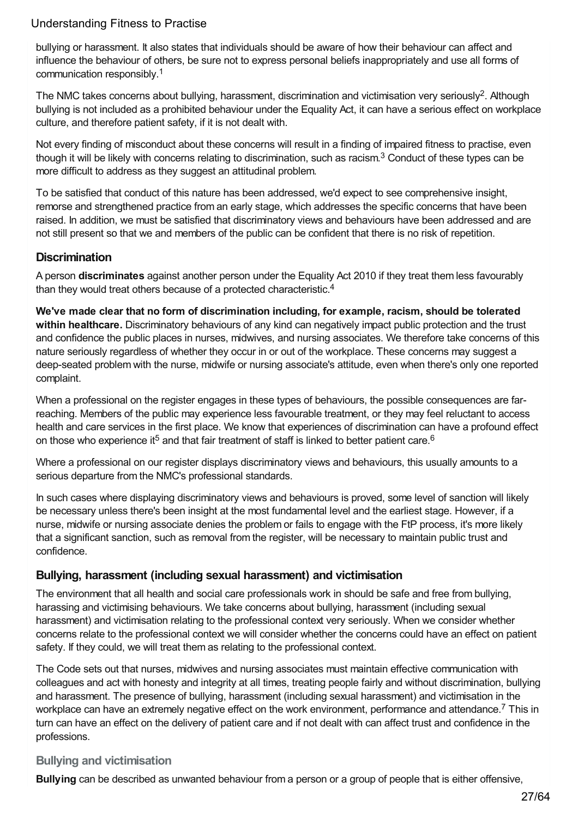bullying or harassment. It also states that individuals should be aware of how their behaviour can affect and influence the behaviour of others, be sure not to express personal beliefs inappropriately and use all forms of communication responsibly. 1

The NMC takes concerns about bullying, harassment, discrimination and victimisation very seriously<sup>2</sup>. Although bullying is not included as a prohibited behaviour under the Equality Act, it can have a serious effect on workplace culture, and therefore patient safety, if it is not dealt with.

Not every finding of misconduct about these concerns will result in a finding of impaired fitness to practise, even though it will be likely with concerns relating to discrimination, such as racism.<sup>3</sup> Conduct of these types can be more difficult to address as they suggest an attitudinal problem.

To be satisfied that conduct of this nature has been addressed, we'd expect to see comprehensive insight, remorse and strengthened practice from an early stage, which addresses the specific concerns that have been raised. In addition, we must be satisfied that discriminatory views and behaviours have been addressed and are not still present so that we and members of the public can be confident that there is no risk of repetition.

#### **Discrimination**

A person **discriminates** against another person under the Equality Act 2010 if they treat them less favourably than they would treat others because of a protected characteristic.<sup>4</sup>

**We've made clear that no form of discrimination including, for example, racism, should be tolerated within healthcare.** Discriminatory behaviours of any kind can negatively impact public protection and the trust and confidence the public places in nurses, midwives, and nursing associates. We therefore take concerns of this nature seriously regardless of whether they occur in or out of the workplace. These concerns may suggest a deep-seated problem with the nurse, midwife or nursing associate's attitude, even when there's only one reported complaint.

When a professional on the register engages in these types of behaviours, the possible consequences are farreaching. Members of the public may experience less favourable treatment, or they may feel reluctant to access health and care services in the first place. We know that experiences of discrimination can have a profound effect on those who experience it<sup>5</sup> and that fair treatment of staff is linked to better patient care.<sup>6</sup>

Where a professional on our register displays discriminatory views and behaviours, this usually amounts to a serious departure from the NMC's professional standards.

In such cases where displaying discriminatory views and behaviours is proved, some level of sanction will likely be necessary unless there's been insight at the most fundamental level and the earliest stage. However, if a nurse, midwife or nursing associate denies the problem or fails to engage with the FtP process, it's more likely that a significant sanction, such as removal from the register, will be necessary to maintain public trust and confidence.

#### **Bullying, harassment (including sexual harassment) and victimisation**

The environment that all health and social care professionals work in should be safe and free from bullying, harassing and victimising behaviours. We take concerns about bullying, harassment (including sexual harassment) and victimisation relating to the professional context very seriously. When we consider whether concerns relate to the professional context we will consider whether the concerns could have an effect on patient safety. If they could, we will treat them as relating to the professional context.

The Code sets out that nurses, midwives and nursing associates must maintain effective communication with colleagues and act with honesty and integrity at all times, treating people fairly and without discrimination, bullying and harassment. The presence of bullying, harassment (including sexual harassment) and victimisation in the workplace can have an extremely negative effect on the work environment, performance and attendance.<sup>7</sup> This in turn can have an effect on the delivery of patient care and if not dealt with can affect trust and confidence in the professions.

#### **Bullying and victimisation**

**Bullying** can be described as unwanted behaviour from a person or a group of people that is either offensive,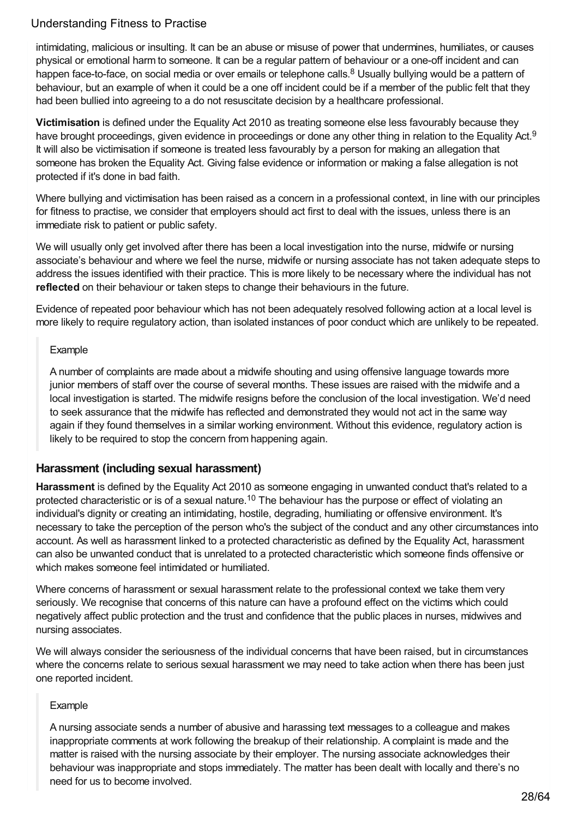intimidating, malicious or insulting. It can be an abuse or misuse of power that undermines, humiliates, or causes physical or emotional harm to someone. It can be a regular pattern of behaviour or a one-off incident and can happen face-to-face, on social media or over emails or telephone calls.<sup>8</sup> Usually bullying would be a pattern of behaviour, but an example of when it could be a one off incident could be if a member of the public felt that they had been bullied into agreeing to a do not resuscitate decision by a healthcare professional.

**Victimisation** is defined under the Equality Act 2010 as treating someone else less favourably because they have brought proceedings, given evidence in proceedings or done any other thing in relation to the Equality Act.<sup>9</sup> It will also be victimisation if someone is treated less favourably by a person for making an allegation that someone has broken the Equality Act. Giving false evidence or information or making a false allegation is not protected if it's done in bad faith.

Where bullying and victimisation has been raised as a concern in a professional context, in line with our principles for fitness to practise, we consider that employers should act first to deal with the issues, unless there is an immediate risk to patient or public safety.

We will usually only get involved after there has been a local investigation into the nurse, midwife or nursing associate's behaviour and where we feel the nurse, midwife or nursing associate has not taken adequate steps to address the issues identified with their practice. This is more likely to be necessary where the individual has not **reflected** on their behaviour or taken steps to change their behaviours in the future.

Evidence of repeated poor behaviour which has not been adequately resolved following action at a local level is more likely to require regulatory action, than isolated instances of poor conduct which are unlikely to be repeated.

#### Example

A number of complaints are made about a midwife shouting and using offensive language towards more junior members of staff over the course of several months. These issues are raised with the midwife and a local investigation is started. The midwife resigns before the conclusion of the local investigation. We'd need to seek assurance that the midwife has reflected and demonstrated they would not act in the same way again if they found themselves in a similar working environment. Without this evidence, regulatory action is likely to be required to stop the concern from happening again.

#### **Harassment (including sexual harassment)**

**Harassment** is defined by the Equality Act 2010 as someone engaging in unwanted conduct that's related to a protected characteristic or is of a sexual nature.<sup>10</sup> The behaviour has the purpose or effect of violating an individual's dignity or creating an intimidating, hostile, degrading, humiliating or offensive environment. It's necessary to take the perception of the person who's the subject of the conduct and any other circumstances into account. As well as harassment linked to a protected characteristic as defined by the Equality Act, harassment can also be unwanted conduct that is unrelated to a protected characteristic which someone finds offensive or which makes someone feel intimidated or humiliated.

Where concerns of harassment or sexual harassment relate to the professional context we take them very seriously. We recognise that concerns of this nature can have a profound effect on the victims which could negatively affect public protection and the trust and confidence that the public places in nurses, midwives and nursing associates.

We will always consider the seriousness of the individual concerns that have been raised, but in circumstances where the concerns relate to serious sexual harassment we may need to take action when there has been just one reported incident.

#### Example

A nursing associate sends a number of abusive and harassing text messages to a colleague and makes inappropriate comments at work following the breakup of their relationship. A complaint is made and the matter is raised with the nursing associate by their employer. The nursing associate acknowledges their behaviour was inappropriate and stops immediately. The matter has been dealt with locally and there's no need for us to become involved.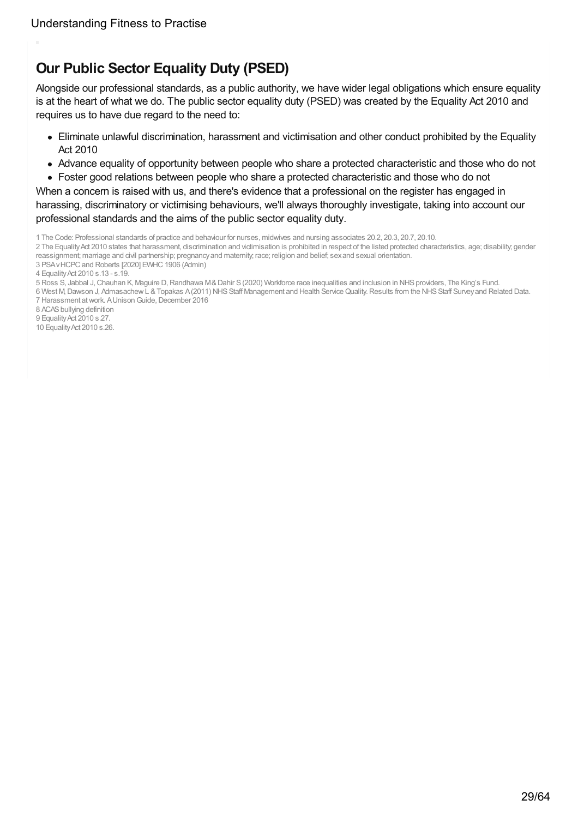# <span id="page-28-0"></span>**Our Public Sector Equality Duty (PSED)**

Alongside our professional standards, as a public authority, we have wider legal obligations which ensure equality is at the heart of what we do. The public sector equality duty (PSED) was created by the Equality Act 2010 and requires us to have due regard to the need to:

- Eliminate unlawful discrimination, harassment and victimisation and other conduct prohibited by the Equality Act 2010
- Advance equality of opportunity between people who share a protected characteristic and those who do not
- Foster good relations between people who share a protected characteristic and those who do not

When a concern is raised with us, and there's evidence that a professional on the register has engaged in harassing, discriminatory or victimising behaviours, we'll always thoroughly investigate, taking into account our professional standards and the aims of the public sector equality duty.

- 2 The Equality Act 2010 states that harassment, discrimination and victimisation is prohibited in respect of the listed protected characteristics, age; disability, gender reassignment; marriage and civil partnership; pregnancyand maternity; race; religion and belief; sexand sexual orientation.
- 3 PSAvHCPCand Roberts [2020] EWHC1906 (Admin)

- 5 Ross S, Jabbal J,Chauhan K, Maguire D,Randhawa M&Dahir S(2020) Workforce race inequalities and inclusion in NHSproviders, The King's Fund.
- 6 West M,Dawson J, AdmasachewL &Topakas A(2011) NHSStaff Management and Health ServiceQuality.Results from the NHSStaff Surveyand Related Data. 7 Harassment at work. A Unison Guide, December 2016
- 8 ACAS bullying definition

10 EqualityAct 2010 s.26.

<sup>1</sup> The Code: Professional standards of practice and behaviour for nurses, midwives and nursing associates 20.2, 20.3, 20.7, 20.10.

<sup>4</sup> EqualityAct 2010 s.13 - s.19.

<sup>9</sup> Equality Act 2010 s.27.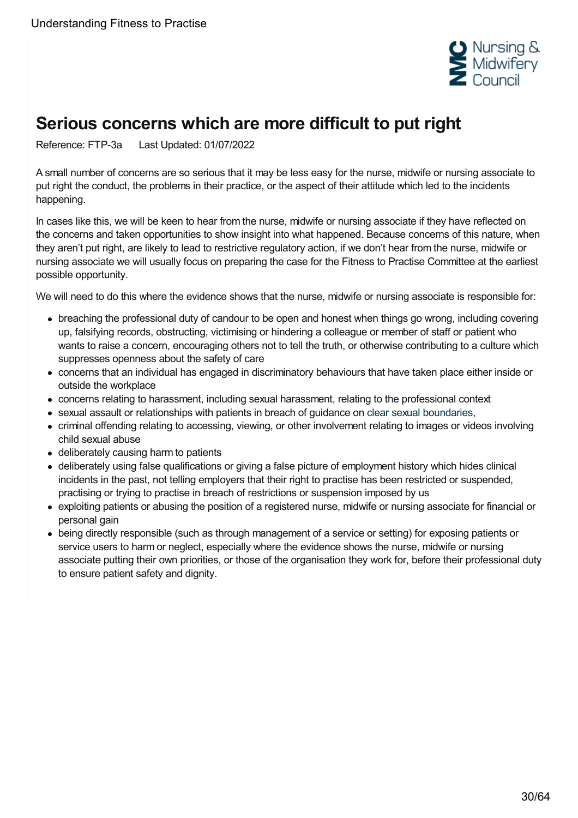

# <span id="page-29-0"></span>**Serious concerns which are more difficult to put right**

Reference: FTP-3a Last Updated: 01/07/2022

A small number of concerns are so serious that it may be less easy for the nurse, midwife or nursing associate to put right the conduct, the problems in their practice, or the aspect of their attitude which led to the incidents happening.

In cases like this, we will be keen to hear from the nurse, midwife or nursing associate if they have reflected on the concerns and taken opportunities to show insight into what happened. Because concerns of this nature, when they aren't put right, are likely to lead to restrictive regulatory action, if we don't hear from the nurse, midwife or nursing associate we will usually focus on preparing the case for the Fitness to Practise Committee at the earliest possible opportunity.

We will need to do this where the evidence shows that the nurse, midwife or nursing associate is responsible for:

- breaching the professional duty of candour to be open and honest when things go wrong, including covering up, falsifying records, obstructing, victimising or hindering a colleague or member of staff or patient who wants to raise a concern, encouraging others not to tell the truth, or otherwise contributing to a culture which suppresses openness about the safety of care
- concerns that an individual has engaged in discriminatory behaviours that have taken place either inside or outside the workplace
- concerns relating to harassment, including sexual harassment, relating to the professional context
- sexual assault or relationships with patients in breach of guidance on clear sexual [boundaries](https://www.professionalstandards.org.uk/docs/default-source/publications/policy-advice/sexual-boundaries-responsibilities-of-healthcare-professionals-2008.pdf),
- criminal offending relating to accessing, viewing, or other involvement relating to images or videos involving child sexual abuse
- deliberately causing harm to patients
- deliberately using false qualifications or giving a false picture of employment history which hides clinical incidents in the past, not telling employers that their right to practise has been restricted or suspended, practising or trying to practise in breach of restrictions or suspension imposed by us
- exploiting patients or abusing the position of a registered nurse, midwife or nursing associate for financial or personal gain
- being directly responsible (such as through management of a service or setting) for exposing patients or service users to harm or neglect, especially where the evidence shows the nurse, midwife or nursing associate putting their own priorities, or those of the organisation they work for, before their professional duty to ensure patient safety and dignity.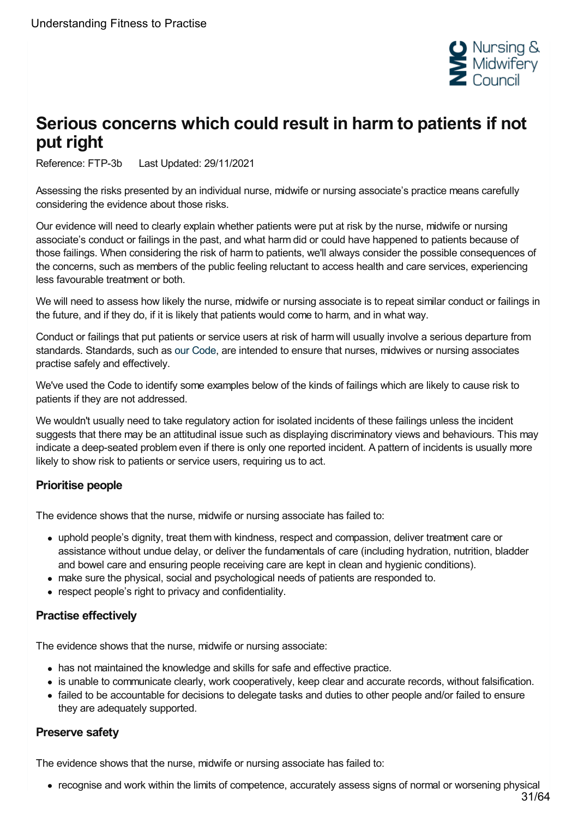

# <span id="page-30-0"></span>**Serious concerns which could result in harm to patients if not put right**

Reference: FTP-3b Last Updated: 29/11/2021

Assessing the risks presented by an individual nurse, midwife or nursing associate's practice means carefully considering the evidence about those risks.

Our evidence will need to clearly explain whether patients were put at risk by the nurse, midwife or nursing associate's conduct or failings in the past, and what harm did or could have happened to patients because of those failings. When considering the risk of harm to patients, we'll always consider the possible consequences of the concerns, such as members of the public feeling reluctant to access health and care services, experiencing less favourable treatment or both.

We will need to assess how likely the nurse, midwife or nursing associate is to repeat similar conduct or failings in the future, and if they do, if it is likely that patients would come to harm, and in what way.

Conduct or failings that put patients or service users at risk of harm will usually involve a serious departure from standards. Standards, such as our [Code](https://www.nmc.org.uk/standards/code/), are intended to ensure that nurses, midwives or nursing associates practise safely and effectively.

We've used the Code to identify some examples below of the kinds of failings which are likely to cause risk to patients if they are not addressed.

We wouldn't usually need to take regulatory action for isolated incidents of these failings unless the incident suggests that there may be an attitudinal issue such as displaying discriminatory views and behaviours. This may indicate a deep-seated problem even if there is only one reported incident. A pattern of incidents is usually more likely to show risk to patients or service users, requiring us to act.

#### **Prioritise people**

The evidence shows that the nurse, midwife or nursing associate has failed to:

- uphold people's dignity, treat them with kindness, respect and compassion, deliver treatment care or assistance without undue delay, or deliver the fundamentals of care (including hydration, nutrition, bladder and bowel care and ensuring people receiving care are kept in clean and hygienic conditions).
- make sure the physical, social and psychological needs of patients are responded to.
- respect people's right to privacy and confidentiality.

#### **Practise effectively**

The evidence shows that the nurse, midwife or nursing associate:

- has not maintained the knowledge and skills for safe and effective practice.
- is unable to communicate clearly, work cooperatively, keep clear and accurate records, without falsification.
- failed to be accountable for decisions to delegate tasks and duties to other people and/or failed to ensure they are adequately supported.

#### **Preserve safety**

The evidence shows that the nurse, midwife or nursing associate has failed to:

recognise and work within the limits of competence, accurately assess signs of normal or worsening physical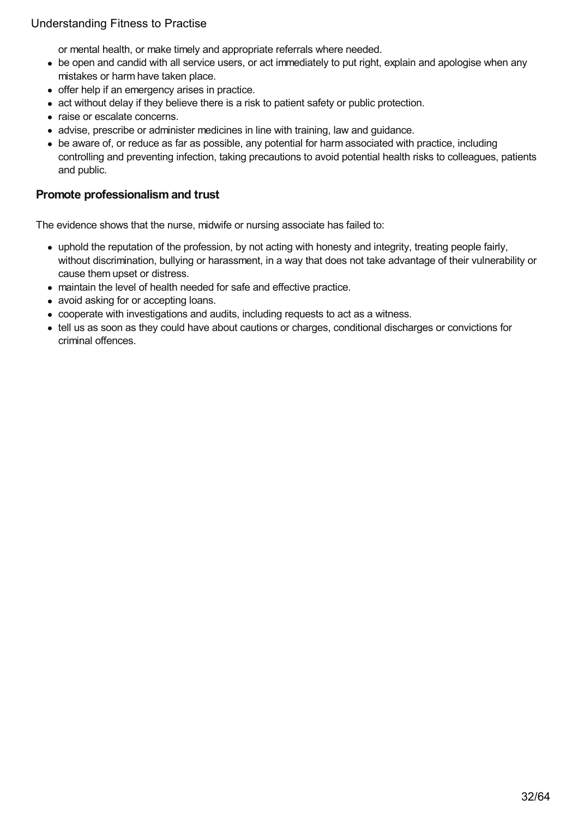or mental health, or make timely and appropriate referrals where needed.

- be open and candid with all service users, or act immediately to put right, explain and apologise when any mistakes or harm have taken place.
- offer help if an emergency arises in practice.
- act without delay if they believe there is a risk to patient safety or public protection.
- raise or escalate concerns.
- advise, prescribe or administer medicines in line with training, law and guidance.
- be aware of, or reduce as far as possible, any potential for harm associated with practice, including controlling and preventing infection, taking precautions to avoid potential health risks to colleagues, patients and public.

#### **Promote professionalism and trust**

The evidence shows that the nurse, midwife or nursing associate has failed to:

- uphold the reputation of the profession, by not acting with honesty and integrity, treating people fairly, without discrimination, bullying or harassment, in a way that does not take advantage of their vulnerability or cause them upset or distress.
- maintain the level of health needed for safe and effective practice.
- avoid asking for or accepting loans.
- cooperate with investigations and audits, including requests to act as a witness.
- tell us as soon as they could have about cautions or charges, conditional discharges or convictions for criminal offences.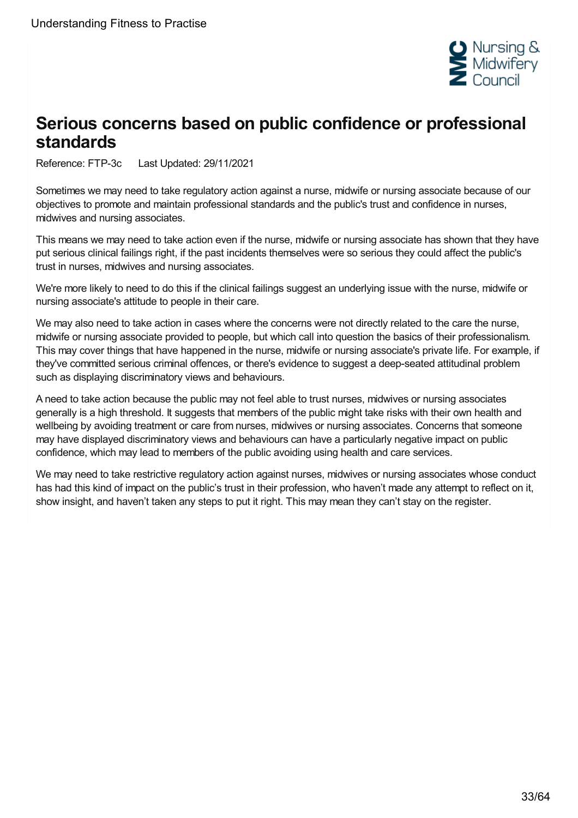

# <span id="page-32-0"></span>**Serious concerns based on public confidence or professional standards**

Reference: FTP-3c Last Updated: 29/11/2021

Sometimes we may need to take regulatory action against a nurse, midwife or nursing associate because of our objectives to promote and maintain professional standards and the public's trust and confidence in nurses, midwives and nursing associates.

This means we may need to take action even if the nurse, midwife or nursing associate has shown that they have put serious clinical failings right, if the past incidents themselves were so serious they could affect the public's trust in nurses, midwives and nursing associates.

We're more likely to need to do this if the clinical failings suggest an underlying issue with the nurse, midwife or nursing associate's attitude to people in their care.

We may also need to take action in cases where the concerns were not directly related to the care the nurse, midwife or nursing associate provided to people, but which call into question the basics of their professionalism. This may cover things that have happened in the nurse, midwife or nursing associate's private life. For example, if they've committed serious criminal offences, or there's evidence to suggest a deep-seated attitudinal problem such as displaying discriminatory views and behaviours.

A need to take action because the public may not feel able to trust nurses, midwives or nursing associates generally is a high threshold. It suggests that members of the public might take risks with their own health and wellbeing by avoiding treatment or care from nurses, midwives or nursing associates. Concerns that someone may have displayed discriminatory views and behaviours can have a particularly negative impact on public confidence, which may lead to members of the public avoiding using health and care services.

We may need to take restrictive regulatory action against nurses, midwives or nursing associates whose conduct has had this kind of impact on the public's trust in their profession, who haven't made any attempt to reflect on it, show insight, and haven't taken any steps to put it right. This may mean they can't stay on the register.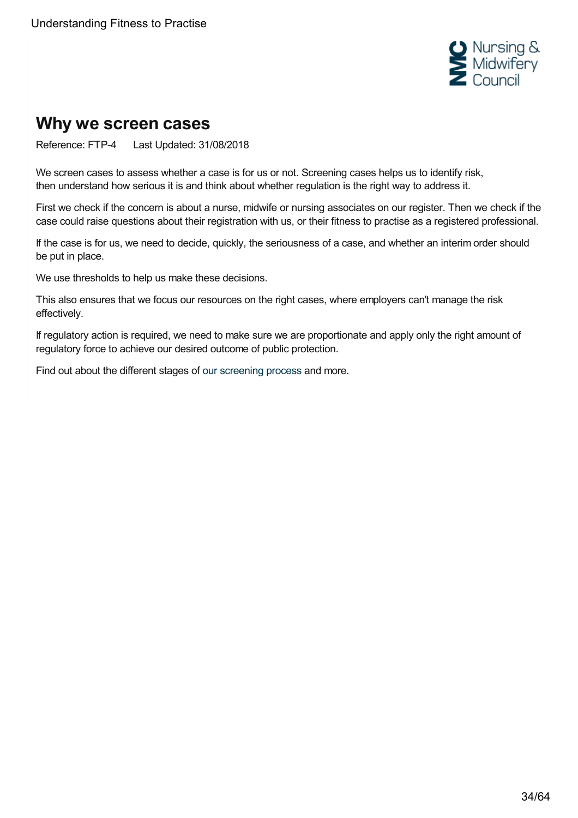

# <span id="page-33-0"></span>**Why we screen cases**

Reference: FTP-4 Last Updated: 31/08/2018

We screen cases to assess whether a case is for us or not. Screening cases helps us to identify risk, then understand how serious it is and think about whether regulation is the right way to address it.

First we check if the concern is about a nurse, midwife or nursing associates on our register. Then we check if the case could raise questions about their registration with us, or their fitness to practise as a registered professional.

If the case is for us, we need to decide, quickly, the seriousness of a case, and whether an interim order should be put in place.

We use thresholds to help us make these decisions.

This also ensures that we focus our resources on the right cases, where employers can't manage the risk effectively.

If regulatory action is required, we need to make sure we are proportionate and apply only the right amount of regulatory force to achieve our desired outcome of public protection.

Find out about the different stages of our [screening](https://www.nmc.org.uk/ftp-library/screening/) process and more.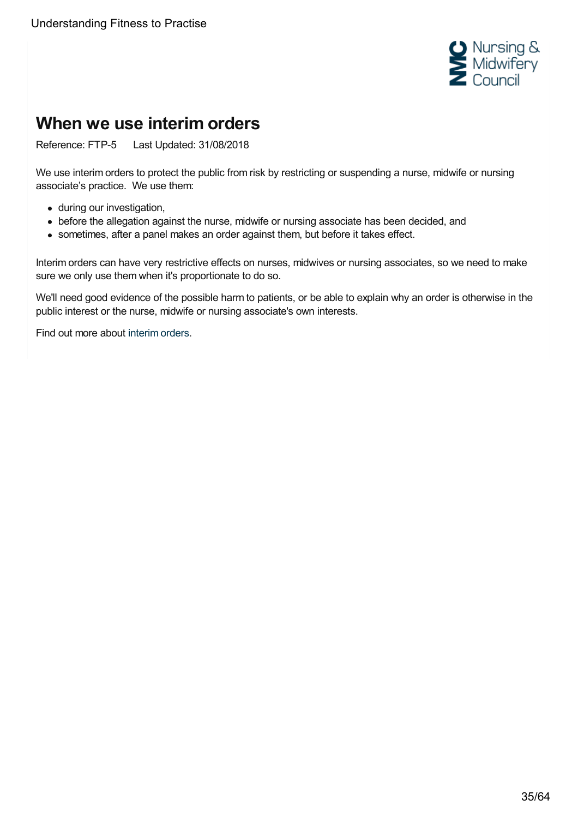

# <span id="page-34-0"></span>**When we use interim orders**

Reference: FTP-5 Last Updated: 31/08/2018

We use interim orders to protect the public from risk by restricting or suspending a nurse, midwife or nursing associate's practice. We use them:

- during our investigation,
- before the allegation against the nurse, midwife or nursing associate has been decided, and
- sometimes, after a panel makes an order against them, but before it takes effect.

Interim orders can have very restrictive effects on nurses, midwives or nursing associates, so we need to make sure we only use them when it's proportionate to do so.

We'll need good evidence of the possible harm to patients, or be able to explain why an order is otherwise in the public interest or the nurse, midwife or nursing associate's own interests.

Find out more about [interim](https://www.nmc.org.uk/ftp-library/interim-orders/) orders.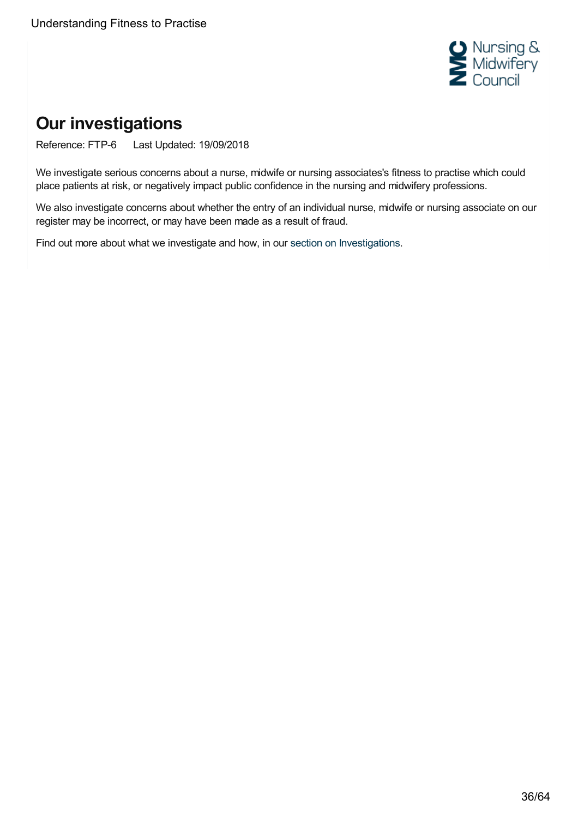

# <span id="page-35-0"></span>**Our investigations**

Reference: FTP-6 Last Updated: 19/09/2018

We investigate serious concerns about a nurse, midwife or nursing associates's fitness to practise which could place patients at risk, or negatively impact public confidence in the nursing and midwifery professions.

We also investigate concerns about whether the entry of an individual nurse, midwife or nursing associate on our register may be incorrect, or may have been made as a result of fraud.

Find out more about what we investigate and how, in our section on [Investigations](https://www.nmc.org.uk/ftp-library/investigations/).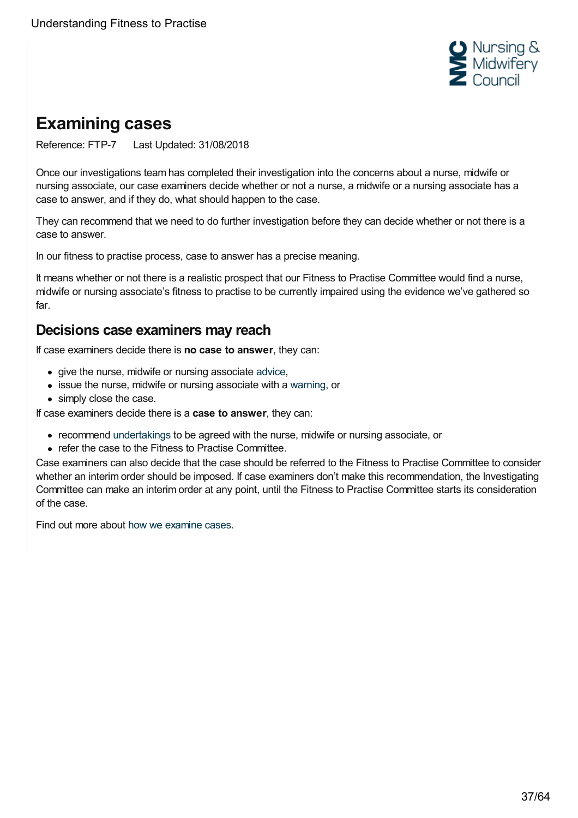

# <span id="page-36-0"></span>**Examining cases**

Reference: FTP-7 Last Updated: 31/08/2018

Once our investigations team has completed their investigation into the concerns about a nurse, midwife or nursing associate, our case examiners decide whether or not a nurse, a midwife or a nursing associate has a case to answer, and if they do, what should happen to the case.

They can recommend that we need to do further investigation before they can decide whether or not there is a case to answer.

In our fitness to practise process, case to answer has a precise meaning.

It means whether or not there is a realistic prospect that our Fitness to Practise Committee would find a nurse, midwife or nursing associate's fitness to practise to be currently impaired using the evidence we've gathered so far.

## **Decisions case examiners may reach**

If case examiners decide there is **no case to answer**, they can:

- give the nurse, midwife or nursing associate [advice](https://www.nmc.org.uk/ftp-library/case-examiners/available-outcomes/advice/),
- issue the nurse, midwife or nursing associate with a [warning](https://www.nmc.org.uk/ftp-library/case-examiners/available-outcomes/warnings/), or
- simply close the case.

If case examiners decide there is a **case to answer**, they can:

- recommend [undertakings](https://www.nmc.org.uk/ftp-library/case-examiners/available-outcomes/undertakings/) to be agreed with the nurse, midwife or nursing associate, or
- refer the case to the Fitness to Practise Committee.

Case examiners can also decide that the case should be referred to the Fitness to Practise Committee to consider whether an interim order should be imposed. If case examiners don't make this recommendation, the Investigating Committee can make an interim order at any point, until the Fitness to Practise Committee starts its consideration of the case.

Find out more about how we [examine](https://www.nmc.org.uk/ftp-library/case-examiners/) cases.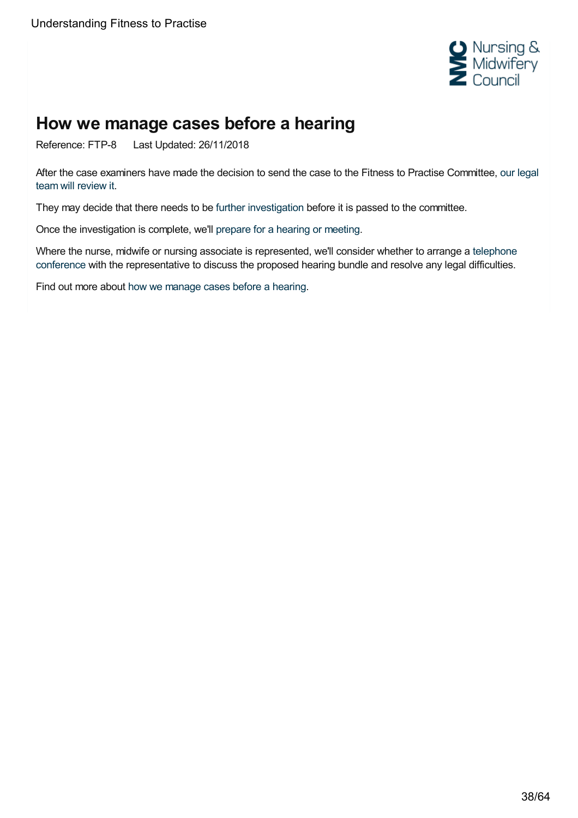

# <span id="page-37-0"></span>**How we manage cases before a hearing**

Reference: FTP-8 Last Updated: 26/11/2018

After the case examiners have made the decision to send the case to the Fitness to Practise [Committee,](https://www.nmc.org.uk/ftp-library/hearings/reviewing-cases-after-they-get-referred-to-the-ftpc/) our legal team will review it.

They may decide that there needs to be further [investigation](https://www.nmc.org.uk/ftp-library/hearings/gathering-further-evidence-after-the-investigation/) before it is passed to the committee.

Once the investigation is complete, we'll [prepare](https://www.nmc.org.uk/ftp-library/understanding-fitness-to-practise/how-we-manage-cases/) for a hearing or meeting.

Where the nurse, midwife or nursing associate is [represented,](https://www.nmc.org.uk/ftp-library/case-management/telephone-conferences/) we'll consider whether to arrange a telephone conference with the representative to discuss the proposed hearing bundle and resolve any legal difficulties.

Find out more about how we [manage](https://www.nmc.org.uk/ftp-library/understanding-fitness-to-practise/how-we-manage-cases/) cases before a hearing.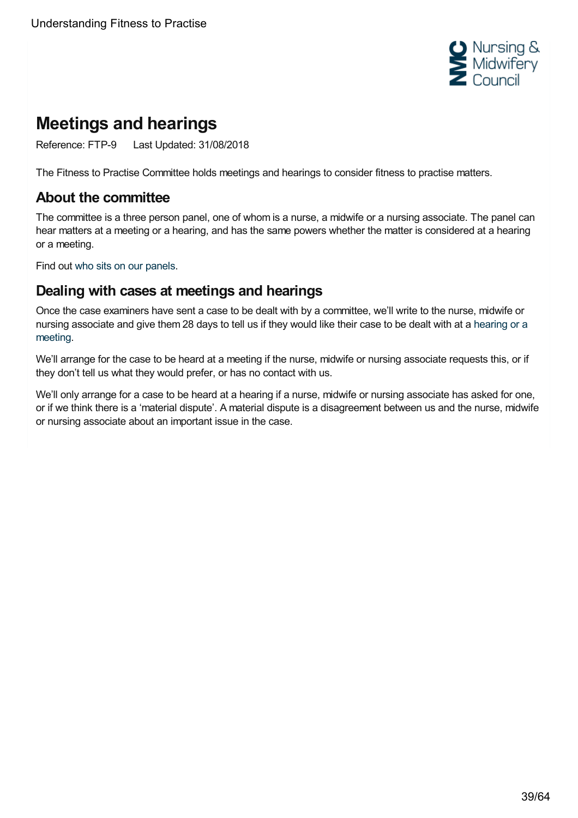

# <span id="page-38-0"></span>**Meetings and hearings**

Reference: FTP-9 Last Updated: 31/08/2018

The Fitness to Practise Committee holds meetings and hearings to consider fitness to practise matters.

## **About the committee**

The committee is a three person panel, one of whom is a nurse, a midwife or a nursing associate. The panel can hear matters at a meeting or a hearing, and has the same powers whether the matter is considered at a hearing or a meeting.

Find out who sits on our [panels](https://www.nmc.org.uk/ftp-library/case-management/constitution-of-panels/).

## **Dealing with cases at meetings and hearings**

Once the case examiners have sent a case to be dealt with by a committee, we'll write to the nurse, midwife or nursing [associate](https://www.nmc.org.uk/ftp-library/case-management/dealing-with-cases-at-hearings-or-meetings/) and give them 28 days to tell us if they would like their case to be dealt with at a hearing or a meeting.

We'll arrange for the case to be heard at a meeting if the nurse, midwife or nursing associate requests this, or if they don't tell us what they would prefer, or has no contact with us.

We'll only arrange for a case to be heard at a hearing if a nurse, midwife or nursing associate has asked for one, or if we think there is a 'material dispute'. A material dispute is a disagreement between us and the nurse, midwife or nursing associate about an important issue in the case.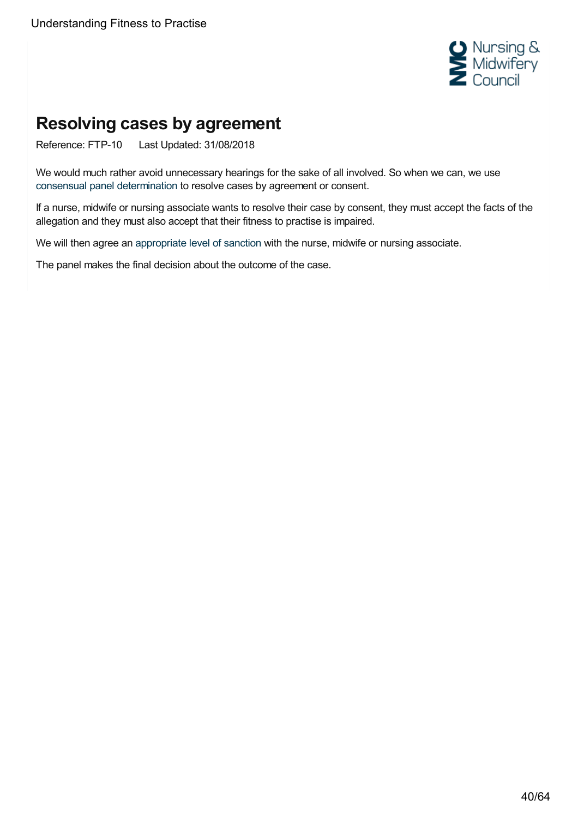

# <span id="page-39-0"></span>**Resolving cases by agreement**

Reference: FTP-10 Last Updated: 31/08/2018

We would much rather avoid unnecessary hearings for the sake of all involved. So when we can, we use consensual panel [determination](https://www.nmc.org.uk/ftp-library/ftpc-decision-making/consensual-panel-determination/) to resolve cases by agreement or consent.

If a nurse, midwife or nursing associate wants to resolve their case by consent, they must accept the facts of the allegation and they must also accept that their fitness to practise is impaired.

We will then agree an [appropriate](https://www.nmc.org.uk/ftp-library/understanding-fitness-to-practise/what-sanctions-are-and-when-we-might-use-them/) level of sanction with the nurse, midwife or nursing associate.

The panel makes the final decision about the outcome of the case.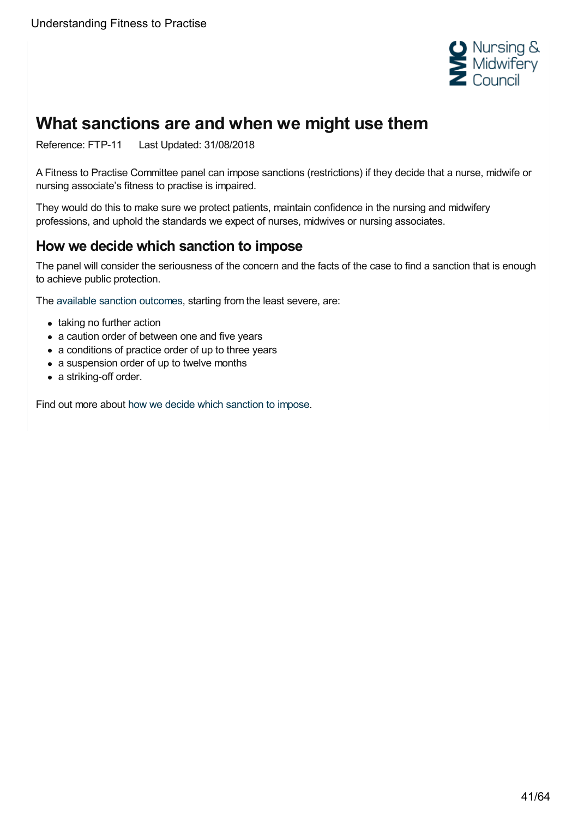

# <span id="page-40-0"></span>**What sanctions are and when we might use them**

Reference: FTP-11 Last Updated: 31/08/2018

A Fitness to Practise Committee panel can impose sanctions (restrictions) if they decide that a nurse, midwife or nursing associate's fitness to practise is impaired.

They would do this to make sure we protect patients, maintain confidence in the nursing and midwifery professions, and uphold the standards we expect of nurses, midwives or nursing associates.

## **How we decide which sanction to impose**

The panel will consider the seriousness of the concern and the facts of the case to find a sanction that is enough to achieve public protection.

The available sanction [outcomes](https://www.nmc.org.uk/ftp-library/sanctions/the-sanctions/), starting from the least severe, are:

- taking no further action
- a caution order of between one and five years
- a conditions of practice order of up to three years
- a suspension order of up to twelve months
- a striking-off order.

Find out more about how we decide which [sanction](https://www.nmc.org.uk/ftp-library/sanctions/) to impose.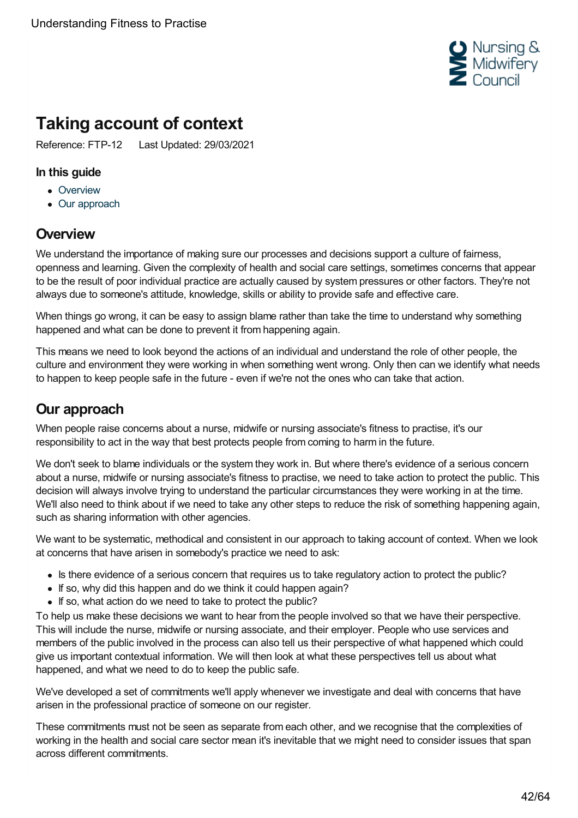

# <span id="page-41-0"></span>**Taking account of context**

Reference: FTP-12 Last Updated: 29/03/2021

#### **In this guide**

- [Overview](#page-41-1)
- Our [approach](#page-41-2)

# <span id="page-41-1"></span>**Overview**

We understand the importance of making sure our processes and decisions support a culture of fairness, openness and learning. Given the complexity of health and social care settings, sometimes concerns that appear to be the result of poor individual practice are actually caused by system pressures or other factors. They're not always due to someone's attitude, knowledge, skills or ability to provide safe and effective care.

When things go wrong, it can be easy to assign blame rather than take the time to understand why something happened and what can be done to prevent it from happening again.

This means we need to look beyond the actions of an individual and understand the role of other people, the culture and environment they were working in when something went wrong. Only then can we identify what needs to happen to keep people safe in the future - even if we're not the ones who can take that action.

# <span id="page-41-2"></span>**Our approach**

When people raise concerns about a nurse, midwife or nursing associate's fitness to practise, it's our responsibility to act in the way that best protects people from coming to harm in the future.

We don't seek to blame individuals or the system they work in. But where there's evidence of a serious concern about a nurse, midwife or nursing associate's fitness to practise, we need to take action to protect the public. This decision will always involve trying to understand the particular circumstances they were working in at the time. We'll also need to think about if we need to take any other steps to reduce the risk of something happening again, such as sharing information with other agencies.

We want to be systematic, methodical and consistent in our approach to taking account of context. When we look at concerns that have arisen in somebody's practice we need to ask:

- Is there evidence of a serious concern that requires us to take requiatory action to protect the public?
- If so, why did this happen and do we think it could happen again?
- If so, what action do we need to take to protect the public?

To help us make these decisions we want to hear from the people involved so that we have their perspective. This will include the nurse, midwife or nursing associate, and their employer. People who use services and members of the public involved in the process can also tell us their perspective of what happened which could give us important contextual information. We will then look at what these perspectives tell us about what happened, and what we need to do to keep the public safe.

We've developed a set of commitments we'll apply whenever we investigate and deal with concerns that have arisen in the professional practice of someone on our register.

These commitments must not be seen as separate from each other, and we recognise that the complexities of working in the health and social care sector mean it's inevitable that we might need to consider issues that span across different commitments.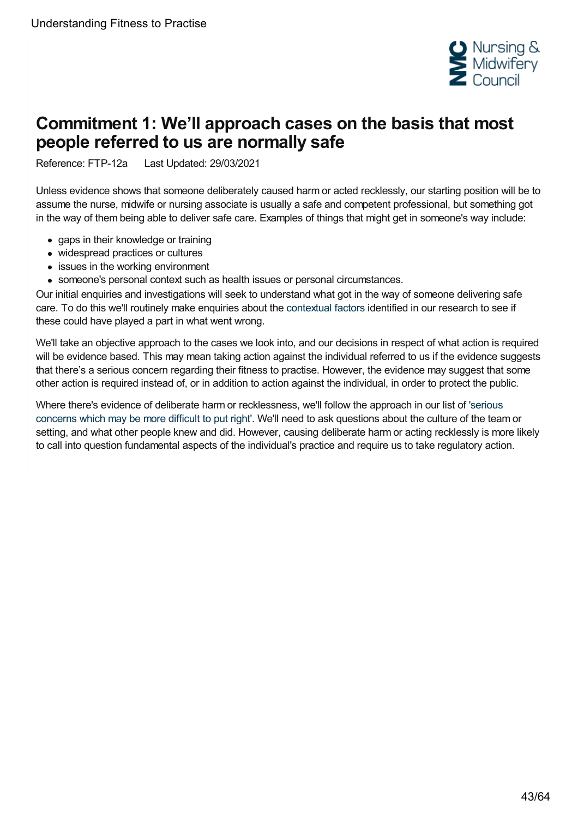

# <span id="page-42-0"></span>**Commitment 1: We'll approach cases on the basis that most people referred to us are normally safe**

Reference: FTP-12a Last Updated: 29/03/2021

Unless evidence shows that someone deliberately caused harm or acted recklessly, our starting position will be to assume the nurse, midwife or nursing associate is usually a safe and competent professional, but something got in the way of them being able to deliver safe care. Examples of things that might get in someone's way include:

- gaps in their knowledge or training
- widespread practices or cultures
- issues in the working environment
- someone's personal context such as health issues or personal circumstances.

Our initial enquiries and investigations will seek to understand what got in the way of someone delivering safe care. To do this we'll routinely make enquiries about the [contextual](https://www.nmc.org.uk/ftp-library/understanding-fitness-to-practise/taking-account-of-context/what-context-factors-we-think-are-important-to-know-about-when-considering-a-case/) factors identified in our research to see if these could have played a part in what went wrong.

We'll take an objective approach to the cases we look into, and our decisions in respect of what action is required will be evidence based. This may mean taking action against the individual referred to us if the evidence suggests that there's a serious concern regarding their fitness to practise. However, the evidence may suggest that some other action is required instead of, or in addition to action against the individual, in order to protect the public.

Where there's evidence of deliberate harm or [recklessness,](https://www.nmc.org.uk/ftp-library/understanding-fitness-to-practise/how-we-determine-seriousness/serious-concerns-which-are-more-difficult-to-put-right/) we'll follow the approach in our list of 'serious concerns which may be more difficult to put right'. We'll need to ask questions about the culture of the team or setting, and what other people knew and did. However, causing deliberate harm or acting recklessly is more likely to call into question fundamental aspects of the individual's practice and require us to take regulatory action.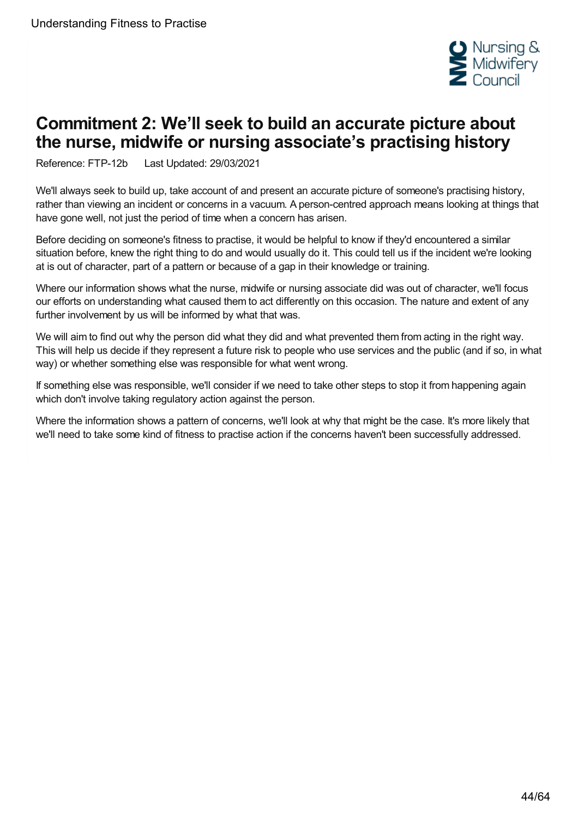

# <span id="page-43-0"></span>**Commitment 2: We'll seek to build an accurate picture about the nurse, midwife or nursing associate's practising history**

Reference: FTP-12b Last Updated: 29/03/2021

We'll always seek to build up, take account of and present an accurate picture of someone's practising history, rather than viewing an incident or concerns in a vacuum. A person-centred approach means looking at things that have gone well, not just the period of time when a concern has arisen.

Before deciding on someone's fitness to practise, it would be helpful to know if they'd encountered a similar situation before, knew the right thing to do and would usually do it. This could tell us if the incident we're looking at is out of character, part of a pattern or because of a gap in their knowledge or training.

Where our information shows what the nurse, midwife or nursing associate did was out of character, we'll focus our efforts on understanding what caused them to act differently on this occasion. The nature and extent of any further involvement by us will be informed by what that was.

We will aim to find out why the person did what they did and what prevented them from acting in the right way. This will help us decide if they represent a future risk to people who use services and the public (and if so, in what way) or whether something else was responsible for what went wrong.

If something else was responsible, we'll consider if we need to take other steps to stop it from happening again which don't involve taking regulatory action against the person.

Where the information shows a pattern of concerns, we'll look at why that might be the case. It's more likely that we'll need to take some kind of fitness to practise action if the concerns haven't been successfully addressed.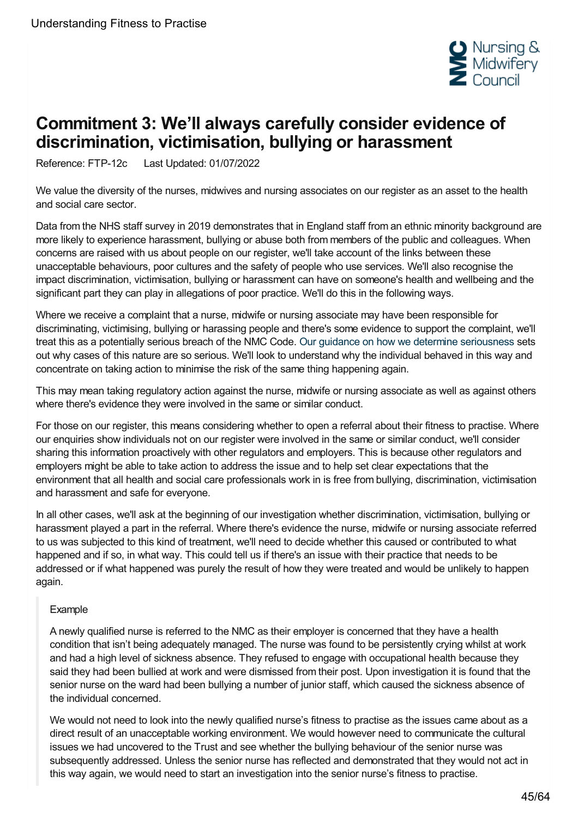

# <span id="page-44-0"></span>**Commitment 3: We'll always carefully consider evidence of discrimination, victimisation, bullying or harassment**

Reference: FTP-12c Last Updated: 01/07/2022

We value the diversity of the nurses, midwives and nursing associates on our register as an asset to the health and social care sector.

Data from the NHS staff survey in 2019 demonstrates that in England staff from an ethnic minority background are more likely to experience harassment, bullying or abuse both from members of the public and colleagues. When concerns are raised with us about people on our register, we'll take account of the links between these unacceptable behaviours, poor cultures and the safety of people who use services. We'll also recognise the impact discrimination, victimisation, bullying or harassment can have on someone's health and wellbeing and the significant part they can play in allegations of poor practice. We'll do this in the following ways.

Where we receive a complaint that a nurse, midwife or nursing associate may have been responsible for discriminating, victimising, bullying or harassing people and there's some evidence to support the complaint, we'll treat this as a potentially serious breach of the NMC Code. Our guidance on how we determine [seriousness](https://www.nmc.org.uk/ftp-library/understanding-fitness-to-practise/how-we-determine-seriousness/) sets out why cases of this nature are so serious. We'll look to understand why the individual behaved in this way and concentrate on taking action to minimise the risk of the same thing happening again.

This may mean taking regulatory action against the nurse, midwife or nursing associate as well as against others where there's evidence they were involved in the same or similar conduct.

For those on our register, this means considering whether to open a referral about their fitness to practise. Where our enquiries show individuals not on our register were involved in the same or similar conduct, we'll consider sharing this information proactively with other regulators and employers. This is because other regulators and employers might be able to take action to address the issue and to help set clear expectations that the environment that all health and social care professionals work in is free from bullying, discrimination, victimisation and harassment and safe for everyone.

In all other cases, we'll ask at the beginning of our investigation whether discrimination, victimisation, bullying or harassment played a part in the referral. Where there's evidence the nurse, midwife or nursing associate referred to us was subjected to this kind of treatment, we'll need to decide whether this caused or contributed to what happened and if so, in what way. This could tell us if there's an issue with their practice that needs to be addressed or if what happened was purely the result of how they were treated and would be unlikely to happen again.

#### Example

A newly qualified nurse is referred to the NMC as their employer is concerned that they have a health condition that isn't being adequately managed. The nurse was found to be persistently crying whilst at work and had a high level of sickness absence. They refused to engage with occupational health because they said they had been bullied at work and were dismissed from their post. Upon investigation it is found that the senior nurse on the ward had been bullying a number of junior staff, which caused the sickness absence of the individual concerned.

We would not need to look into the newly qualified nurse's fitness to practise as the issues came about as a direct result of an unacceptable working environment. We would however need to communicate the cultural issues we had uncovered to the Trust and see whether the bullying behaviour of the senior nurse was subsequently addressed. Unless the senior nurse has reflected and demonstrated that they would not act in this way again, we would need to start an investigation into the senior nurse's fitness to practise.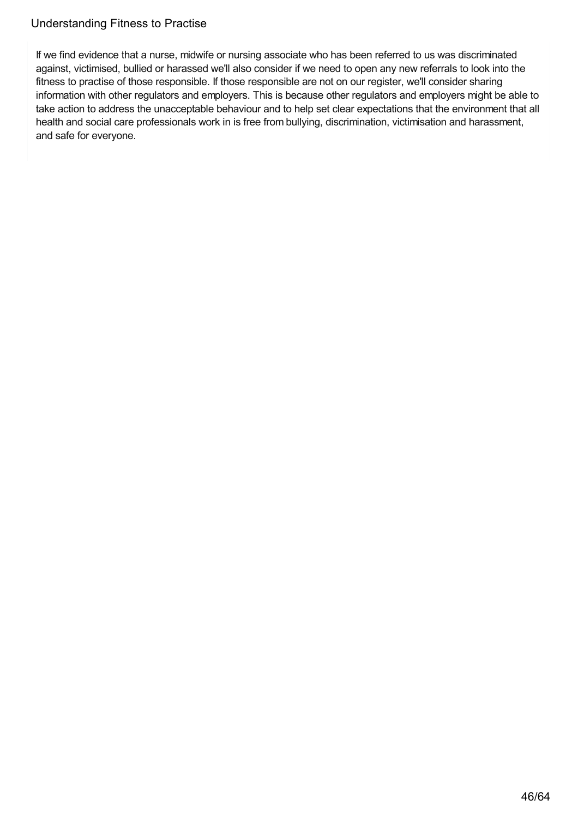If we find evidence that a nurse, midwife or nursing associate who has been referred to us was discriminated against, victimised, bullied or harassed we'll also consider if we need to open any new referrals to look into the fitness to practise of those responsible. If those responsible are not on our register, we'll consider sharing information with other regulators and employers. This is because other regulators and employers might be able to take action to address the unacceptable behaviour and to help set clear expectations that the environment that all health and social care professionals work in is free from bullying, discrimination, victimisation and harassment, and safe for everyone.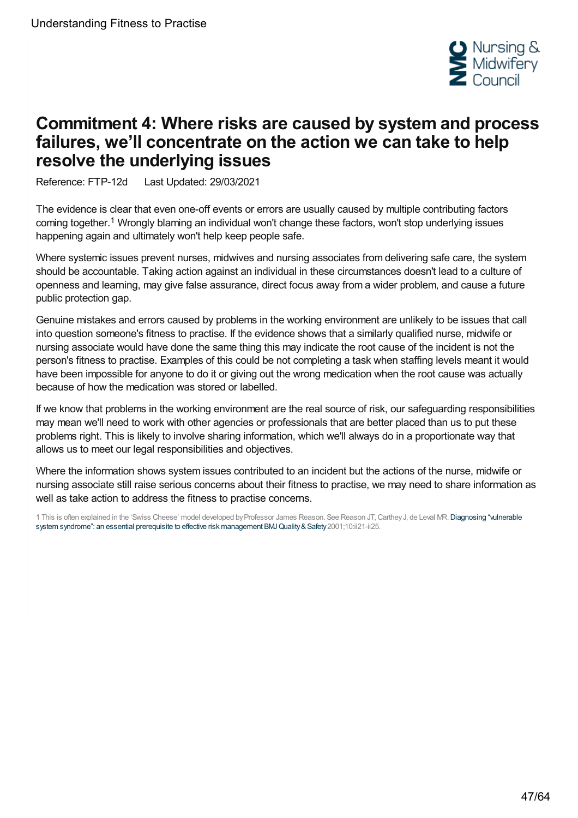

# <span id="page-46-0"></span>**Commitment 4: Where risks are caused by system and process failures, we'll concentrate on the action we can take to help resolve the underlying issues**

Reference: FTP-12d Last Updated: 29/03/2021

The evidence is clear that even one-off events or errors are usually caused by multiple contributing factors coming together.<sup>1</sup> Wrongly blaming an individual won't change these factors, won't stop underlying issues happening again and ultimately won't help keep people safe.

Where systemic issues prevent nurses, midwives and nursing associates from delivering safe care, the system should be accountable. Taking action against an individual in these circumstances doesn't lead to a culture of openness and learning, may give false assurance, direct focus away from a wider problem, and cause a future public protection gap.

Genuine mistakes and errors caused by problems in the working environment are unlikely to be issues that call into question someone's fitness to practise. If the evidence shows that a similarly qualified nurse, midwife or nursing associate would have done the same thing this may indicate the root cause of the incident is not the person's fitness to practise. Examples of this could be not completing a task when staffing levels meant it would have been impossible for anyone to do it or giving out the wrong medication when the root cause was actually because of how the medication was stored or labelled.

If we know that problems in the working environment are the real source of risk, our safeguarding responsibilities may mean we'll need to work with other agencies or professionals that are better placed than us to put these problems right. This is likely to involve sharing information, which we'll always do in a proportionate way that allows us to meet our legal responsibilities and objectives.

Where the information shows system issues contributed to an incident but the actions of the nurse, midwife or nursing associate still raise serious concerns about their fitness to practise, we may need to share information as well as take action to address the fitness to practise concerns.

1 This is often explained in the 'Swiss Cheese' model developed by Professor James Reason. See Reason JT, Carthey J, de Leval MR. Diagnosing "vulnerable system syndrome": an essential prerequisite to effective risk management BMJ Quality & Safety 2001;10:ii21-ii25.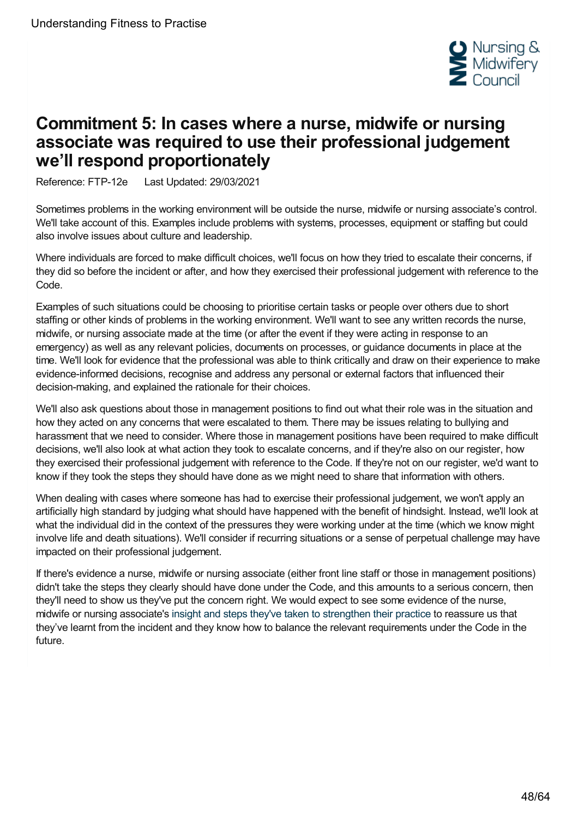

# <span id="page-47-0"></span>**Commitment 5: In cases where a nurse, midwife or nursing associate was required to use their professional judgement we'll respond proportionately**

Reference: FTP-12e Last Updated: 29/03/2021

Sometimes problems in the working environment will be outside the nurse, midwife or nursing associate's control. We'll take account of this. Examples include problems with systems, processes, equipment or staffing but could also involve issues about culture and leadership.

Where individuals are forced to make difficult choices, we'll focus on how they tried to escalate their concerns, if they did so before the incident or after, and how they exercised their professional judgement with reference to the Code.

Examples of such situations could be choosing to prioritise certain tasks or people over others due to short staffing or other kinds of problems in the working environment. We'll want to see any written records the nurse, midwife, or nursing associate made at the time (or after the event if they were acting in response to an emergency) as well as any relevant policies, documents on processes, or guidance documents in place at the time. We'll look for evidence that the professional was able to think critically and draw on their experience to make evidence-informed decisions, recognise and address any personal or external factors that influenced their decision-making, and explained the rationale for their choices.

We'll also ask questions about those in management positions to find out what their role was in the situation and how they acted on any concerns that were escalated to them. There may be issues relating to bullying and harassment that we need to consider. Where those in management positions have been required to make difficult decisions, we'll also look at what action they took to escalate concerns, and if they're also on our register, how they exercised their professional judgement with reference to the Code. If they're not on our register, we'd want to know if they took the steps they should have done as we might need to share that information with others.

When dealing with cases where someone has had to exercise their professional judgement, we won't apply an artificially high standard by judging what should have happened with the benefit of hindsight. Instead, we'll look at what the individual did in the context of the pressures they were working under at the time (which we know might involve life and death situations). We'll consider if recurring situations or a sense of perpetual challenge may have impacted on their professional judgement.

If there's evidence a nurse, midwife or nursing associate (either front line staff or those in management positions) didn't take the steps they clearly should have done under the Code, and this amounts to a serious concern, then they'll need to show us they've put the concern right. We would expect to see some evidence of the nurse, midwife or nursing associate's insight and steps they've taken to [strengthen](https://www.nmc.org.uk/ftp-library/understanding-fitness-to-practise/insight-and-strengthened-practice/) their practice to reassure us that they've learnt from the incident and they know how to balance the relevant requirements under the Code in the future.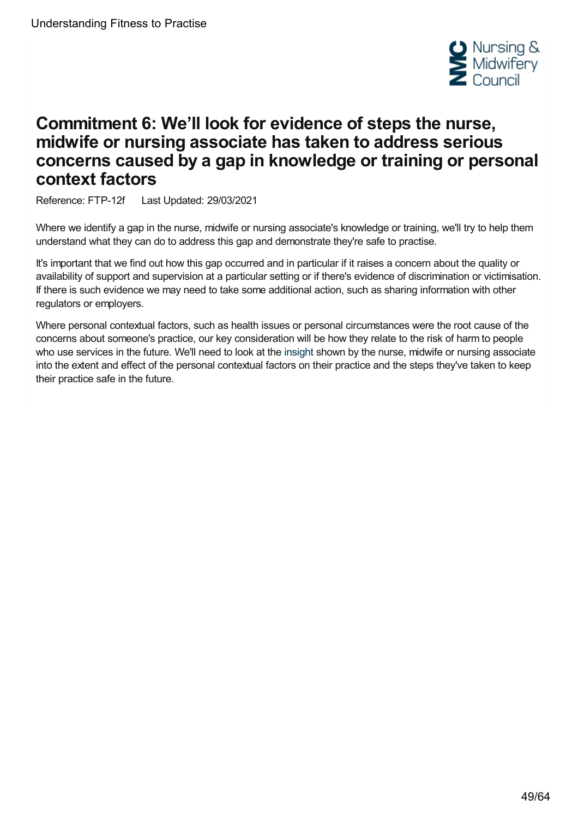

# <span id="page-48-0"></span>**Commitment 6: We'll look for evidence of steps the nurse, midwife or nursing associate has taken to address serious concerns caused by a gap in knowledge or training or personal context factors**

Reference: FTP-12f Last Updated: 29/03/2021

Where we identify a gap in the nurse, midwife or nursing associate's knowledge or training, we'll try to help them understand what they can do to address this gap and demonstrate they're safe to practise.

It's important that we find out how this gap occurred and in particular if it raises a concern about the quality or availability of support and supervision at a particular setting or if there's evidence of discrimination or victimisation. If there is such evidence we may need to take some additional action, such as sharing information with other regulators or employers.

Where personal contextual factors, such as health issues or personal circumstances were the root cause of the concerns about someone's practice, our key consideration will be how they relate to the risk of harm to people who use services in the future. We'll need to look at the [insight](https://www.nmc.org.uk/ftp-library/understanding-fitness-to-practise/insight-and-strengthened-practice/) shown by the nurse, midwife or nursing associate into the extent and effect of the personal contextual factors on their practice and the steps they've taken to keep their practice safe in the future.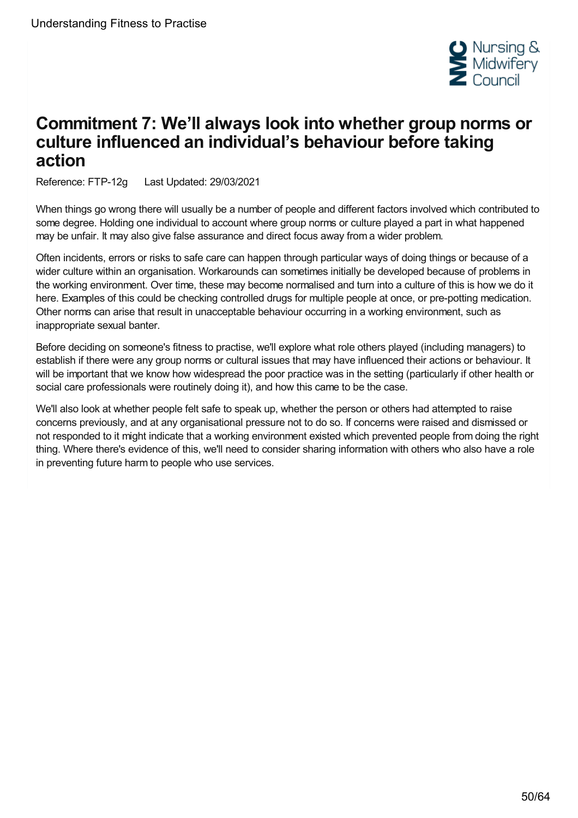

# <span id="page-49-0"></span>**Commitment 7: We'll always look into whether group norms or culture influenced an individual's behaviour before taking action**

Reference: FTP-12g Last Updated: 29/03/2021

When things go wrong there will usually be a number of people and different factors involved which contributed to some degree. Holding one individual to account where group norms or culture played a part in what happened may be unfair. It may also give false assurance and direct focus away from a wider problem.

Often incidents, errors or risks to safe care can happen through particular ways of doing things or because of a wider culture within an organisation. Workarounds can sometimes initially be developed because of problems in the working environment. Over time, these may become normalised and turn into a culture of this is how we do it here. Examples of this could be checking controlled drugs for multiple people at once, or pre-potting medication. Other norms can arise that result in unacceptable behaviour occurring in a working environment, such as inappropriate sexual banter.

Before deciding on someone's fitness to practise, we'll explore what role others played (including managers) to establish if there were any group norms or cultural issues that may have influenced their actions or behaviour. It will be important that we know how widespread the poor practice was in the setting (particularly if other health or social care professionals were routinely doing it), and how this came to be the case.

We'll also look at whether people felt safe to speak up, whether the person or others had attempted to raise concerns previously, and at any organisational pressure not to do so. If concerns were raised and dismissed or not responded to it might indicate that a working environment existed which prevented people from doing the right thing. Where there's evidence of this, we'll need to consider sharing information with others who also have a role in preventing future harm to people who use services.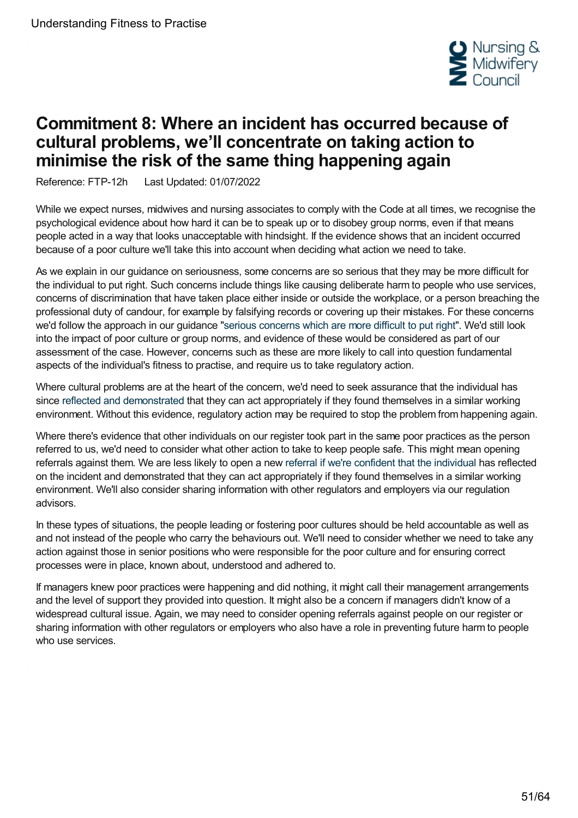

# <span id="page-50-0"></span>**Commitment 8: Where an incident has occurred because of cultural problems, we'll concentrate on taking action to minimise the risk of the same thing happening again**

Reference: FTP-12h Last Updated: 01/07/2022

While we expect nurses, midwives and nursing associates to comply with the Code at all times, we recognise the psychological evidence about how hard it can be to speak up or to disobey group norms, even if that means people acted in a way that looks unacceptable with hindsight. If the evidence shows that an incident occurred because of a poor culture we'll take this into account when deciding what action we need to take.

As we explain in our guidance on seriousness, some concerns are so serious that they may be more difficult for the individual to put right. Such concerns include things like causing deliberate harm to people who use services, concerns of discrimination that have taken place either inside or outside the workplace, or a person breaching the professional duty of candour, for example by falsifying records or covering up their mistakes. For these concerns we'd follow the approach in our guidance "serious [concerns](https://www.nmc.org.uk/ftp-library/understanding-fitness-to-practise/how-we-determine-seriousness/serious-concerns-which-are-more-difficult-to-put-right/) which are more difficult to put right". We'd still look into the impact of poor culture or group norms, and evidence of these would be considered as part of our assessment of the case. However, concerns such as these are more likely to call into question fundamental aspects of the individual's fitness to practise, and require us to take regulatory action.

Where cultural problems are at the heart of the concern, we'd need to seek assurance that the individual has since reflected and [demonstrated](https://www.nmc.org.uk/ftp-library/understanding-fitness-to-practise/insight-and-strengthened-practice/) that they can act appropriately if they found themselves in a similar working environment. Without this evidence, regulatory action may be required to stop the problem from happening again.

Where there's evidence that other individuals on our register took part in the same poor practices as the person referred to us, we'd need to consider what other action to take to keep people safe. This might mean opening referrals against them. We are less likely to open a new referral if we're [confident](https://www.nmc.org.uk/ftp-library/understanding-fitness-to-practise/insight-and-strengthened-practice/) that the individual has reflected on the incident and demonstrated that they can act appropriately if they found themselves in a similar working environment. We'll also consider sharing information with other regulators and employers via our regulation advisors.

In these types of situations, the people leading or fostering poor cultures should be held accountable as well as and not instead of the people who carry the behaviours out. We'll need to consider whether we need to take any action against those in senior positions who were responsible for the poor culture and for ensuring correct processes were in place, known about, understood and adhered to.

If managers knew poor practices were happening and did nothing, it might call their management arrangements and the level of support they provided into question. It might also be a concern if managers didn't know of a widespread cultural issue. Again, we may need to consider opening referrals against people on our register or sharing information with other regulators or employers who also have a role in preventing future harm to people who use services.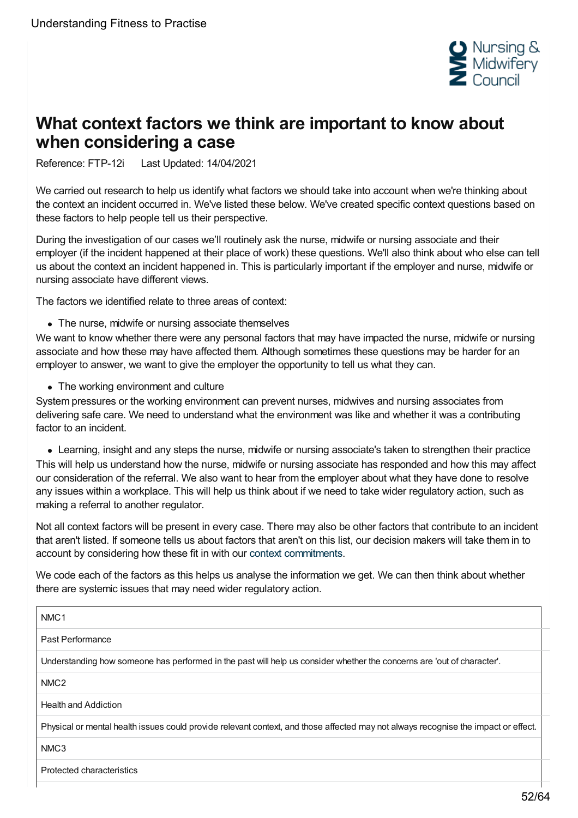

# <span id="page-51-0"></span>**What context factors we think are important to know about when considering a case**

Reference: FTP-12i Last Updated: 14/04/2021

We carried out research to help us identify what factors we should take into account when we're thinking about the context an incident occurred in. We've listed these below. We've created specific context questions based on these factors to help people tell us their perspective.

During the investigation of our cases we'll routinely ask the nurse, midwife or nursing associate and their employer (if the incident happened at their place of work) these questions. We'll also think about who else can tell us about the context an incident happened in. This is particularly important if the employer and nurse, midwife or nursing associate have different views.

The factors we identified relate to three areas of context:

• The nurse, midwife or nursing associate themselves

We want to know whether there were any personal factors that may have impacted the nurse, midwife or nursing associate and how these may have affected them. Although sometimes these questions may be harder for an employer to answer, we want to give the employer the opportunity to tell us what they can.

• The working environment and culture

System pressures or the working environment can prevent nurses, midwives and nursing associates from delivering safe care. We need to understand what the environment was like and whether it was a contributing factor to an incident.

Learning, insight and any steps the nurse, midwife or nursing associate's taken to strengthen their practice This will help us understand how the nurse, midwife or nursing associate has responded and how this may affect our consideration of the referral. We also want to hear from the employer about what they have done to resolve any issues within a workplace. This will help us think about if we need to take wider regulatory action, such as making a referral to another regulator.

Not all context factors will be present in every case. There may also be other factors that contribute to an incident that aren't listed. If someone tells us about factors that aren't on this list, our decision makers will take them in to account by considering how these fit in with our context [commitments](https://www.nmc.org.uk/ftp-library/understanding-fitness-to-practise/taking-account-of-context/).

We code each of the factors as this helps us analyse the information we get. We can then think about whether there are systemic issues that may need wider regulatory action.

| NMC <sub>1</sub>                                                                                                                   |
|------------------------------------------------------------------------------------------------------------------------------------|
| Past Performance                                                                                                                   |
| Understanding how someone has performed in the past will help us consider whether the concerns are 'out of character'.             |
| NMC <sub>2</sub>                                                                                                                   |
| <b>Health and Addiction</b>                                                                                                        |
| Physical or mental health issues could provide relevant context, and those affected may not always recognise the impact or effect. |
| NMC <sub>3</sub>                                                                                                                   |
| Protected characteristics                                                                                                          |
|                                                                                                                                    |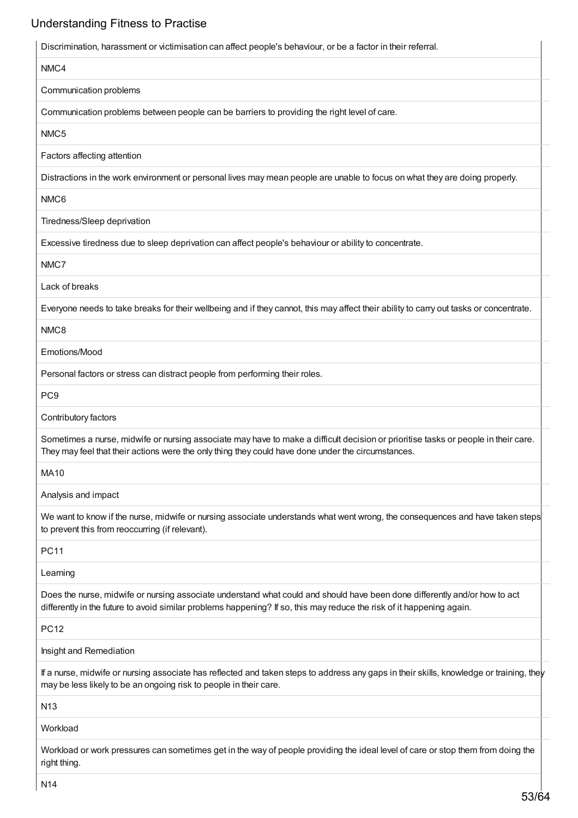| Discrimination, harassment or victimisation can affect people's behaviour, or be a factor in their referral.                                                                                                                                        |
|-----------------------------------------------------------------------------------------------------------------------------------------------------------------------------------------------------------------------------------------------------|
| NMC4                                                                                                                                                                                                                                                |
| Communication problems                                                                                                                                                                                                                              |
| Communication problems between people can be barriers to providing the right level of care.                                                                                                                                                         |
| NMC5                                                                                                                                                                                                                                                |
| Factors affecting attention                                                                                                                                                                                                                         |
| Distractions in the work environment or personal lives may mean people are unable to focus on what they are doing properly.                                                                                                                         |
| NMC6                                                                                                                                                                                                                                                |
| Tiredness/Sleep deprivation                                                                                                                                                                                                                         |
| Excessive tiredness due to sleep deprivation can affect people's behaviour or ability to concentrate.                                                                                                                                               |
| NMC7                                                                                                                                                                                                                                                |
| Lack of breaks                                                                                                                                                                                                                                      |
| Everyone needs to take breaks for their wellbeing and if they cannot, this may affect their ability to carry out tasks or concentrate.                                                                                                              |
| NMC8                                                                                                                                                                                                                                                |
| Emotions/Mood                                                                                                                                                                                                                                       |
| Personal factors or stress can distract people from performing their roles.                                                                                                                                                                         |
| PC <sub>9</sub>                                                                                                                                                                                                                                     |
| Contributory factors                                                                                                                                                                                                                                |
| Sometimes a nurse, midwife or nursing associate may have to make a difficult decision or prioritise tasks or people in their care.<br>They may feel that their actions were the only thing they could have done under the circumstances.            |
| <b>MA10</b>                                                                                                                                                                                                                                         |
| Analysis and impact                                                                                                                                                                                                                                 |
| We want to know if the nurse, midwife or nursing associate understands what went wrong, the consequences and have taken steps<br>to prevent this from reoccurring (if relevant).                                                                    |
| <b>PC11</b>                                                                                                                                                                                                                                         |
| Learning                                                                                                                                                                                                                                            |
| Does the nurse, midwife or nursing associate understand what could and should have been done differently and/or how to act<br>differently in the future to avoid similar problems happening? If so, this may reduce the risk of it happening again. |
| <b>PC12</b>                                                                                                                                                                                                                                         |
| Insight and Remediation                                                                                                                                                                                                                             |
| If a nurse, midwife or nursing associate has reflected and taken steps to address any gaps in their skills, knowledge or training, they<br>may be less likely to be an ongoing risk to people in their care.                                        |
| N <sub>13</sub>                                                                                                                                                                                                                                     |
| Workload                                                                                                                                                                                                                                            |
| Workload or work pressures can sometimes get in the way of people providing the ideal level of care or stop them from doing the<br>right thing.                                                                                                     |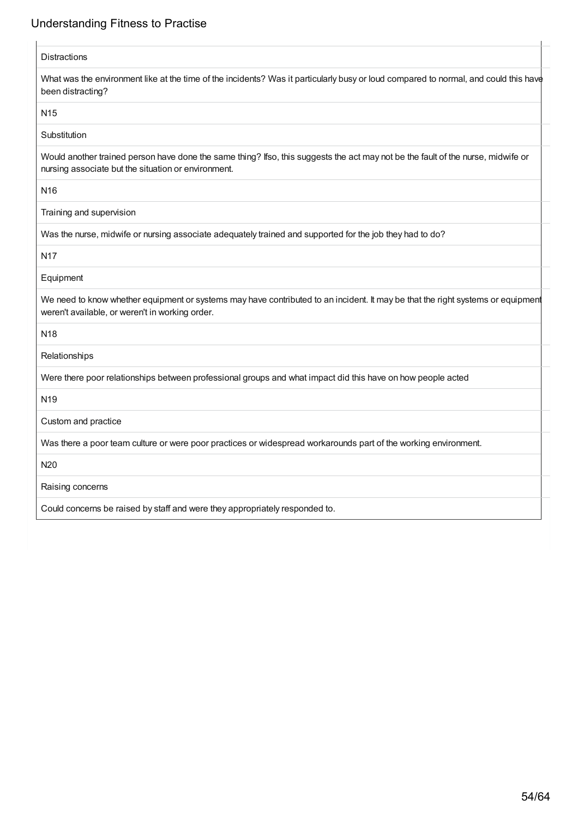| <b>Distractions</b>                                                                                                                                                                     |
|-----------------------------------------------------------------------------------------------------------------------------------------------------------------------------------------|
| What was the environment like at the time of the incidents? Was it particularly busy or loud compared to normal, and could this have<br>been distracting?                               |
| N <sub>15</sub>                                                                                                                                                                         |
| Substitution                                                                                                                                                                            |
| Would another trained person have done the same thing? Ifso, this suggests the act may not be the fault of the nurse, midwife or<br>nursing associate but the situation or environment. |
| N <sub>16</sub>                                                                                                                                                                         |
| Training and supervision                                                                                                                                                                |
| Was the nurse, midwife or nursing associate adequately trained and supported for the job they had to do?                                                                                |
| <b>N17</b>                                                                                                                                                                              |
| Equipment                                                                                                                                                                               |
| We need to know whether equipment or systems may have contributed to an incident. It may be that the right systems or equipment<br>weren't available, or weren't in working order.      |
| N <sub>18</sub>                                                                                                                                                                         |
| Relationships                                                                                                                                                                           |
| Were there poor relationships between professional groups and what impact did this have on how people acted                                                                             |
| N <sub>19</sub>                                                                                                                                                                         |
| Custom and practice                                                                                                                                                                     |
| Was there a poor team culture or were poor practices or widespread workarounds part of the working environment.                                                                         |
| N20                                                                                                                                                                                     |
| Raising concerns                                                                                                                                                                        |
| Could concerns be raised by staff and were they appropriately responded to.                                                                                                             |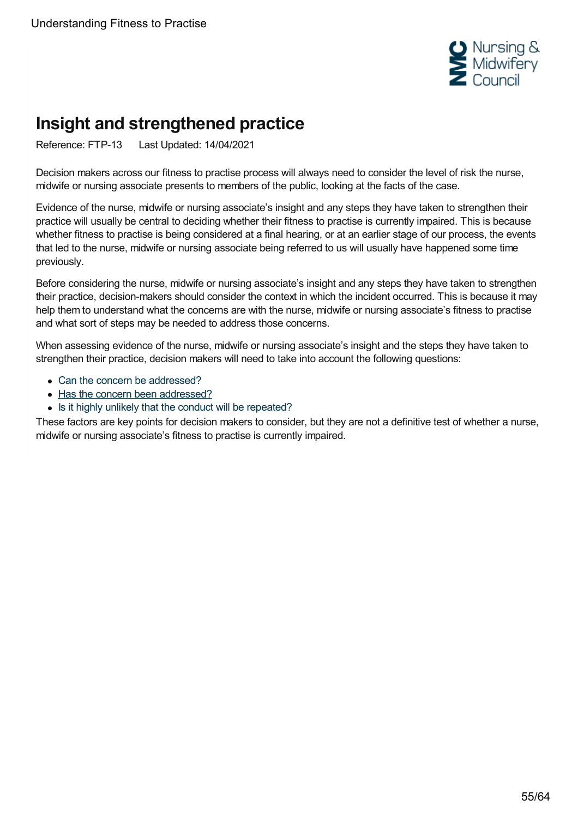

# <span id="page-54-0"></span>**Insight and strengthened practice**

Reference: FTP-13 Last Updated: 14/04/2021

Decision makers across our fitness to practise process will always need to consider the level of risk the nurse, midwife or nursing associate presents to members of the public, looking at the facts of the case.

Evidence of the nurse, midwife or nursing associate's insight and any steps they have taken to strengthen their practice will usually be central to deciding whether their fitness to practise is currently impaired. This is because whether fitness to practise is being considered at a final hearing, or at an earlier stage of our process, the events that led to the nurse, midwife or nursing associate being referred to us will usually have happened some time previously.

Before considering the nurse, midwife or nursing associate's insight and any steps they have taken to strengthen their practice, decision-makers should consider the context in which the incident occurred. This is because it may help them to understand what the concerns are with the nurse, midwife or nursing associate's fitness to practise and what sort of steps may be needed to address those concerns.

When assessing evidence of the nurse, midwife or nursing associate's insight and the steps they have taken to strengthen their practice, decision makers will need to take into account the following questions:

- Can the concern be [addressed?](https://www.nmc.org.uk/ftp-library/understanding-fitness-to-practise/insight-and-strengthened-practice/can-the-concern-be-addressed/)
- Has the concern been [addressed?](https://www.nmc.org.uk/ftp-library/understanding-fitness-to-practise/insight-and-strengthened-practice/has-the-concern-been-addressed/)
- Is it highly unlikely that the conduct will be [repeated?](https://www.nmc.org.uk/ftp-library/understanding-fitness-to-practise/insight-and-strengthened-practice/is-it-highly-unlikely-that-the-conduct-will-be-repeated/)

These factors are key points for decision makers to consider, but they are not a definitive test of whether a nurse, midwife or nursing associate's fitness to practise is currently impaired.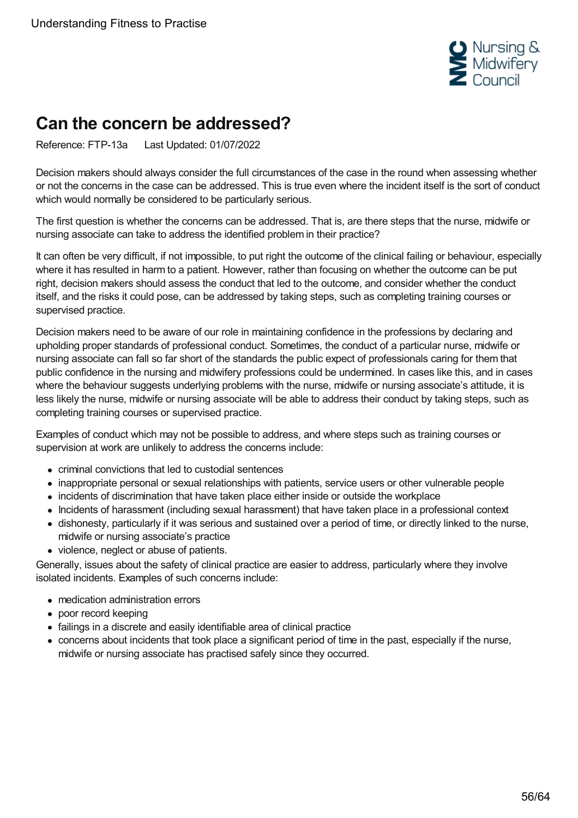

# <span id="page-55-0"></span>**Can the concern be addressed?**

Reference: FTP-13a Last Updated: 01/07/2022

Decision makers should always consider the full circumstances of the case in the round when assessing whether or not the concerns in the case can be addressed. This is true even where the incident itself is the sort of conduct which would normally be considered to be particularly serious.

The first question is whether the concerns can be addressed. That is, are there steps that the nurse, midwife or nursing associate can take to address the identified problem in their practice?

It can often be very difficult, if not impossible, to put right the outcome of the clinical failing or behaviour, especially where it has resulted in harm to a patient. However, rather than focusing on whether the outcome can be put right, decision makers should assess the conduct that led to the outcome, and consider whether the conduct itself, and the risks it could pose, can be addressed by taking steps, such as completing training courses or supervised practice.

Decision makers need to be aware of our role in maintaining confidence in the professions by declaring and upholding proper standards of professional conduct. Sometimes, the conduct of a particular nurse, midwife or nursing associate can fall so far short of the standards the public expect of professionals caring for them that public confidence in the nursing and midwifery professions could be undermined. In cases like this, and in cases where the behaviour suggests underlying problems with the nurse, midwife or nursing associate's attitude, it is less likely the nurse, midwife or nursing associate will be able to address their conduct by taking steps, such as completing training courses or supervised practice.

Examples of conduct which may not be possible to address, and where steps such as training courses or supervision at work are unlikely to address the concerns include:

- criminal convictions that led to custodial sentences
- inappropriate personal or sexual relationships with patients, service users or other vulnerable people
- incidents of discrimination that have taken place either inside or outside the workplace
- Incidents of harassment (including sexual harassment) that have taken place in a professional context
- dishonesty, particularly if it was serious and sustained over a period of time, or directly linked to the nurse, midwife or nursing associate's practice
- violence, neglect or abuse of patients.

Generally, issues about the safety of clinical practice are easier to address, particularly where they involve isolated incidents. Examples of such concerns include:

- medication administration errors
- poor record keeping
- failings in a discrete and easily identifiable area of clinical practice
- concerns about incidents that took place a significant period of time in the past, especially if the nurse, midwife or nursing associate has practised safely since they occurred.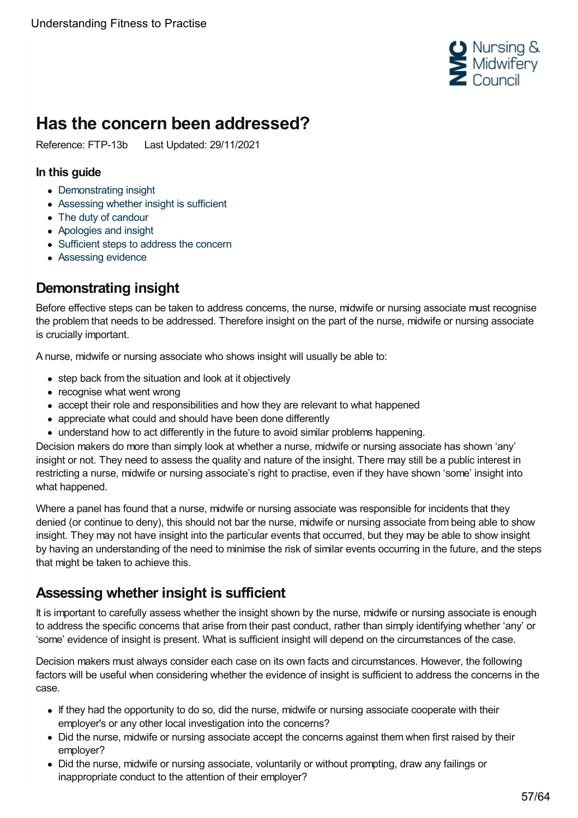

# <span id="page-56-0"></span>**Has the concern been addressed?**

Reference: FTP-13b Last Updated: 29/11/2021

#### **In this guide**

- [Demonstrating](#page-56-1) insight
- [Assessing](#page-56-2) whether insight is sufficient
- The duty of [candour](#page-57-0)
- [Apologies](#page-57-1) and insight
- [Sufficient](#page-58-0) steps to address the concern
- [Assessing](#page-58-1) evidence

# <span id="page-56-1"></span>**Demonstrating insight**

Before effective steps can be taken to address concerns, the nurse, midwife or nursing associate must recognise the problem that needs to be addressed. Therefore insight on the part of the nurse, midwife or nursing associate is crucially important.

A nurse, midwife or nursing associate who shows insight will usually be able to:

- step back from the situation and look at it objectively
- recognise what went wrong
- accept their role and responsibilities and how they are relevant to what happened
- appreciate what could and should have been done differently
- understand how to act differently in the future to avoid similar problems happening.

Decision makers do more than simply look at whether a nurse, midwife or nursing associate has shown 'any' insight or not. They need to assess the quality and nature of the insight. There may still be a public interest in restricting a nurse, midwife or nursing associate's right to practise, even if they have shown 'some' insight into what happened.

Where a panel has found that a nurse, midwife or nursing associate was responsible for incidents that they denied (or continue to deny), this should not bar the nurse, midwife or nursing associate from being able to show insight. They may not have insight into the particular events that occurred, but they may be able to show insight by having an understanding of the need to minimise the risk of similar events occurring in the future, and the steps that might be taken to achieve this.

# <span id="page-56-2"></span>**Assessing whether insight is sufficient**

It is important to carefully assess whether the insight shown by the nurse, midwife or nursing associate is enough to address the specific concerns that arise from their past conduct, rather than simply identifying whether 'any' or 'some' evidence of insight is present. What is sufficient insight will depend on the circumstances of the case.

Decision makers must always consider each case on its own facts and circumstances. However, the following factors will be useful when considering whether the evidence of insight is sufficient to address the concerns in the case.

- If they had the opportunity to do so, did the nurse, midwife or nursing associate cooperate with their employer's or any other local investigation into the concerns?
- Did the nurse, midwife or nursing associate accept the concerns against them when first raised by their employer?
- Did the nurse, midwife or nursing associate, voluntarily or without prompting, draw any failings or inappropriate conduct to the attention of their employer?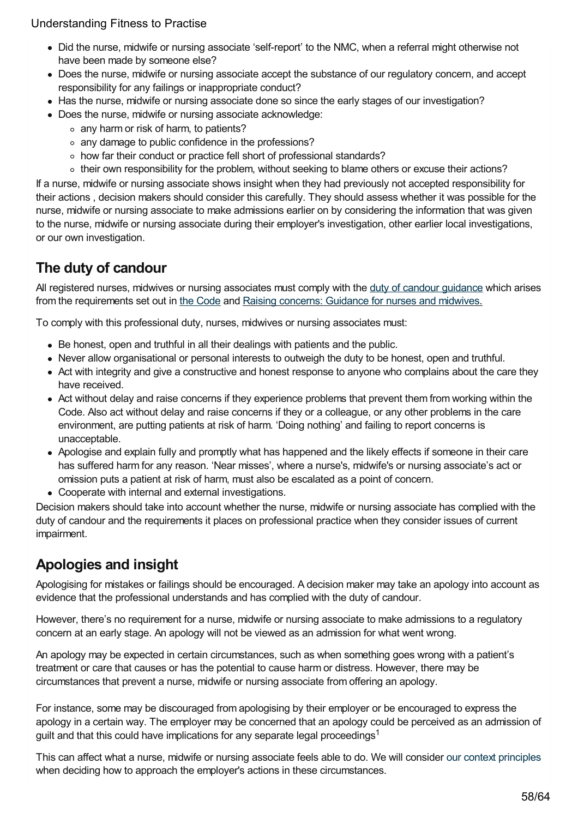- Did the nurse, midwife or nursing associate 'self-report' to the NMC, when a referral might otherwise not have been made by someone else?
- Does the nurse, midwife or nursing associate accept the substance of our regulatory concern, and accept responsibility for any failings or inappropriate conduct?
- Has the nurse, midwife or nursing associate done so since the early stages of our investigation?
- Does the nurse, midwife or nursing associate acknowledge:
	- any harm or risk of harm, to patients?
	- any damage to public confidence in the professions?
	- o how far their conduct or practice fell short of professional standards?
	- their own responsibility for the problem, without seeking to blame others or excuse their actions?

If a nurse, midwife or nursing associate shows insight when they had previously not accepted responsibility for their actions , decision makers should consider this carefully. They should assess whether it was possible for the nurse, midwife or nursing associate to make admissions earlier on by considering the information that was given to the nurse, midwife or nursing associate during their employer's investigation, other earlier local investigations, or our own investigation.

# <span id="page-57-0"></span>**The duty of candour**

All registered nurses, midwives or nursing associates must comply with the duty of candour [guidance](https://www.nmc.org.uk/standards/guidance/the-professional-duty-of-candour/) which arises from the requirements set out in the [Code](https://www.nmc.org.uk/standards/code/) and Raising [concerns:](https://www.nmc.org.uk/standards/guidance/raising-concerns-guidance-for-nurses-and-midwives/) Guidance for nurses and midwives.

To comply with this professional duty, nurses, midwives or nursing associates must:

- Be honest, open and truthful in all their dealings with patients and the public.
- Never allow organisational or personal interests to outweigh the duty to be honest, open and truthful.
- Act with integrity and give a constructive and honest response to anyone who complains about the care they have received.
- Act without delay and raise concerns if they experience problems that prevent them from working within the Code. Also act without delay and raise concerns if they or a colleague, or any other problems in the care environment, are putting patients at risk of harm. 'Doing nothing' and failing to report concerns is unacceptable.
- Apologise and explain fully and promptly what has happened and the likely effects if someone in their care has suffered harm for any reason. 'Near misses', where a nurse's, midwife's or nursing associate's act or omission puts a patient at risk of harm, must also be escalated as a point of concern.
- Cooperate with internal and external investigations.

Decision makers should take into account whether the nurse, midwife or nursing associate has complied with the duty of candour and the requirements it places on professional practice when they consider issues of current impairment.

# <span id="page-57-1"></span>**Apologies and insight**

Apologising for mistakes or failings should be encouraged. A decision maker may take an apology into account as evidence that the professional understands and has complied with the duty of candour.

However, there's no requirement for a nurse, midwife or nursing associate to make admissions to a regulatory concern at an early stage. An apology will not be viewed as an admission for what went wrong.

An apology may be expected in certain circumstances, such as when something goes wrong with a patient's treatment or care that causes or has the potential to cause harm or distress. However, there may be circumstances that prevent a nurse, midwife or nursing associate from offering an apology.

For instance, some may be discouraged from apologising by their employer or be encouraged to express the apology in a certain way. The employer may be concerned that an apology could be perceived as an admission of guilt and that this could have implications for any separate legal proceedings<sup>1</sup>

This can affect what a nurse, midwife or nursing associate feels able to do. We will consider our context [principles](https://www.nmc.org.uk/ftp-library/understanding-fitness-to-practise/taking-account-of-context/commitment-7/) when deciding how to approach the employer's actions in these circumstances.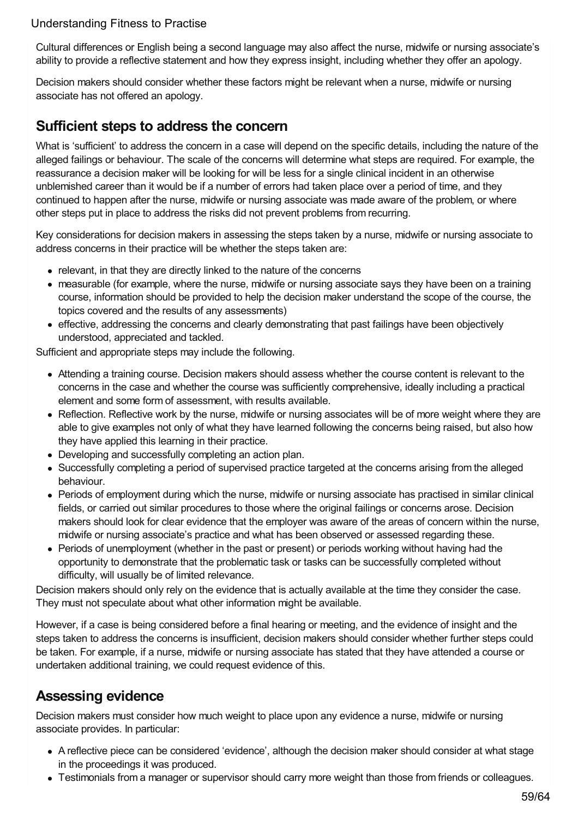Cultural differences or English being a second language may also affect the nurse, midwife or nursing associate's ability to provide a reflective statement and how they express insight, including whether they offer an apology.

Decision makers should consider whether these factors might be relevant when a nurse, midwife or nursing associate has not offered an apology.

## <span id="page-58-0"></span>**Sufficient steps to address the concern**

What is 'sufficient' to address the concern in a case will depend on the specific details, including the nature of the alleged failings or behaviour. The scale of the concerns will determine what steps are required. For example, the reassurance a decision maker will be looking for will be less for a single clinical incident in an otherwise unblemished career than it would be if a number of errors had taken place over a period of time, and they continued to happen after the nurse, midwife or nursing associate was made aware of the problem, or where other steps put in place to address the risks did not prevent problems from recurring.

Key considerations for decision makers in assessing the steps taken by a nurse, midwife or nursing associate to address concerns in their practice will be whether the steps taken are:

- relevant, in that they are directly linked to the nature of the concerns
- measurable (for example, where the nurse, midwife or nursing associate says they have been on a training course, information should be provided to help the decision maker understand the scope of the course, the topics covered and the results of any assessments)
- effective, addressing the concerns and clearly demonstrating that past failings have been objectively understood, appreciated and tackled.

Sufficient and appropriate steps may include the following.

- Attending a training course. Decision makers should assess whether the course content is relevant to the concerns in the case and whether the course was sufficiently comprehensive, ideally including a practical element and some form of assessment, with results available.
- Reflection. Reflective work by the nurse, midwife or nursing associates will be of more weight where they are able to give examples not only of what they have learned following the concerns being raised, but also how they have applied this learning in their practice.
- Developing and successfully completing an action plan.
- Successfully completing a period of supervised practice targeted at the concerns arising from the alleged behaviour.
- Periods of employment during which the nurse, midwife or nursing associate has practised in similar clinical fields, or carried out similar procedures to those where the original failings or concerns arose. Decision makers should look for clear evidence that the employer was aware of the areas of concern within the nurse, midwife or nursing associate's practice and what has been observed or assessed regarding these.
- Periods of unemployment (whether in the past or present) or periods working without having had the opportunity to demonstrate that the problematic task or tasks can be successfully completed without difficulty, will usually be of limited relevance.

Decision makers should only rely on the evidence that is actually available at the time they consider the case. They must not speculate about what other information might be available.

However, if a case is being considered before a final hearing or meeting, and the evidence of insight and the steps taken to address the concerns is insufficient, decision makers should consider whether further steps could be taken. For example, if a nurse, midwife or nursing associate has stated that they have attended a course or undertaken additional training, we could request evidence of this.

# <span id="page-58-1"></span>**Assessing evidence**

Decision makers must consider how much weight to place upon any evidence a nurse, midwife or nursing associate provides. In particular:

- A reflective piece can be considered 'evidence', although the decision maker should consider at what stage in the proceedings it was produced.
- Testimonials from a manager or supervisor should carry more weight than those from friends or colleagues.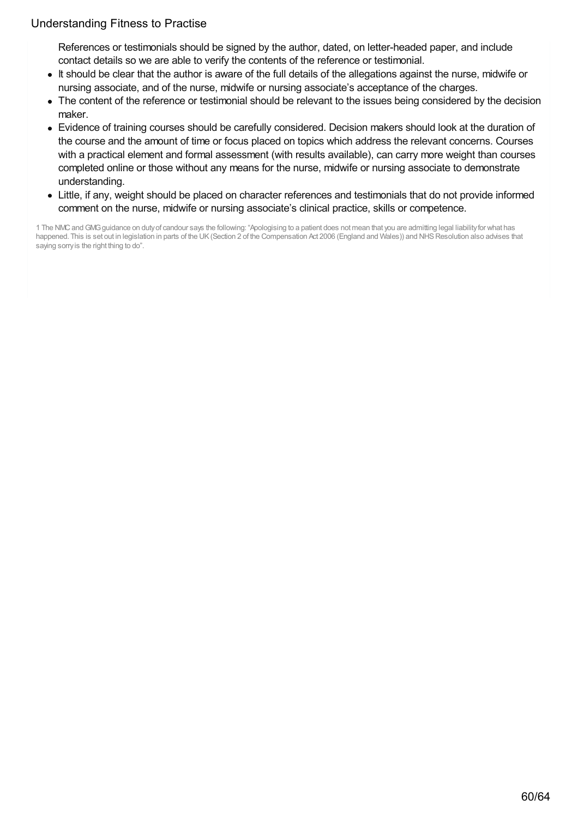References or testimonials should be signed by the author, dated, on letter-headed paper, and include contact details so we are able to verify the contents of the reference or testimonial.

- It should be clear that the author is aware of the full details of the allegations against the nurse, midwife or nursing associate, and of the nurse, midwife or nursing associate's acceptance of the charges.
- The content of the reference or testimonial should be relevant to the issues being considered by the decision maker.
- Evidence of training courses should be carefully considered. Decision makers should look at the duration of the course and the amount of time or focus placed on topics which address the relevant concerns. Courses with a practical element and formal assessment (with results available), can carry more weight than courses completed online or those without any means for the nurse, midwife or nursing associate to demonstrate understanding.
- Little, if any, weight should be placed on character references and testimonials that do not provide informed comment on the nurse, midwife or nursing associate's clinical practice, skills or competence.

1 The NMCandGMGguidance on dutyof candour says the following: "Apologising to a patient does not mean that you are admitting legal liabilityfor what has happened. This is set out in legislation in parts of the UK (Section 2 of the Compensation Act 2006 (England and Wales)) and NHS Resolution also advises that saying sorryis the right thing to do".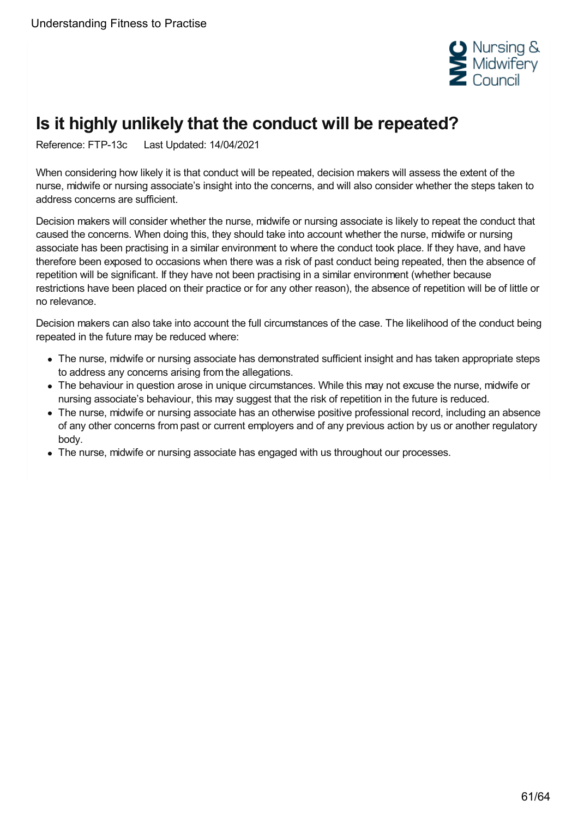

# <span id="page-60-0"></span>**Is it highly unlikely that the conduct will be repeated?**

Reference: FTP-13c Last Updated: 14/04/2021

When considering how likely it is that conduct will be repeated, decision makers will assess the extent of the nurse, midwife or nursing associate's insight into the concerns, and will also consider whether the steps taken to address concerns are sufficient.

Decision makers will consider whether the nurse, midwife or nursing associate is likely to repeat the conduct that caused the concerns. When doing this, they should take into account whether the nurse, midwife or nursing associate has been practising in a similar environment to where the conduct took place. If they have, and have therefore been exposed to occasions when there was a risk of past conduct being repeated, then the absence of repetition will be significant. If they have not been practising in a similar environment (whether because restrictions have been placed on their practice or for any other reason), the absence of repetition will be of little or no relevance.

Decision makers can also take into account the full circumstances of the case. The likelihood of the conduct being repeated in the future may be reduced where:

- The nurse, midwife or nursing associate has demonstrated sufficient insight and has taken appropriate steps to address any concerns arising from the allegations.
- The behaviour in question arose in unique circumstances. While this may not excuse the nurse, midwife or nursing associate's behaviour, this may suggest that the risk of repetition in the future is reduced.
- The nurse, midwife or nursing associate has an otherwise positive professional record, including an absence of any other concerns from past or current employers and of any previous action by us or another regulatory body.
- The nurse, midwife or nursing associate has engaged with us throughout our processes.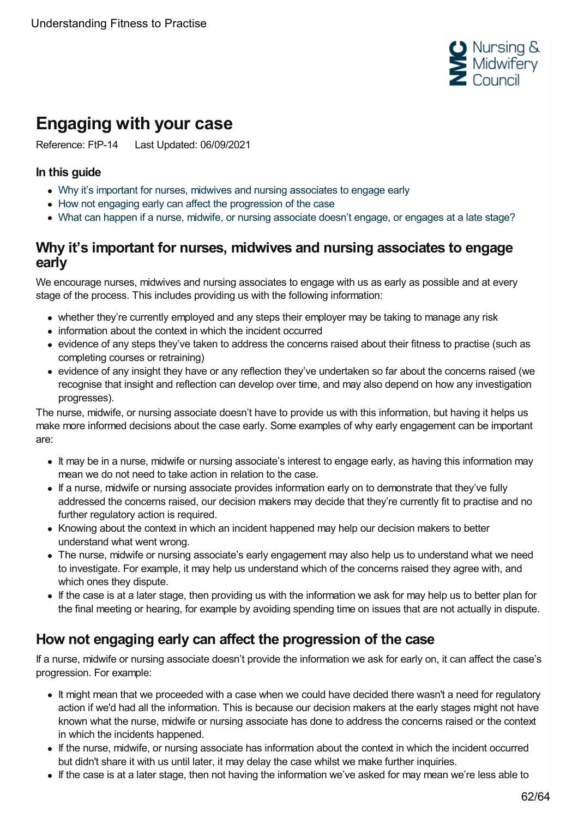

# <span id="page-61-0"></span>**Engaging with your case**

Reference: FtP-14 Last Updated: 06/09/2021

#### **In this guide**

- Why it's important for nurses, midwives and nursing [associates](#page-61-1) to engage early
- How not engaging early can affect the [progression](#page-61-2) of the case
- What can happen if a nurse, midwife, or nursing [associate](#page-62-0) doesn't engage, or engages at a late stage?

## <span id="page-61-1"></span>**Why it's important for nurses, midwives and nursing associates to engage early**

We encourage nurses, midwives and nursing associates to engage with us as early as possible and at every stage of the process. This includes providing us with the following information:

- whether they're currently employed and any steps their employer may be taking to manage any risk
- information about the context in which the incident occurred
- evidence of any steps they've taken to address the concerns raised about their fitness to practise (such as completing courses or retraining)
- evidence of any insight they have or any reflection they've undertaken so far about the concerns raised (we recognise that insight and reflection can develop over time, and may also depend on how any investigation progresses).

The nurse, midwife, or nursing associate doesn't have to provide us with this information, but having it helps us make more informed decisions about the case early. Some examples of why early engagement can be important are:

- It may be in a nurse, midwife or nursing associate's interest to engage early, as having this information may mean we do not need to take action in relation to the case.
- If a nurse, midwife or nursing associate provides information early on to demonstrate that they've fully addressed the concerns raised, our decision makers may decide that they're currently fit to practise and no further regulatory action is required.
- Knowing about the context in which an incident happened may help our decision makers to better understand what went wrong.
- The nurse, midwife or nursing associate's early engagement may also help us to understand what we need to investigate. For example, it may help us understand which of the concerns raised they agree with, and which ones they dispute.
- If the case is at a later stage, then providing us with the information we ask for may help us to better plan for the final meeting or hearing, for example by avoiding spending time on issues that are not actually in dispute.

# <span id="page-61-2"></span>**How not engaging early can affect the progression of the case**

If a nurse, midwife or nursing associate doesn't provide the information we ask for early on, it can affect the case's progression. For example:

- It might mean that we proceeded with a case when we could have decided there wasn't a need for regulatory action if we'd had all the information. This is because our decision makers at the early stages might not have known what the nurse, midwife or nursing associate has done to address the concerns raised or the context in which the incidents happened.
- If the nurse, midwife, or nursing associate has information about the context in which the incident occurred but didn't share it with us until later, it may delay the case whilst we make further inquiries.
- If the case is at a later stage, then not having the information we've asked for may mean we're less able to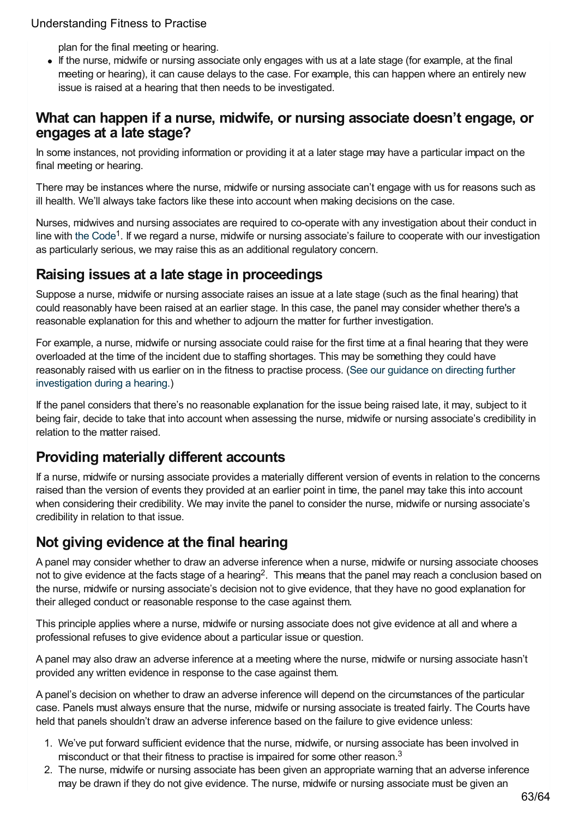plan for the final meeting or hearing.

If the nurse, midwife or nursing associate only engages with us at a late stage (for example, at the final meeting or hearing), it can cause delays to the case. For example, this can happen where an entirely new issue is raised at a hearing that then needs to be investigated.

## <span id="page-62-0"></span>**What can happen if a nurse, midwife, or nursing associate doesn't engage, or engages at a late stage?**

In some instances, not providing information or providing it at a later stage may have a particular impact on the final meeting or hearing.

There may be instances where the nurse, midwife or nursing associate can't engage with us for reasons such as ill health. We'll always take factors like these into account when making decisions on the case.

Nurses, midwives and nursing associates are required to co-operate with any investigation about their conduct in line with the [Code](https://www.nmc.org.uk/standards/code/)<sup>1</sup>. If we regard a nurse, midwife or nursing associate's failure to cooperate with our investigation as particularly serious, we may raise this as an additional regulatory concern.

## **Raising issues at a late stage in proceedings**

Suppose a nurse, midwife or nursing associate raises an issue at a late stage (such as the final hearing) that could reasonably have been raised at an earlier stage. In this case, the panel may consider whether there's a reasonable explanation for this and whether to adjourn the matter for further investigation.

For example, a nurse, midwife or nursing associate could raise for the first time at a final hearing that they were overloaded at the time of the incident due to staffing shortages. This may be something they could have reasonably raised with us earlier on in the fitness to practise process. (See our guidance on directing further [investigation](https://www.nmc.org.uk/ftp-library/ftpc-decision-making/directing-further-investigation-during-a-hearing/) during a hearing.)

If the panel considers that there's no reasonable explanation for the issue being raised late, it may, subject to it being fair, decide to take that into account when assessing the nurse, midwife or nursing associate's credibility in relation to the matter raised.

# **Providing materially different accounts**

If a nurse, midwife or nursing associate provides a materially different version of events in relation to the concerns raised than the version of events they provided at an earlier point in time, the panel may take this into account when considering their credibility. We may invite the panel to consider the nurse, midwife or nursing associate's credibility in relation to that issue.

# **Not giving evidence at the final hearing**

A panel may consider whether to draw an adverse inference when a nurse, midwife or nursing associate chooses not to give evidence at the facts stage of a hearing<sup>2</sup>. This means that the panel may reach a conclusion based on the nurse, midwife or nursing associate's decision not to give evidence, that they have no good explanation for their alleged conduct or reasonable response to the case against them.

This principle applies where a nurse, midwife or nursing associate does not give evidence at all and where a professional refuses to give evidence about a particular issue or question.

A panel may also draw an adverse inference at a meeting where the nurse, midwife or nursing associate hasn't provided any written evidence in response to the case against them.

A panel's decision on whether to draw an adverse inference will depend on the circumstances of the particular case. Panels must always ensure that the nurse, midwife or nursing associate is treated fairly. The Courts have held that panels shouldn't draw an adverse inference based on the failure to give evidence unless:

- 1. We've put forward sufficient evidence that the nurse, midwife, or nursing associate has been involved in misconduct or that their fitness to practise is impaired for some other reason.<sup>3</sup>
- 2. The nurse, midwife or nursing associate has been given an appropriate warning that an adverse inference may be drawn if they do not give evidence. The nurse, midwife or nursing associate must be given an